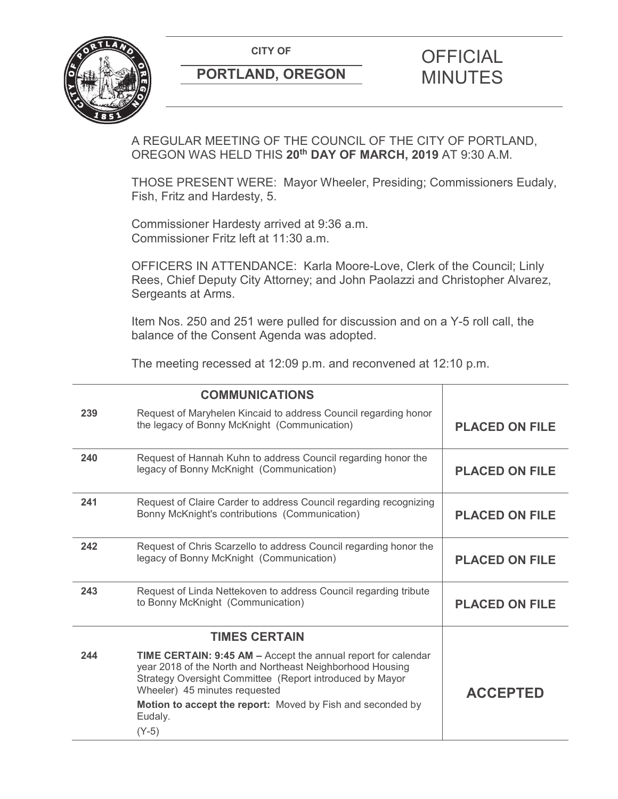**CITY OF CITY OF PICIAL** 



# **PORTLAND, OREGON MINUTES**

# A REGULAR MEETING OF THE COUNCIL OF THE CITY OF PORTLAND, OREGON WAS HELD THIS **20th DAY OF MARCH, 2019** AT 9:30 A.M.

THOSE PRESENT WERE: Mayor Wheeler, Presiding; Commissioners Eudaly, Fish, Fritz and Hardesty, 5.

Commissioner Hardesty arrived at 9:36 a.m. Commissioner Fritz left at 11:30 a.m.

OFFICERS IN ATTENDANCE: Karla Moore-Love, Clerk of the Council; Linly Rees, Chief Deputy City Attorney; and John Paolazzi and Christopher Alvarez, Sergeants at Arms.

Item Nos. 250 and 251 were pulled for discussion and on a Y-5 roll call, the balance of the Consent Agenda was adopted.

The meeting recessed at 12:09 p.m. and reconvened at 12:10 p.m.

|     | <b>COMMUNICATIONS</b>                                                                                                                                                                                                                                                                                              |                       |
|-----|--------------------------------------------------------------------------------------------------------------------------------------------------------------------------------------------------------------------------------------------------------------------------------------------------------------------|-----------------------|
| 239 | Request of Maryhelen Kincaid to address Council regarding honor<br>the legacy of Bonny McKnight (Communication)                                                                                                                                                                                                    | <b>PLACED ON FILE</b> |
| 240 | Request of Hannah Kuhn to address Council regarding honor the<br>legacy of Bonny McKnight (Communication)                                                                                                                                                                                                          | <b>PLACED ON FILE</b> |
| 241 | Request of Claire Carder to address Council regarding recognizing<br>Bonny McKnight's contributions (Communication)                                                                                                                                                                                                | <b>PLACED ON FILE</b> |
| 242 | Request of Chris Scarzello to address Council regarding honor the<br>legacy of Bonny McKnight (Communication)                                                                                                                                                                                                      | <b>PLACED ON FILE</b> |
| 243 | Request of Linda Nettekoven to address Council regarding tribute<br>to Bonny McKnight (Communication)                                                                                                                                                                                                              | <b>PLACED ON FILE</b> |
|     | <b>TIMES CERTAIN</b>                                                                                                                                                                                                                                                                                               |                       |
| 244 | <b>TIME CERTAIN: 9:45 AM - Accept the annual report for calendar</b><br>year 2018 of the North and Northeast Neighborhood Housing<br>Strategy Oversight Committee (Report introduced by Mayor<br>Wheeler) 45 minutes requested<br>Motion to accept the report: Moved by Fish and seconded by<br>Eudaly.<br>$(Y-5)$ | <b>ACCEPTED</b>       |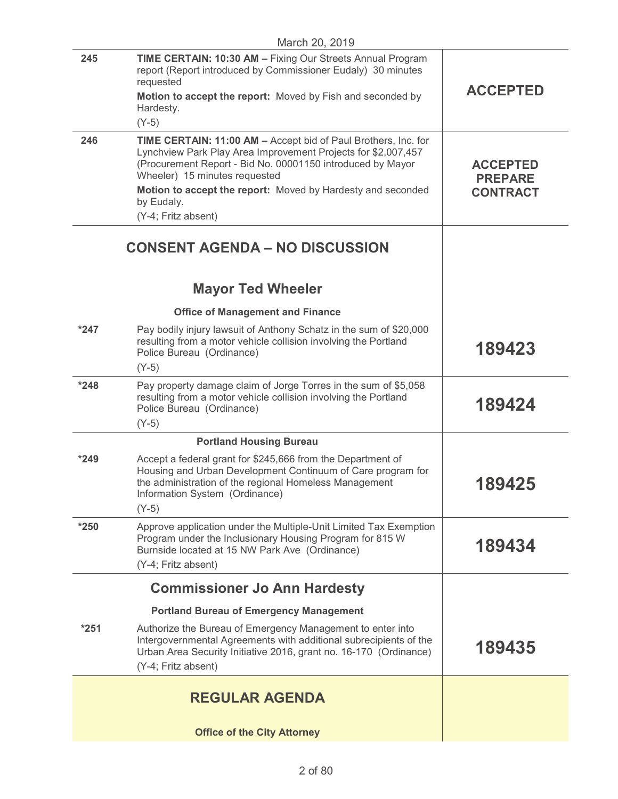|        | March 20, 2019                                                                                                                                                                                                                    |                                   |
|--------|-----------------------------------------------------------------------------------------------------------------------------------------------------------------------------------------------------------------------------------|-----------------------------------|
| 245    | TIME CERTAIN: 10:30 AM - Fixing Our Streets Annual Program<br>report (Report introduced by Commissioner Eudaly) 30 minutes<br>requested<br>Motion to accept the report: Moved by Fish and seconded by                             | <b>ACCEPTED</b>                   |
|        | Hardesty.<br>$(Y-5)$                                                                                                                                                                                                              |                                   |
| 246    | TIME CERTAIN: 11:00 AM - Accept bid of Paul Brothers, Inc. for<br>Lynchview Park Play Area Improvement Projects for \$2,007,457<br>(Procurement Report - Bid No. 00001150 introduced by Mayor<br>Wheeler) 15 minutes requested    | <b>ACCEPTED</b><br><b>PREPARE</b> |
|        | Motion to accept the report: Moved by Hardesty and seconded<br>by Eudaly.<br>(Y-4; Fritz absent)                                                                                                                                  | <b>CONTRACT</b>                   |
|        | <b>CONSENT AGENDA - NO DISCUSSION</b>                                                                                                                                                                                             |                                   |
|        | <b>Mayor Ted Wheeler</b>                                                                                                                                                                                                          |                                   |
|        | <b>Office of Management and Finance</b>                                                                                                                                                                                           |                                   |
| $*247$ | Pay bodily injury lawsuit of Anthony Schatz in the sum of \$20,000<br>resulting from a motor vehicle collision involving the Portland<br>Police Bureau (Ordinance)<br>$(Y-5)$                                                     | 189423                            |
| $*248$ | Pay property damage claim of Jorge Torres in the sum of \$5,058<br>resulting from a motor vehicle collision involving the Portland<br>Police Bureau (Ordinance)<br>$(Y-5)$                                                        | 189424                            |
|        | <b>Portland Housing Bureau</b>                                                                                                                                                                                                    |                                   |
| $*249$ | Accept a federal grant for \$245,666 from the Department of<br>Housing and Urban Development Continuum of Care program for<br>the administration of the regional Homeless Management<br>Information System (Ordinance)<br>$(Y-5)$ | 189425                            |
| $*250$ | Approve application under the Multiple-Unit Limited Tax Exemption<br>Program under the Inclusionary Housing Program for 815 W<br>Burnside located at 15 NW Park Ave (Ordinance)                                                   | 189434                            |
|        | (Y-4; Fritz absent)                                                                                                                                                                                                               |                                   |
|        | <b>Commissioner Jo Ann Hardesty</b>                                                                                                                                                                                               |                                   |
|        | <b>Portland Bureau of Emergency Management</b>                                                                                                                                                                                    |                                   |
| $*251$ | Authorize the Bureau of Emergency Management to enter into<br>Intergovernmental Agreements with additional subrecipients of the<br>Urban Area Security Initiative 2016, grant no. 16-170 (Ordinance)<br>(Y-4; Fritz absent)       | 189435                            |
|        | <b>REGULAR AGENDA</b>                                                                                                                                                                                                             |                                   |
|        | <b>Office of the City Attorney</b>                                                                                                                                                                                                |                                   |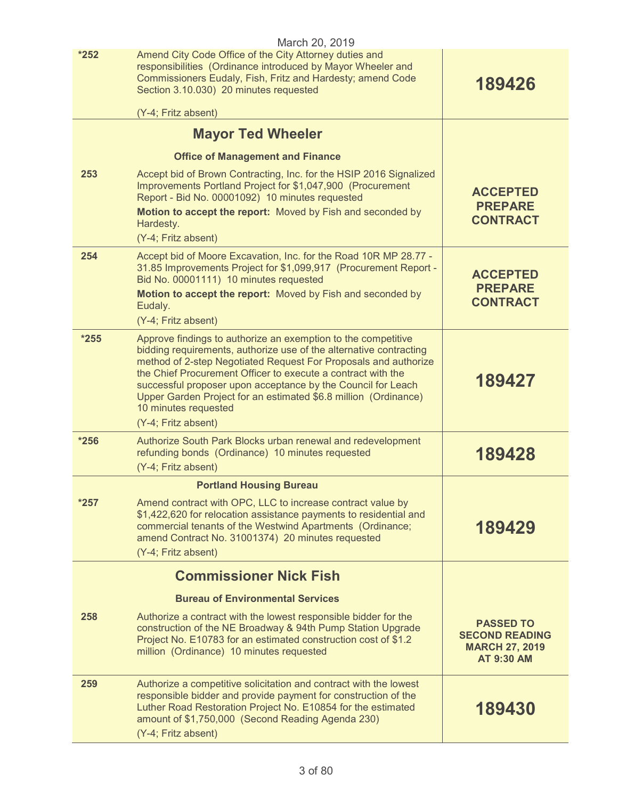|        | March 20, 2019                                                                                                                                                                                                                                                                                                                                                                                                                    |                                                                                         |
|--------|-----------------------------------------------------------------------------------------------------------------------------------------------------------------------------------------------------------------------------------------------------------------------------------------------------------------------------------------------------------------------------------------------------------------------------------|-----------------------------------------------------------------------------------------|
| $*252$ | Amend City Code Office of the City Attorney duties and<br>responsibilities (Ordinance introduced by Mayor Wheeler and<br>Commissioners Eudaly, Fish, Fritz and Hardesty; amend Code<br>Section 3.10.030) 20 minutes requested<br>(Y-4; Fritz absent)                                                                                                                                                                              | 189426                                                                                  |
|        | <b>Mayor Ted Wheeler</b>                                                                                                                                                                                                                                                                                                                                                                                                          |                                                                                         |
|        | <b>Office of Management and Finance</b>                                                                                                                                                                                                                                                                                                                                                                                           |                                                                                         |
| 253    | Accept bid of Brown Contracting, Inc. for the HSIP 2016 Signalized                                                                                                                                                                                                                                                                                                                                                                |                                                                                         |
|        | Improvements Portland Project for \$1,047,900 (Procurement<br>Report - Bid No. 00001092) 10 minutes requested                                                                                                                                                                                                                                                                                                                     | <b>ACCEPTED</b>                                                                         |
|        | Motion to accept the report: Moved by Fish and seconded by<br>Hardesty.                                                                                                                                                                                                                                                                                                                                                           | <b>PREPARE</b><br><b>CONTRACT</b>                                                       |
|        | (Y-4; Fritz absent)                                                                                                                                                                                                                                                                                                                                                                                                               |                                                                                         |
| 254    | Accept bid of Moore Excavation, Inc. for the Road 10R MP 28.77 -<br>31.85 Improvements Project for \$1,099,917 (Procurement Report -<br>Bid No. 00001111) 10 minutes requested                                                                                                                                                                                                                                                    | <b>ACCEPTED</b><br><b>PREPARE</b>                                                       |
|        | Motion to accept the report: Moved by Fish and seconded by<br>Eudaly.                                                                                                                                                                                                                                                                                                                                                             | <b>CONTRACT</b>                                                                         |
|        | (Y-4; Fritz absent)                                                                                                                                                                                                                                                                                                                                                                                                               |                                                                                         |
| $*255$ | Approve findings to authorize an exemption to the competitive<br>bidding requirements, authorize use of the alternative contracting<br>method of 2-step Negotiated Request For Proposals and authorize<br>the Chief Procurement Officer to execute a contract with the<br>successful proposer upon acceptance by the Council for Leach<br>Upper Garden Project for an estimated \$6.8 million (Ordinance)<br>10 minutes requested | 189427                                                                                  |
|        | (Y-4; Fritz absent)                                                                                                                                                                                                                                                                                                                                                                                                               |                                                                                         |
| $*256$ | Authorize South Park Blocks urban renewal and redevelopment<br>refunding bonds (Ordinance) 10 minutes requested<br>(Y-4; Fritz absent)                                                                                                                                                                                                                                                                                            | 189428                                                                                  |
|        | <b>Portland Housing Bureau</b>                                                                                                                                                                                                                                                                                                                                                                                                    |                                                                                         |
| $*257$ | Amend contract with OPC, LLC to increase contract value by<br>\$1,422,620 for relocation assistance payments to residential and<br>commercial tenants of the Westwind Apartments (Ordinance;<br>amend Contract No. 31001374) 20 minutes requested<br>(Y-4; Fritz absent)                                                                                                                                                          | 189429                                                                                  |
|        | <b>Commissioner Nick Fish</b>                                                                                                                                                                                                                                                                                                                                                                                                     |                                                                                         |
|        | <b>Bureau of Environmental Services</b>                                                                                                                                                                                                                                                                                                                                                                                           |                                                                                         |
| 258    | Authorize a contract with the lowest responsible bidder for the<br>construction of the NE Broadway & 94th Pump Station Upgrade<br>Project No. E10783 for an estimated construction cost of \$1.2<br>million (Ordinance) 10 minutes requested                                                                                                                                                                                      | <b>PASSED TO</b><br><b>SECOND READING</b><br><b>MARCH 27, 2019</b><br><b>AT 9:30 AM</b> |
| 259    | Authorize a competitive solicitation and contract with the lowest<br>responsible bidder and provide payment for construction of the<br>Luther Road Restoration Project No. E10854 for the estimated<br>amount of \$1,750,000 (Second Reading Agenda 230)<br>(Y-4; Fritz absent)                                                                                                                                                   | 189430                                                                                  |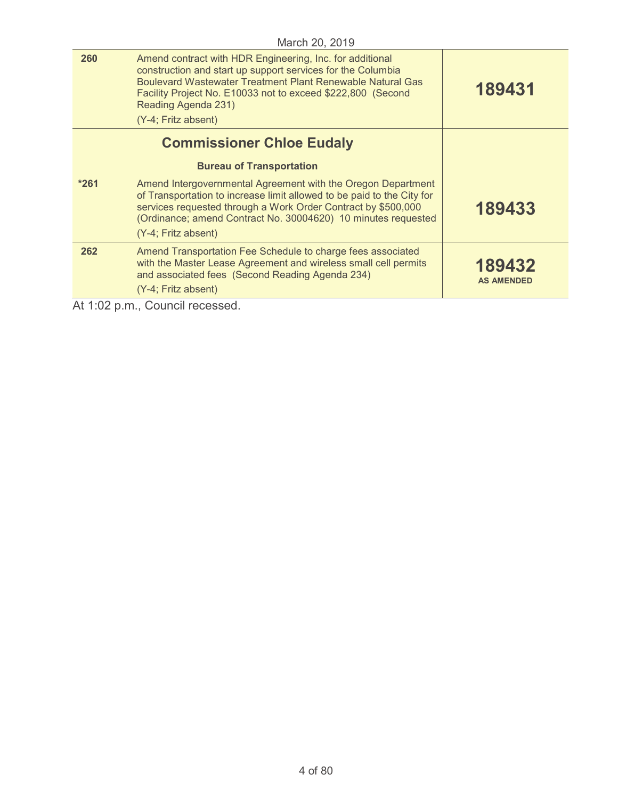| March 20, 2019 |                                                                                                                                                                                                                                                                                                           |                             |
|----------------|-----------------------------------------------------------------------------------------------------------------------------------------------------------------------------------------------------------------------------------------------------------------------------------------------------------|-----------------------------|
| 260            | Amend contract with HDR Engineering, Inc. for additional<br>construction and start up support services for the Columbia<br><b>Boulevard Wastewater Treatment Plant Renewable Natural Gas</b><br>Facility Project No. E10033 not to exceed \$222,800 (Second<br>Reading Agenda 231)<br>(Y-4; Fritz absent) | 189431                      |
|                | <b>Commissioner Chloe Eudaly</b>                                                                                                                                                                                                                                                                          |                             |
|                | <b>Bureau of Transportation</b>                                                                                                                                                                                                                                                                           |                             |
| $*261$         | Amend Intergovernmental Agreement with the Oregon Department<br>of Transportation to increase limit allowed to be paid to the City for<br>services requested through a Work Order Contract by \$500,000<br>(Ordinance; amend Contract No. 30004620) 10 minutes requested<br>(Y-4; Fritz absent)           | 189433                      |
| 262            | Amend Transportation Fee Schedule to charge fees associated<br>with the Master Lease Agreement and wireless small cell permits<br>and associated fees (Second Reading Agenda 234)<br>(Y-4; Fritz absent)                                                                                                  | 189432<br><b>AS AMENDED</b> |
|                |                                                                                                                                                                                                                                                                                                           |                             |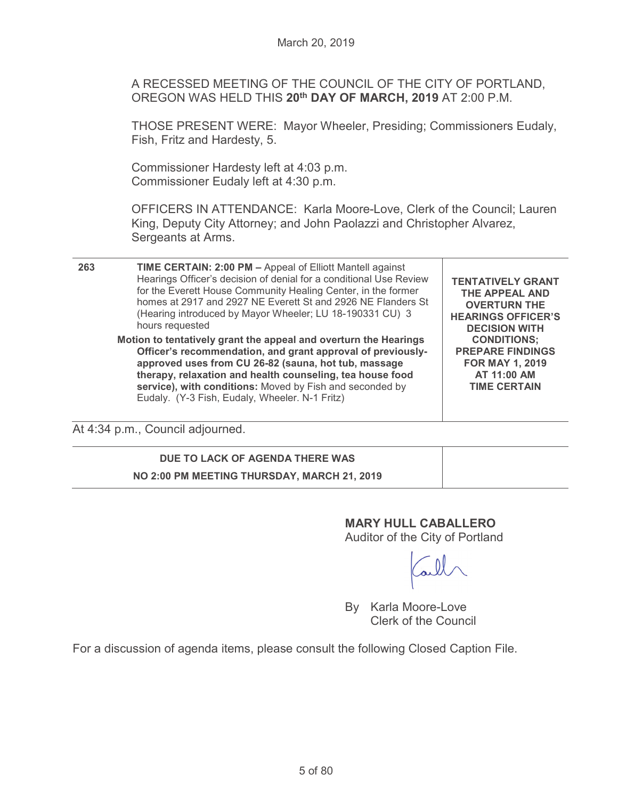A RECESSED MEETING OF THE COUNCIL OF THE CITY OF PORTLAND, OREGON WAS HELD THIS **20th DAY OF MARCH, 2019** AT 2:00 P.M.

THOSE PRESENT WERE: Mayor Wheeler, Presiding; Commissioners Eudaly, Fish, Fritz and Hardesty, 5.

Commissioner Hardesty left at 4:03 p.m. Commissioner Eudaly left at 4:30 p.m.

OFFICERS IN ATTENDANCE: Karla Moore-Love, Clerk of the Council; Lauren King, Deputy City Attorney; and John Paolazzi and Christopher Alvarez, Sergeants at Arms.

| 263 | <b>TIME CERTAIN: 2:00 PM - Appeal of Elliott Mantell against</b><br>Hearings Officer's decision of denial for a conditional Use Review<br>for the Everett House Community Healing Center, in the former<br>homes at 2917 and 2927 NE Everett St and 2926 NE Flanders St<br>(Hearing introduced by Mayor Wheeler; LU 18-190331 CU) 3<br>hours requested             | <b>TENTATIVELY GRANT</b><br>THE APPEAL AND<br><b>OVERTURN THE</b><br><b>HEARINGS OFFICER'S</b><br><b>DECISION WITH</b><br><b>CONDITIONS;</b><br><b>PREPARE FINDINGS</b><br><b>FOR MAY 1, 2019</b><br>AT 11:00 AM<br><b>TIME CERTAIN</b> |
|-----|--------------------------------------------------------------------------------------------------------------------------------------------------------------------------------------------------------------------------------------------------------------------------------------------------------------------------------------------------------------------|-----------------------------------------------------------------------------------------------------------------------------------------------------------------------------------------------------------------------------------------|
|     | Motion to tentatively grant the appeal and overturn the Hearings<br>Officer's recommendation, and grant approval of previously-<br>approved uses from CU 26-82 (sauna, hot tub, massage<br>therapy, relaxation and health counseling, tea house food<br>service), with conditions: Moved by Fish and seconded by<br>Eudaly. (Y-3 Fish, Eudaly, Wheeler. N-1 Fritz) |                                                                                                                                                                                                                                         |

At 4:34 p.m., Council adjourned.

# **DUE TO LACK OF AGENDA THERE WAS NO 2:00 PM MEETING THURSDAY, MARCH 21, 2019**

# **MARY HULL CABALLERO**  Auditor of the City of Portland

By Karla Moore-Love Clerk of the Council

For a discussion of agenda items, please consult the following Closed Caption File.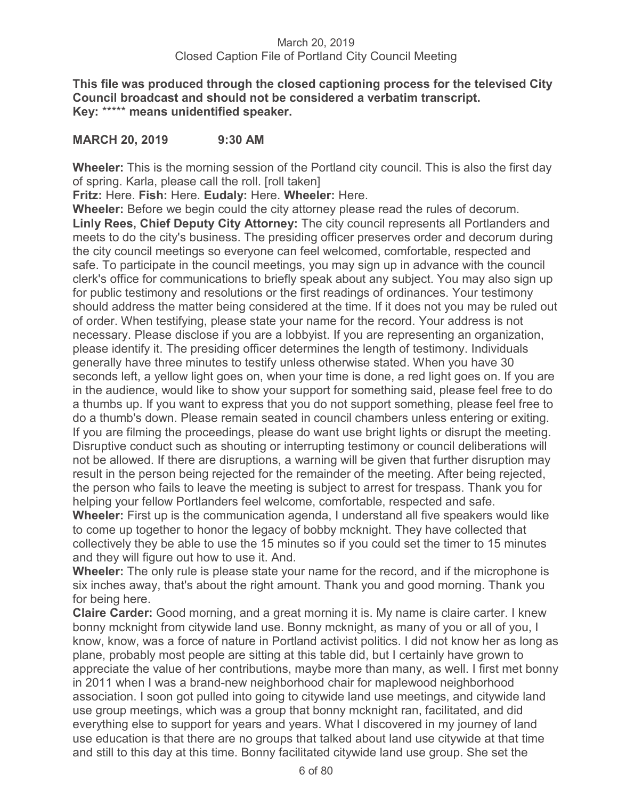**This file was produced through the closed captioning process for the televised City Council broadcast and should not be considered a verbatim transcript. Key:** \*\*\*\*\* **means unidentified speaker.** 

# **MARCH 20, 2019 9:30 AM**

**Wheeler:** This is the morning session of the Portland city council. This is also the first day of spring. Karla, please call the roll. [roll taken]

**Fritz:** Here. **Fish:** Here. **Eudaly:** Here. **Wheeler:** Here.

**Wheeler:** Before we begin could the city attorney please read the rules of decorum. **Linly Rees, Chief Deputy City Attorney:** The city council represents all Portlanders and meets to do the city's business. The presiding officer preserves order and decorum during the city council meetings so everyone can feel welcomed, comfortable, respected and safe. To participate in the council meetings, you may sign up in advance with the council clerk's office for communications to briefly speak about any subject. You may also sign up for public testimony and resolutions or the first readings of ordinances. Your testimony should address the matter being considered at the time. If it does not you may be ruled out of order. When testifying, please state your name for the record. Your address is not necessary. Please disclose if you are a lobbyist. If you are representing an organization, please identify it. The presiding officer determines the length of testimony. Individuals generally have three minutes to testify unless otherwise stated. When you have 30 seconds left, a yellow light goes on, when your time is done, a red light goes on. If you are in the audience, would like to show your support for something said, please feel free to do a thumbs up. If you want to express that you do not support something, please feel free to do a thumb's down. Please remain seated in council chambers unless entering or exiting. If you are filming the proceedings, please do want use bright lights or disrupt the meeting. Disruptive conduct such as shouting or interrupting testimony or council deliberations will not be allowed. If there are disruptions, a warning will be given that further disruption may result in the person being rejected for the remainder of the meeting. After being rejected, the person who fails to leave the meeting is subject to arrest for trespass. Thank you for helping your fellow Portlanders feel welcome, comfortable, respected and safe.

**Wheeler:** First up is the communication agenda, I understand all five speakers would like to come up together to honor the legacy of bobby mcknight. They have collected that collectively they be able to use the 15 minutes so if you could set the timer to 15 minutes and they will figure out how to use it. And.

**Wheeler:** The only rule is please state your name for the record, and if the microphone is six inches away, that's about the right amount. Thank you and good morning. Thank you for being here.

**Claire Carder:** Good morning, and a great morning it is. My name is claire carter. I knew bonny mcknight from citywide land use. Bonny mcknight, as many of you or all of you, I know, know, was a force of nature in Portland activist politics. I did not know her as long as plane, probably most people are sitting at this table did, but I certainly have grown to appreciate the value of her contributions, maybe more than many, as well. I first met bonny in 2011 when I was a brand-new neighborhood chair for maplewood neighborhood association. I soon got pulled into going to citywide land use meetings, and citywide land use group meetings, which was a group that bonny mcknight ran, facilitated, and did everything else to support for years and years. What I discovered in my journey of land use education is that there are no groups that talked about land use citywide at that time and still to this day at this time. Bonny facilitated citywide land use group. She set the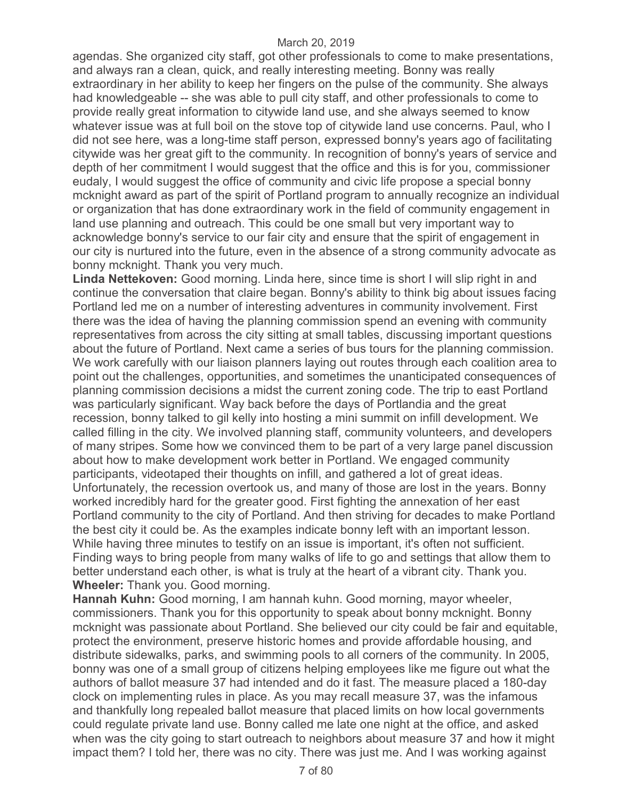agendas. She organized city staff, got other professionals to come to make presentations, and always ran a clean, quick, and really interesting meeting. Bonny was really extraordinary in her ability to keep her fingers on the pulse of the community. She always had knowledgeable -- she was able to pull city staff, and other professionals to come to provide really great information to citywide land use, and she always seemed to know whatever issue was at full boil on the stove top of citywide land use concerns. Paul, who I did not see here, was a long-time staff person, expressed bonny's years ago of facilitating citywide was her great gift to the community. In recognition of bonny's years of service and depth of her commitment I would suggest that the office and this is for you, commissioner eudaly, I would suggest the office of community and civic life propose a special bonny mcknight award as part of the spirit of Portland program to annually recognize an individual or organization that has done extraordinary work in the field of community engagement in land use planning and outreach. This could be one small but very important way to acknowledge bonny's service to our fair city and ensure that the spirit of engagement in our city is nurtured into the future, even in the absence of a strong community advocate as bonny mcknight. Thank you very much.

**Linda Nettekoven:** Good morning. Linda here, since time is short I will slip right in and continue the conversation that claire began. Bonny's ability to think big about issues facing Portland led me on a number of interesting adventures in community involvement. First there was the idea of having the planning commission spend an evening with community representatives from across the city sitting at small tables, discussing important questions about the future of Portland. Next came a series of bus tours for the planning commission. We work carefully with our liaison planners laying out routes through each coalition area to point out the challenges, opportunities, and sometimes the unanticipated consequences of planning commission decisions a midst the current zoning code. The trip to east Portland was particularly significant. Way back before the days of Portlandia and the great recession, bonny talked to gil kelly into hosting a mini summit on infill development. We called filling in the city. We involved planning staff, community volunteers, and developers of many stripes. Some how we convinced them to be part of a very large panel discussion about how to make development work better in Portland. We engaged community participants, videotaped their thoughts on infill, and gathered a lot of great ideas. Unfortunately, the recession overtook us, and many of those are lost in the years. Bonny worked incredibly hard for the greater good. First fighting the annexation of her east Portland community to the city of Portland. And then striving for decades to make Portland the best city it could be. As the examples indicate bonny left with an important lesson. While having three minutes to testify on an issue is important, it's often not sufficient. Finding ways to bring people from many walks of life to go and settings that allow them to better understand each other, is what is truly at the heart of a vibrant city. Thank you. **Wheeler:** Thank you. Good morning.

**Hannah Kuhn:** Good morning, I am hannah kuhn. Good morning, mayor wheeler, commissioners. Thank you for this opportunity to speak about bonny mcknight. Bonny mcknight was passionate about Portland. She believed our city could be fair and equitable, protect the environment, preserve historic homes and provide affordable housing, and distribute sidewalks, parks, and swimming pools to all corners of the community. In 2005, bonny was one of a small group of citizens helping employees like me figure out what the authors of ballot measure 37 had intended and do it fast. The measure placed a 180-day clock on implementing rules in place. As you may recall measure 37, was the infamous and thankfully long repealed ballot measure that placed limits on how local governments could regulate private land use. Bonny called me late one night at the office, and asked when was the city going to start outreach to neighbors about measure 37 and how it might impact them? I told her, there was no city. There was just me. And I was working against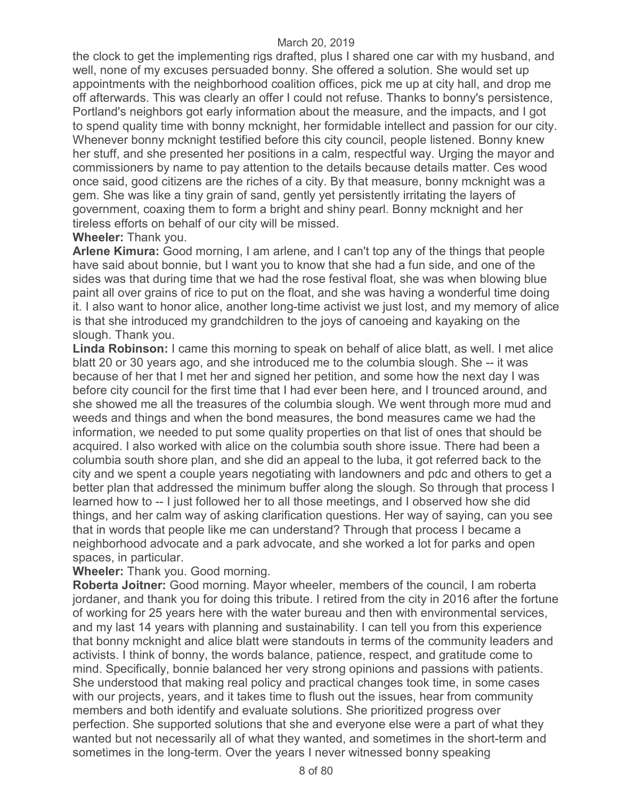the clock to get the implementing rigs drafted, plus I shared one car with my husband, and well, none of my excuses persuaded bonny. She offered a solution. She would set up appointments with the neighborhood coalition offices, pick me up at city hall, and drop me off afterwards. This was clearly an offer I could not refuse. Thanks to bonny's persistence, Portland's neighbors got early information about the measure, and the impacts, and I got to spend quality time with bonny mcknight, her formidable intellect and passion for our city. Whenever bonny mcknight testified before this city council, people listened. Bonny knew her stuff, and she presented her positions in a calm, respectful way. Urging the mayor and commissioners by name to pay attention to the details because details matter. Ces wood once said, good citizens are the riches of a city. By that measure, bonny mcknight was a gem. She was like a tiny grain of sand, gently yet persistently irritating the layers of government, coaxing them to form a bright and shiny pearl. Bonny mcknight and her tireless efforts on behalf of our city will be missed.

# **Wheeler:** Thank you.

**Arlene Kimura:** Good morning, I am arlene, and I can't top any of the things that people have said about bonnie, but I want you to know that she had a fun side, and one of the sides was that during time that we had the rose festival float, she was when blowing blue paint all over grains of rice to put on the float, and she was having a wonderful time doing it. I also want to honor alice, another long-time activist we just lost, and my memory of alice is that she introduced my grandchildren to the joys of canoeing and kayaking on the slough. Thank you.

**Linda Robinson:** I came this morning to speak on behalf of alice blatt, as well. I met alice blatt 20 or 30 years ago, and she introduced me to the columbia slough. She -- it was because of her that I met her and signed her petition, and some how the next day I was before city council for the first time that I had ever been here, and I trounced around, and she showed me all the treasures of the columbia slough. We went through more mud and weeds and things and when the bond measures, the bond measures came we had the information, we needed to put some quality properties on that list of ones that should be acquired. I also worked with alice on the columbia south shore issue. There had been a columbia south shore plan, and she did an appeal to the luba, it got referred back to the city and we spent a couple years negotiating with landowners and pdc and others to get a better plan that addressed the minimum buffer along the slough. So through that process I learned how to -- I just followed her to all those meetings, and I observed how she did things, and her calm way of asking clarification questions. Her way of saying, can you see that in words that people like me can understand? Through that process I became a neighborhood advocate and a park advocate, and she worked a lot for parks and open spaces, in particular.

# **Wheeler:** Thank you. Good morning.

**Roberta Joitner:** Good morning. Mayor wheeler, members of the council, I am roberta jordaner, and thank you for doing this tribute. I retired from the city in 2016 after the fortune of working for 25 years here with the water bureau and then with environmental services, and my last 14 years with planning and sustainability. I can tell you from this experience that bonny mcknight and alice blatt were standouts in terms of the community leaders and activists. I think of bonny, the words balance, patience, respect, and gratitude come to mind. Specifically, bonnie balanced her very strong opinions and passions with patients. She understood that making real policy and practical changes took time, in some cases with our projects, years, and it takes time to flush out the issues, hear from community members and both identify and evaluate solutions. She prioritized progress over perfection. She supported solutions that she and everyone else were a part of what they wanted but not necessarily all of what they wanted, and sometimes in the short-term and sometimes in the long-term. Over the years I never witnessed bonny speaking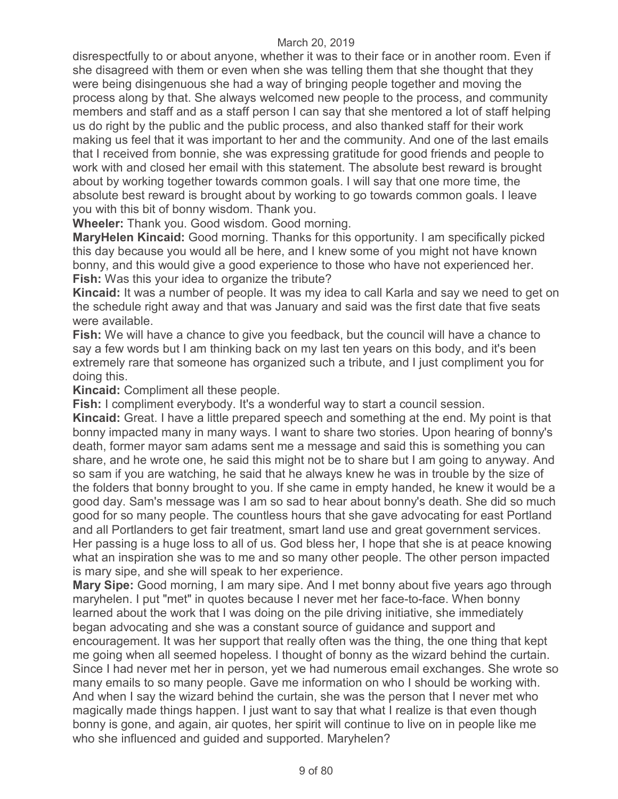disrespectfully to or about anyone, whether it was to their face or in another room. Even if she disagreed with them or even when she was telling them that she thought that they were being disingenuous she had a way of bringing people together and moving the process along by that. She always welcomed new people to the process, and community members and staff and as a staff person I can say that she mentored a lot of staff helping us do right by the public and the public process, and also thanked staff for their work making us feel that it was important to her and the community. And one of the last emails that I received from bonnie, she was expressing gratitude for good friends and people to work with and closed her email with this statement. The absolute best reward is brought about by working together towards common goals. I will say that one more time, the absolute best reward is brought about by working to go towards common goals. I leave you with this bit of bonny wisdom. Thank you.

**Wheeler:** Thank you. Good wisdom. Good morning.

**MaryHelen Kincaid:** Good morning. Thanks for this opportunity. I am specifically picked this day because you would all be here, and I knew some of you might not have known bonny, and this would give a good experience to those who have not experienced her. **Fish:** Was this your idea to organize the tribute?

**Kincaid:** It was a number of people. It was my idea to call Karla and say we need to get on the schedule right away and that was January and said was the first date that five seats were available.

**Fish:** We will have a chance to give you feedback, but the council will have a chance to say a few words but I am thinking back on my last ten years on this body, and it's been extremely rare that someone has organized such a tribute, and I just compliment you for doing this.

**Kincaid:** Compliment all these people.

**Fish:** I compliment everybody. It's a wonderful way to start a council session.

**Kincaid:** Great. I have a little prepared speech and something at the end. My point is that bonny impacted many in many ways. I want to share two stories. Upon hearing of bonny's death, former mayor sam adams sent me a message and said this is something you can share, and he wrote one, he said this might not be to share but I am going to anyway. And so sam if you are watching, he said that he always knew he was in trouble by the size of the folders that bonny brought to you. If she came in empty handed, he knew it would be a good day. Sam's message was I am so sad to hear about bonny's death. She did so much good for so many people. The countless hours that she gave advocating for east Portland and all Portlanders to get fair treatment, smart land use and great government services. Her passing is a huge loss to all of us. God bless her, I hope that she is at peace knowing what an inspiration she was to me and so many other people. The other person impacted is mary sipe, and she will speak to her experience.

**Mary Sipe:** Good morning, I am mary sipe. And I met bonny about five years ago through maryhelen. I put "met" in quotes because I never met her face-to-face. When bonny learned about the work that I was doing on the pile driving initiative, she immediately began advocating and she was a constant source of guidance and support and encouragement. It was her support that really often was the thing, the one thing that kept me going when all seemed hopeless. I thought of bonny as the wizard behind the curtain. Since I had never met her in person, yet we had numerous email exchanges. She wrote so many emails to so many people. Gave me information on who I should be working with. And when I say the wizard behind the curtain, she was the person that I never met who magically made things happen. I just want to say that what I realize is that even though bonny is gone, and again, air quotes, her spirit will continue to live on in people like me who she influenced and guided and supported. Maryhelen?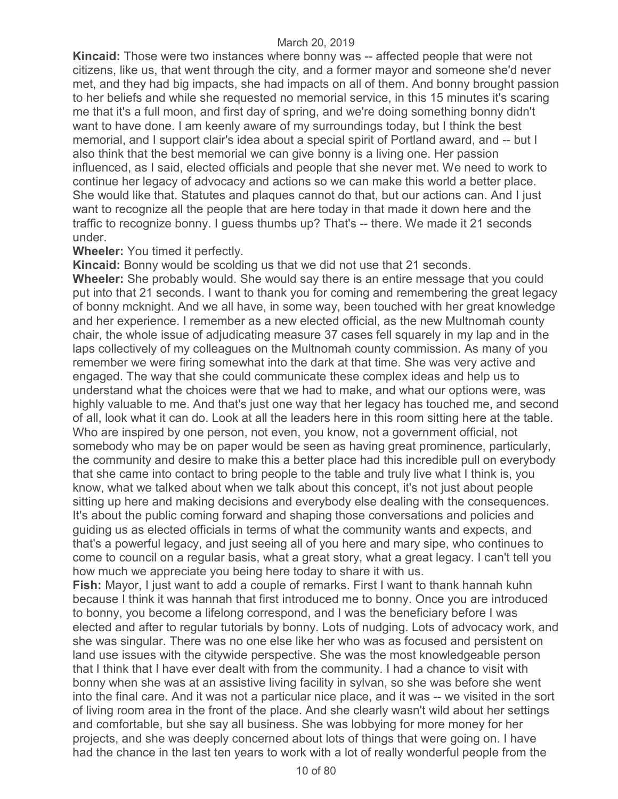**Kincaid:** Those were two instances where bonny was -- affected people that were not citizens, like us, that went through the city, and a former mayor and someone she'd never met, and they had big impacts, she had impacts on all of them. And bonny brought passion to her beliefs and while she requested no memorial service, in this 15 minutes it's scaring me that it's a full moon, and first day of spring, and we're doing something bonny didn't want to have done. I am keenly aware of my surroundings today, but I think the best memorial, and I support clair's idea about a special spirit of Portland award, and -- but I also think that the best memorial we can give bonny is a living one. Her passion influenced, as I said, elected officials and people that she never met. We need to work to continue her legacy of advocacy and actions so we can make this world a better place. She would like that. Statutes and plaques cannot do that, but our actions can. And I just want to recognize all the people that are here today in that made it down here and the traffic to recognize bonny. I guess thumbs up? That's -- there. We made it 21 seconds under.

# **Wheeler:** You timed it perfectly.

**Kincaid:** Bonny would be scolding us that we did not use that 21 seconds. **Wheeler:** She probably would. She would say there is an entire message that you could put into that 21 seconds. I want to thank you for coming and remembering the great legacy of bonny mcknight. And we all have, in some way, been touched with her great knowledge and her experience. I remember as a new elected official, as the new Multnomah county chair, the whole issue of adjudicating measure 37 cases fell squarely in my lap and in the laps collectively of my colleagues on the Multnomah county commission. As many of you remember we were firing somewhat into the dark at that time. She was very active and engaged. The way that she could communicate these complex ideas and help us to understand what the choices were that we had to make, and what our options were, was highly valuable to me. And that's just one way that her legacy has touched me, and second of all, look what it can do. Look at all the leaders here in this room sitting here at the table. Who are inspired by one person, not even, you know, not a government official, not somebody who may be on paper would be seen as having great prominence, particularly, the community and desire to make this a better place had this incredible pull on everybody that she came into contact to bring people to the table and truly live what I think is, you know, what we talked about when we talk about this concept, it's not just about people sitting up here and making decisions and everybody else dealing with the consequences. It's about the public coming forward and shaping those conversations and policies and guiding us as elected officials in terms of what the community wants and expects, and that's a powerful legacy, and just seeing all of you here and mary sipe, who continues to come to council on a regular basis, what a great story, what a great legacy. I can't tell you how much we appreciate you being here today to share it with us.

**Fish:** Mayor, I just want to add a couple of remarks. First I want to thank hannah kuhn because I think it was hannah that first introduced me to bonny. Once you are introduced to bonny, you become a lifelong correspond, and I was the beneficiary before I was elected and after to regular tutorials by bonny. Lots of nudging. Lots of advocacy work, and she was singular. There was no one else like her who was as focused and persistent on land use issues with the citywide perspective. She was the most knowledgeable person that I think that I have ever dealt with from the community. I had a chance to visit with bonny when she was at an assistive living facility in sylvan, so she was before she went into the final care. And it was not a particular nice place, and it was -- we visited in the sort of living room area in the front of the place. And she clearly wasn't wild about her settings and comfortable, but she say all business. She was lobbying for more money for her projects, and she was deeply concerned about lots of things that were going on. I have had the chance in the last ten years to work with a lot of really wonderful people from the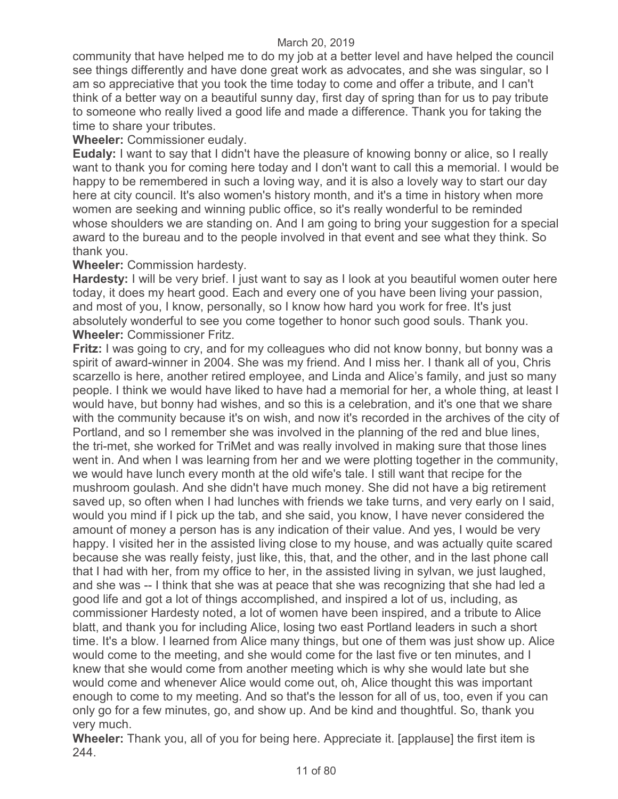community that have helped me to do my job at a better level and have helped the council see things differently and have done great work as advocates, and she was singular, so I am so appreciative that you took the time today to come and offer a tribute, and I can't think of a better way on a beautiful sunny day, first day of spring than for us to pay tribute to someone who really lived a good life and made a difference. Thank you for taking the time to share your tributes.

**Wheeler:** Commissioner eudaly.

**Eudaly:** I want to say that I didn't have the pleasure of knowing bonny or alice, so I really want to thank you for coming here today and I don't want to call this a memorial. I would be happy to be remembered in such a loving way, and it is also a lovely way to start our day here at city council. It's also women's history month, and it's a time in history when more women are seeking and winning public office, so it's really wonderful to be reminded whose shoulders we are standing on. And I am going to bring your suggestion for a special award to the bureau and to the people involved in that event and see what they think. So thank you.

**Wheeler:** Commission hardesty.

**Hardesty:** I will be very brief. I just want to say as I look at you beautiful women outer here today, it does my heart good. Each and every one of you have been living your passion, and most of you, I know, personally, so I know how hard you work for free. It's just absolutely wonderful to see you come together to honor such good souls. Thank you. **Wheeler:** Commissioner Fritz.

**Fritz:** I was going to cry, and for my colleagues who did not know bonny, but bonny was a spirit of award-winner in 2004. She was my friend. And I miss her. I thank all of you, Chris scarzello is here, another retired employee, and Linda and Alice's family, and just so many people. I think we would have liked to have had a memorial for her, a whole thing, at least I would have, but bonny had wishes, and so this is a celebration, and it's one that we share with the community because it's on wish, and now it's recorded in the archives of the city of Portland, and so I remember she was involved in the planning of the red and blue lines, the tri-met, she worked for TriMet and was really involved in making sure that those lines went in. And when I was learning from her and we were plotting together in the community, we would have lunch every month at the old wife's tale. I still want that recipe for the mushroom goulash. And she didn't have much money. She did not have a big retirement saved up, so often when I had lunches with friends we take turns, and very early on I said, would you mind if I pick up the tab, and she said, you know, I have never considered the amount of money a person has is any indication of their value. And yes, I would be very happy. I visited her in the assisted living close to my house, and was actually quite scared because she was really feisty, just like, this, that, and the other, and in the last phone call that I had with her, from my office to her, in the assisted living in sylvan, we just laughed, and she was -- I think that she was at peace that she was recognizing that she had led a good life and got a lot of things accomplished, and inspired a lot of us, including, as commissioner Hardesty noted, a lot of women have been inspired, and a tribute to Alice blatt, and thank you for including Alice, losing two east Portland leaders in such a short time. It's a blow. I learned from Alice many things, but one of them was just show up. Alice would come to the meeting, and she would come for the last five or ten minutes, and I knew that she would come from another meeting which is why she would late but she would come and whenever Alice would come out, oh, Alice thought this was important enough to come to my meeting. And so that's the lesson for all of us, too, even if you can only go for a few minutes, go, and show up. And be kind and thoughtful. So, thank you very much.

**Wheeler:** Thank you, all of you for being here. Appreciate it. [applause] the first item is 244.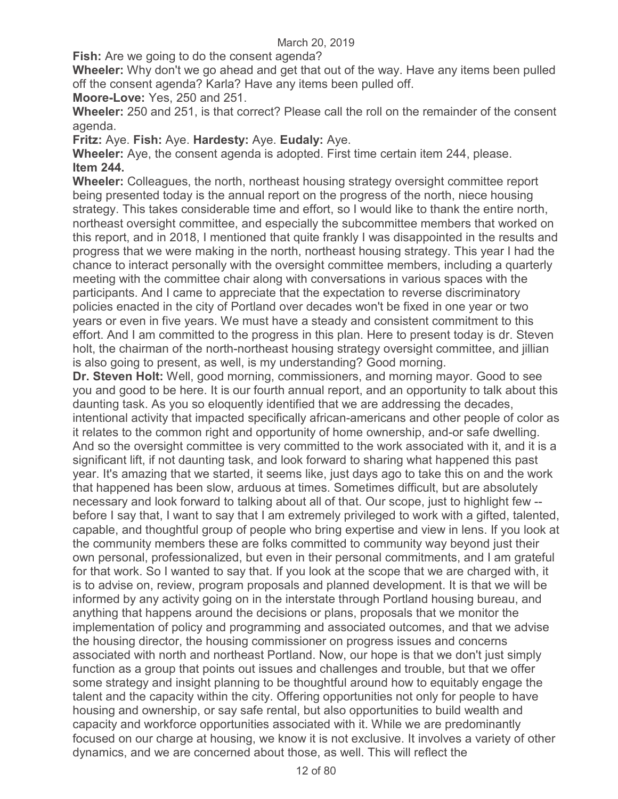**Fish:** Are we going to do the consent agenda?

**Wheeler:** Why don't we go ahead and get that out of the way. Have any items been pulled off the consent agenda? Karla? Have any items been pulled off.

**Moore-Love:** Yes, 250 and 251.

**Wheeler:** 250 and 251, is that correct? Please call the roll on the remainder of the consent agenda.

**Fritz:** Aye. **Fish:** Aye. **Hardesty:** Aye. **Eudaly:** Aye.

**Wheeler:** Aye, the consent agenda is adopted. First time certain item 244, please. **Item 244.** 

**Wheeler:** Colleagues, the north, northeast housing strategy oversight committee report being presented today is the annual report on the progress of the north, niece housing strategy. This takes considerable time and effort, so I would like to thank the entire north, northeast oversight committee, and especially the subcommittee members that worked on this report, and in 2018, I mentioned that quite frankly I was disappointed in the results and progress that we were making in the north, northeast housing strategy. This year I had the chance to interact personally with the oversight committee members, including a quarterly meeting with the committee chair along with conversations in various spaces with the participants. And I came to appreciate that the expectation to reverse discriminatory policies enacted in the city of Portland over decades won't be fixed in one year or two years or even in five years. We must have a steady and consistent commitment to this effort. And I am committed to the progress in this plan. Here to present today is dr. Steven holt, the chairman of the north-northeast housing strategy oversight committee, and jillian is also going to present, as well, is my understanding? Good morning.

**Dr. Steven Holt:** Well, good morning, commissioners, and morning mayor. Good to see you and good to be here. It is our fourth annual report, and an opportunity to talk about this daunting task. As you so eloquently identified that we are addressing the decades, intentional activity that impacted specifically african-americans and other people of color as it relates to the common right and opportunity of home ownership, and-or safe dwelling. And so the oversight committee is very committed to the work associated with it, and it is a significant lift, if not daunting task, and look forward to sharing what happened this past year. It's amazing that we started, it seems like, just days ago to take this on and the work that happened has been slow, arduous at times. Sometimes difficult, but are absolutely necessary and look forward to talking about all of that. Our scope, just to highlight few - before I say that, I want to say that I am extremely privileged to work with a gifted, talented, capable, and thoughtful group of people who bring expertise and view in lens. If you look at the community members these are folks committed to community way beyond just their own personal, professionalized, but even in their personal commitments, and I am grateful for that work. So I wanted to say that. If you look at the scope that we are charged with, it is to advise on, review, program proposals and planned development. It is that we will be informed by any activity going on in the interstate through Portland housing bureau, and anything that happens around the decisions or plans, proposals that we monitor the implementation of policy and programming and associated outcomes, and that we advise the housing director, the housing commissioner on progress issues and concerns associated with north and northeast Portland. Now, our hope is that we don't just simply function as a group that points out issues and challenges and trouble, but that we offer some strategy and insight planning to be thoughtful around how to equitably engage the talent and the capacity within the city. Offering opportunities not only for people to have housing and ownership, or say safe rental, but also opportunities to build wealth and capacity and workforce opportunities associated with it. While we are predominantly focused on our charge at housing, we know it is not exclusive. It involves a variety of other dynamics, and we are concerned about those, as well. This will reflect the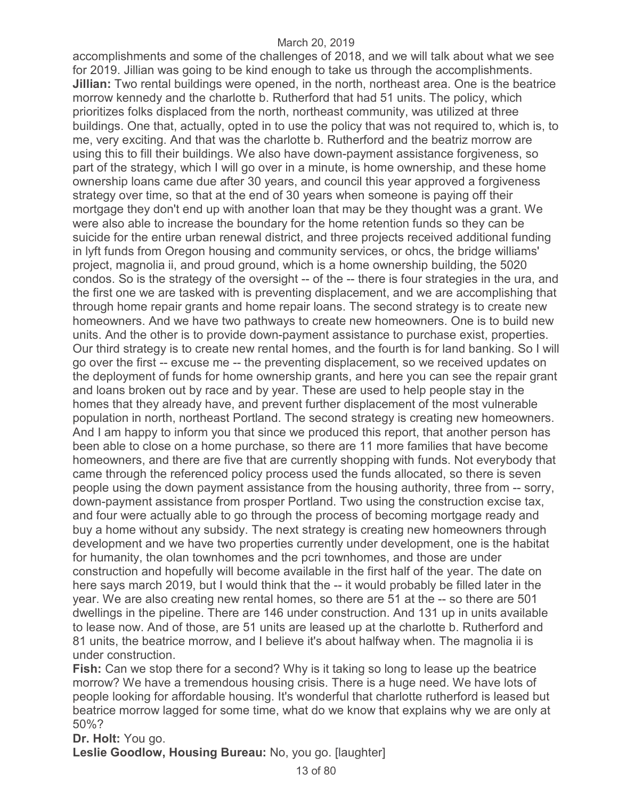accomplishments and some of the challenges of 2018, and we will talk about what we see for 2019. Jillian was going to be kind enough to take us through the accomplishments. **Jillian:** Two rental buildings were opened, in the north, northeast area. One is the beatrice morrow kennedy and the charlotte b. Rutherford that had 51 units. The policy, which prioritizes folks displaced from the north, northeast community, was utilized at three buildings. One that, actually, opted in to use the policy that was not required to, which is, to me, very exciting. And that was the charlotte b. Rutherford and the beatriz morrow are using this to fill their buildings. We also have down-payment assistance forgiveness, so part of the strategy, which I will go over in a minute, is home ownership, and these home ownership loans came due after 30 years, and council this year approved a forgiveness strategy over time, so that at the end of 30 years when someone is paying off their mortgage they don't end up with another loan that may be they thought was a grant. We were also able to increase the boundary for the home retention funds so they can be suicide for the entire urban renewal district, and three projects received additional funding in lyft funds from Oregon housing and community services, or ohcs, the bridge williams' project, magnolia ii, and proud ground, which is a home ownership building, the 5020 condos. So is the strategy of the oversight -- of the -- there is four strategies in the ura, and the first one we are tasked with is preventing displacement, and we are accomplishing that through home repair grants and home repair loans. The second strategy is to create new homeowners. And we have two pathways to create new homeowners. One is to build new units. And the other is to provide down-payment assistance to purchase exist, properties. Our third strategy is to create new rental homes, and the fourth is for land banking. So I will go over the first -- excuse me -- the preventing displacement, so we received updates on the deployment of funds for home ownership grants, and here you can see the repair grant and loans broken out by race and by year. These are used to help people stay in the homes that they already have, and prevent further displacement of the most vulnerable population in north, northeast Portland. The second strategy is creating new homeowners. And I am happy to inform you that since we produced this report, that another person has been able to close on a home purchase, so there are 11 more families that have become homeowners, and there are five that are currently shopping with funds. Not everybody that came through the referenced policy process used the funds allocated, so there is seven people using the down payment assistance from the housing authority, three from -- sorry, down-payment assistance from prosper Portland. Two using the construction excise tax, and four were actually able to go through the process of becoming mortgage ready and buy a home without any subsidy. The next strategy is creating new homeowners through development and we have two properties currently under development, one is the habitat for humanity, the olan townhomes and the pcri townhomes, and those are under construction and hopefully will become available in the first half of the year. The date on here says march 2019, but I would think that the -- it would probably be filled later in the year. We are also creating new rental homes, so there are 51 at the -- so there are 501 dwellings in the pipeline. There are 146 under construction. And 131 up in units available to lease now. And of those, are 51 units are leased up at the charlotte b. Rutherford and 81 units, the beatrice morrow, and I believe it's about halfway when. The magnolia ii is under construction.

**Fish:** Can we stop there for a second? Why is it taking so long to lease up the beatrice morrow? We have a tremendous housing crisis. There is a huge need. We have lots of people looking for affordable housing. It's wonderful that charlotte rutherford is leased but beatrice morrow lagged for some time, what do we know that explains why we are only at 50%?

**Dr. Holt:** You go.

**Leslie Goodlow, Housing Bureau:** No, you go. [laughter]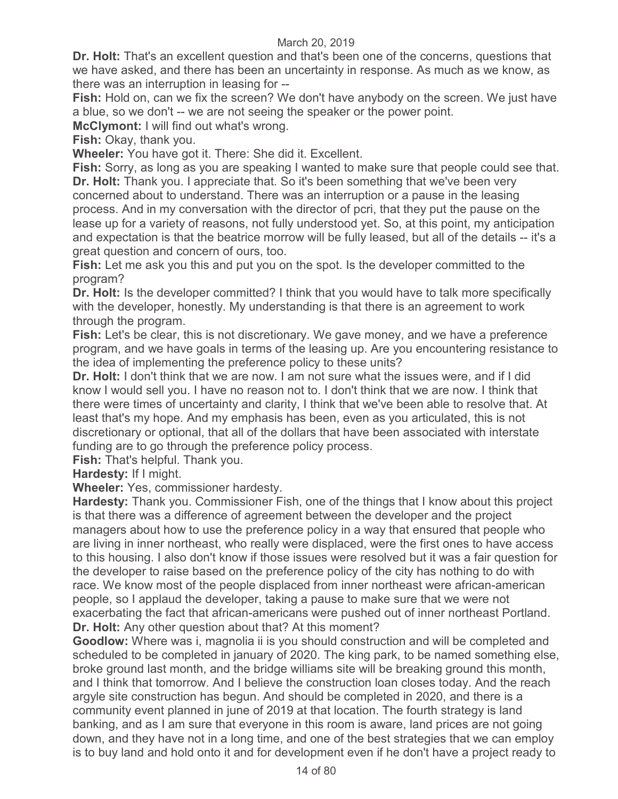**Dr. Holt:** That's an excellent question and that's been one of the concerns, questions that we have asked, and there has been an uncertainty in response. As much as we know, as there was an interruption in leasing for --

**Fish:** Hold on, can we fix the screen? We don't have anybody on the screen. We just have a blue, so we don't -- we are not seeing the speaker or the power point.

**McClymont:** I will find out what's wrong.

**Fish:** Okay, thank you.

**Wheeler:** You have got it. There: She did it. Excellent.

**Fish:** Sorry, as long as you are speaking I wanted to make sure that people could see that. **Dr. Holt:** Thank you. I appreciate that. So it's been something that we've been very concerned about to understand. There was an interruption or a pause in the leasing process. And in my conversation with the director of pcri, that they put the pause on the lease up for a variety of reasons, not fully understood yet. So, at this point, my anticipation and expectation is that the beatrice morrow will be fully leased, but all of the details -- it's a great question and concern of ours, too.

**Fish:** Let me ask you this and put you on the spot. Is the developer committed to the program?

**Dr. Holt:** Is the developer committed? I think that you would have to talk more specifically with the developer, honestly. My understanding is that there is an agreement to work through the program.

**Fish:** Let's be clear, this is not discretionary. We gave money, and we have a preference program, and we have goals in terms of the leasing up. Are you encountering resistance to the idea of implementing the preference policy to these units?

**Dr. Holt:** I don't think that we are now. I am not sure what the issues were, and if I did know I would sell you. I have no reason not to. I don't think that we are now. I think that there were times of uncertainty and clarity, I think that we've been able to resolve that. At least that's my hope. And my emphasis has been, even as you articulated, this is not discretionary or optional, that all of the dollars that have been associated with interstate funding are to go through the preference policy process.

**Fish:** That's helpful. Thank you.

**Hardesty:** If I might.

**Wheeler:** Yes, commissioner hardesty.

**Hardesty:** Thank you. Commissioner Fish, one of the things that I know about this project is that there was a difference of agreement between the developer and the project managers about how to use the preference policy in a way that ensured that people who are living in inner northeast, who really were displaced, were the first ones to have access to this housing. I also don't know if those issues were resolved but it was a fair question for the developer to raise based on the preference policy of the city has nothing to do with race. We know most of the people displaced from inner northeast were african-american people, so I applaud the developer, taking a pause to make sure that we were not exacerbating the fact that african-americans were pushed out of inner northeast Portland. **Dr. Holt:** Any other question about that? At this moment?

**Goodlow:** Where was i, magnolia ii is you should construction and will be completed and scheduled to be completed in january of 2020. The king park, to be named something else, broke ground last month, and the bridge williams site will be breaking ground this month, and I think that tomorrow. And I believe the construction loan closes today. And the reach argyle site construction has begun. And should be completed in 2020, and there is a community event planned in june of 2019 at that location. The fourth strategy is land banking, and as I am sure that everyone in this room is aware, land prices are not going down, and they have not in a long time, and one of the best strategies that we can employ is to buy land and hold onto it and for development even if he don't have a project ready to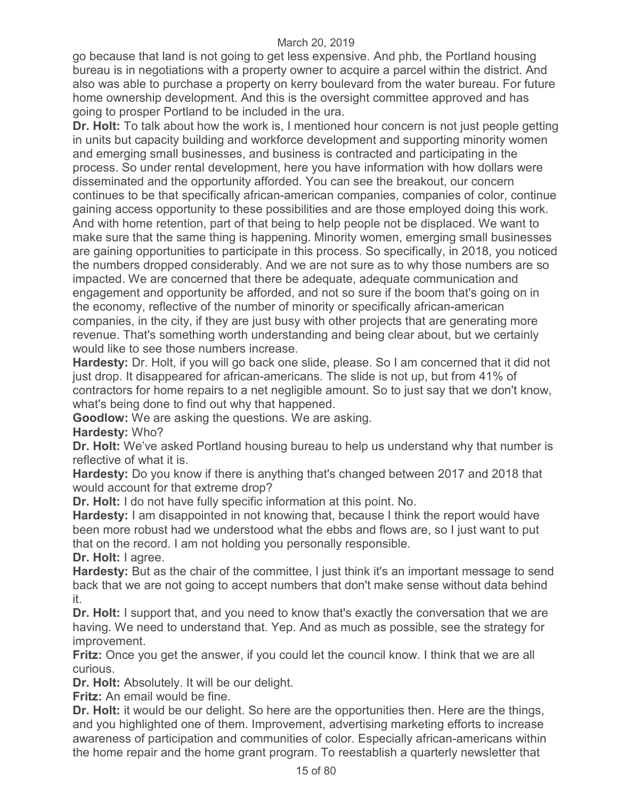go because that land is not going to get less expensive. And phb, the Portland housing bureau is in negotiations with a property owner to acquire a parcel within the district. And also was able to purchase a property on kerry boulevard from the water bureau. For future home ownership development. And this is the oversight committee approved and has going to prosper Portland to be included in the ura.

**Dr. Holt:** To talk about how the work is, I mentioned hour concern is not just people getting in units but capacity building and workforce development and supporting minority women and emerging small businesses, and business is contracted and participating in the process. So under rental development, here you have information with how dollars were disseminated and the opportunity afforded. You can see the breakout, our concern continues to be that specifically african-american companies, companies of color, continue gaining access opportunity to these possibilities and are those employed doing this work. And with home retention, part of that being to help people not be displaced. We want to make sure that the same thing is happening. Minority women, emerging small businesses are gaining opportunities to participate in this process. So specifically, in 2018, you noticed the numbers dropped considerably. And we are not sure as to why those numbers are so impacted. We are concerned that there be adequate, adequate communication and engagement and opportunity be afforded, and not so sure if the boom that's going on in the economy, reflective of the number of minority or specifically african-american companies, in the city, if they are just busy with other projects that are generating more revenue. That's something worth understanding and being clear about, but we certainly would like to see those numbers increase.

**Hardesty:** Dr. Holt, if you will go back one slide, please. So I am concerned that it did not just drop. It disappeared for african-americans. The slide is not up, but from 41% of contractors for home repairs to a net negligible amount. So to just say that we don't know, what's being done to find out why that happened.

**Goodlow:** We are asking the questions. We are asking.

**Hardesty:** Who?

**Dr. Holt:** We've asked Portland housing bureau to help us understand why that number is reflective of what it is.

**Hardesty:** Do you know if there is anything that's changed between 2017 and 2018 that would account for that extreme drop?

**Dr. Holt:** I do not have fully specific information at this point. No.

**Hardesty:** I am disappointed in not knowing that, because I think the report would have been more robust had we understood what the ebbs and flows are, so I just want to put that on the record. I am not holding you personally responsible.

**Dr. Holt:** I agree.

**Hardesty:** But as the chair of the committee, I just think it's an important message to send back that we are not going to accept numbers that don't make sense without data behind it.

**Dr. Holt:** I support that, and you need to know that's exactly the conversation that we are having. We need to understand that. Yep. And as much as possible, see the strategy for improvement.

**Fritz:** Once you get the answer, if you could let the council know. I think that we are all curious.

**Dr. Holt:** Absolutely. It will be our delight.

**Fritz:** An email would be fine.

**Dr. Holt:** it would be our delight. So here are the opportunities then. Here are the things, and you highlighted one of them. Improvement, advertising marketing efforts to increase awareness of participation and communities of color. Especially african-americans within the home repair and the home grant program. To reestablish a quarterly newsletter that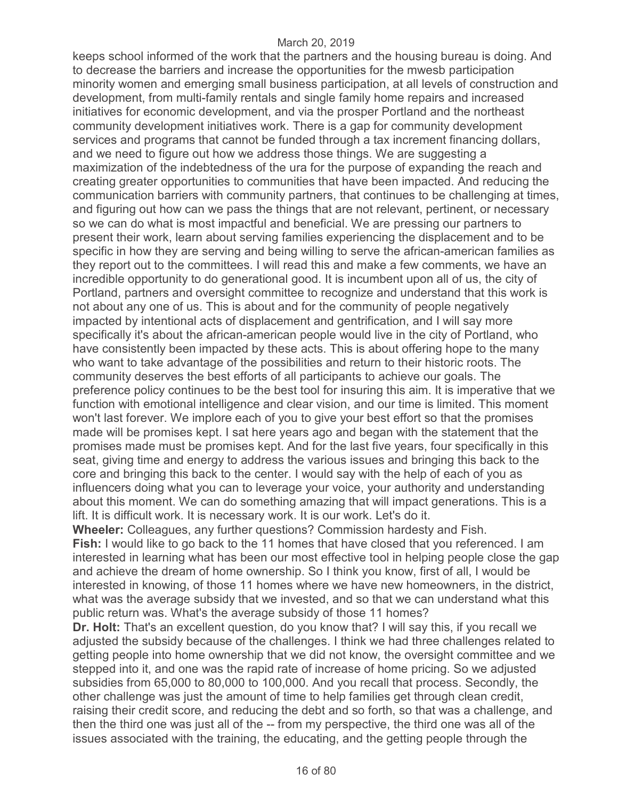keeps school informed of the work that the partners and the housing bureau is doing. And to decrease the barriers and increase the opportunities for the mwesb participation minority women and emerging small business participation, at all levels of construction and development, from multi-family rentals and single family home repairs and increased initiatives for economic development, and via the prosper Portland and the northeast community development initiatives work. There is a gap for community development services and programs that cannot be funded through a tax increment financing dollars, and we need to figure out how we address those things. We are suggesting a maximization of the indebtedness of the ura for the purpose of expanding the reach and creating greater opportunities to communities that have been impacted. And reducing the communication barriers with community partners, that continues to be challenging at times, and figuring out how can we pass the things that are not relevant, pertinent, or necessary so we can do what is most impactful and beneficial. We are pressing our partners to present their work, learn about serving families experiencing the displacement and to be specific in how they are serving and being willing to serve the african-american families as they report out to the committees. I will read this and make a few comments, we have an incredible opportunity to do generational good. It is incumbent upon all of us, the city of Portland, partners and oversight committee to recognize and understand that this work is not about any one of us. This is about and for the community of people negatively impacted by intentional acts of displacement and gentrification, and I will say more specifically it's about the african-american people would live in the city of Portland, who have consistently been impacted by these acts. This is about offering hope to the many who want to take advantage of the possibilities and return to their historic roots. The community deserves the best efforts of all participants to achieve our goals. The preference policy continues to be the best tool for insuring this aim. It is imperative that we function with emotional intelligence and clear vision, and our time is limited. This moment won't last forever. We implore each of you to give your best effort so that the promises made will be promises kept. I sat here years ago and began with the statement that the promises made must be promises kept. And for the last five years, four specifically in this seat, giving time and energy to address the various issues and bringing this back to the core and bringing this back to the center. I would say with the help of each of you as influencers doing what you can to leverage your voice, your authority and understanding about this moment. We can do something amazing that will impact generations. This is a lift. It is difficult work. It is necessary work. It is our work. Let's do it.

**Wheeler:** Colleagues, any further questions? Commission hardesty and Fish. **Fish:** I would like to go back to the 11 homes that have closed that you referenced. I am interested in learning what has been our most effective tool in helping people close the gap and achieve the dream of home ownership. So I think you know, first of all, I would be interested in knowing, of those 11 homes where we have new homeowners, in the district, what was the average subsidy that we invested, and so that we can understand what this public return was. What's the average subsidy of those 11 homes?

**Dr. Holt:** That's an excellent question, do you know that? I will say this, if you recall we adjusted the subsidy because of the challenges. I think we had three challenges related to getting people into home ownership that we did not know, the oversight committee and we stepped into it, and one was the rapid rate of increase of home pricing. So we adjusted subsidies from 65,000 to 80,000 to 100,000. And you recall that process. Secondly, the other challenge was just the amount of time to help families get through clean credit, raising their credit score, and reducing the debt and so forth, so that was a challenge, and then the third one was just all of the -- from my perspective, the third one was all of the issues associated with the training, the educating, and the getting people through the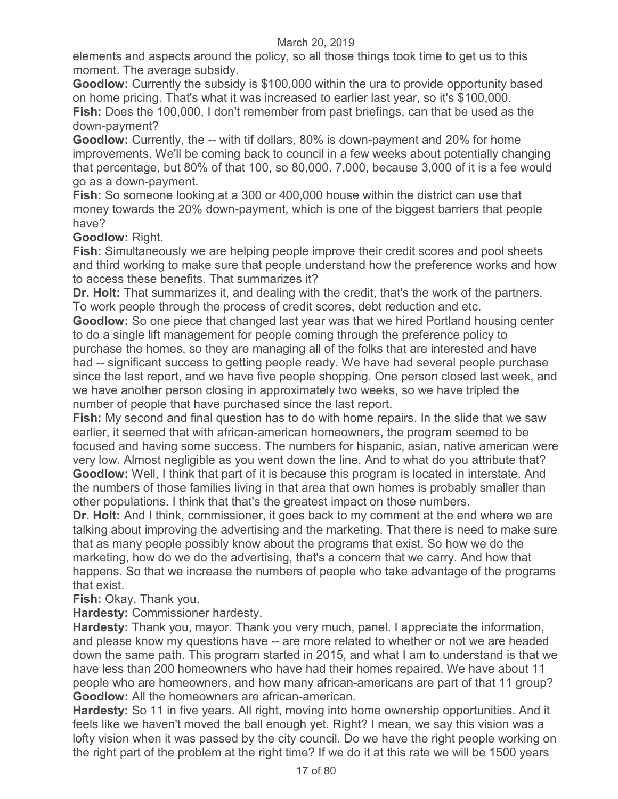elements and aspects around the policy, so all those things took time to get us to this moment. The average subsidy.

**Goodlow:** Currently the subsidy is \$100,000 within the ura to provide opportunity based on home pricing. That's what it was increased to earlier last year, so it's \$100,000. **Fish:** Does the 100,000, I don't remember from past briefings, can that be used as the down-payment?

**Goodlow:** Currently, the -- with tif dollars, 80% is down-payment and 20% for home improvements. We'll be coming back to council in a few weeks about potentially changing that percentage, but 80% of that 100, so 80,000. 7,000, because 3,000 of it is a fee would go as a down-payment.

**Fish:** So someone looking at a 300 or 400,000 house within the district can use that money towards the 20% down-payment, which is one of the biggest barriers that people have?

**Goodlow:** Right.

**Fish:** Simultaneously we are helping people improve their credit scores and pool sheets and third working to make sure that people understand how the preference works and how to access these benefits. That summarizes it?

**Dr. Holt:** That summarizes it, and dealing with the credit, that's the work of the partners. To work people through the process of credit scores, debt reduction and etc.

**Goodlow:** So one piece that changed last year was that we hired Portland housing center to do a single lift management for people coming through the preference policy to purchase the homes, so they are managing all of the folks that are interested and have had -- significant success to getting people ready. We have had several people purchase since the last report, and we have five people shopping. One person closed last week, and we have another person closing in approximately two weeks, so we have tripled the number of people that have purchased since the last report.

**Fish:** My second and final question has to do with home repairs. In the slide that we saw earlier, it seemed that with african-american homeowners, the program seemed to be focused and having some success. The numbers for hispanic, asian, native american were very low. Almost negligible as you went down the line. And to what do you attribute that? **Goodlow:** Well, I think that part of it is because this program is located in interstate. And the numbers of those families living in that area that own homes is probably smaller than other populations. I think that that's the greatest impact on those numbers.

**Dr. Holt:** And I think, commissioner, it goes back to my comment at the end where we are talking about improving the advertising and the marketing. That there is need to make sure that as many people possibly know about the programs that exist. So how we do the marketing, how do we do the advertising, that's a concern that we carry. And how that happens. So that we increase the numbers of people who take advantage of the programs that exist.

**Fish:** Okay. Thank you.

**Hardesty:** Commissioner hardesty.

**Hardesty:** Thank you, mayor. Thank you very much, panel. I appreciate the information, and please know my questions have -- are more related to whether or not we are headed down the same path. This program started in 2015, and what I am to understand is that we have less than 200 homeowners who have had their homes repaired. We have about 11 people who are homeowners, and how many african-americans are part of that 11 group? **Goodlow:** All the homeowners are african-american.

**Hardesty:** So 11 in five years. All right, moving into home ownership opportunities. And it feels like we haven't moved the ball enough yet. Right? I mean, we say this vision was a lofty vision when it was passed by the city council. Do we have the right people working on the right part of the problem at the right time? If we do it at this rate we will be 1500 years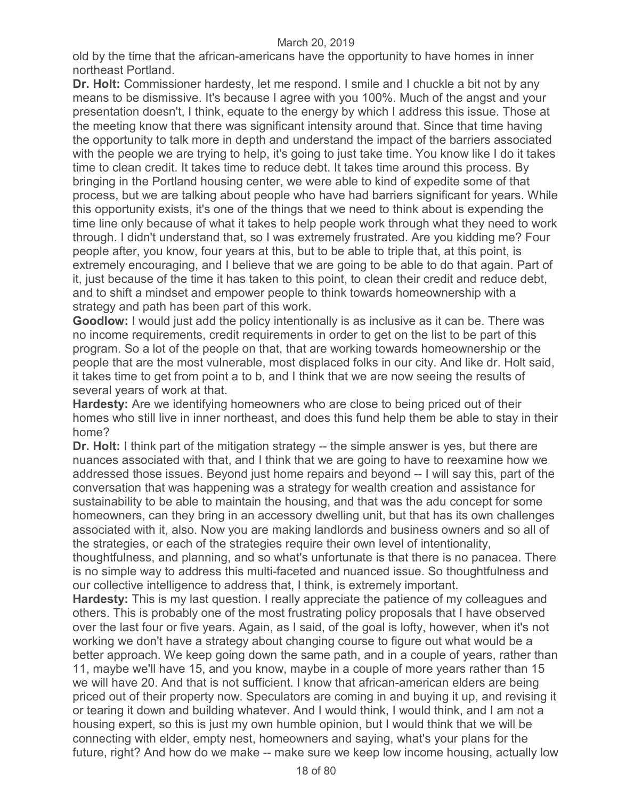old by the time that the african-americans have the opportunity to have homes in inner northeast Portland.

**Dr. Holt:** Commissioner hardesty, let me respond. I smile and I chuckle a bit not by any means to be dismissive. It's because I agree with you 100%. Much of the angst and your presentation doesn't, I think, equate to the energy by which I address this issue. Those at the meeting know that there was significant intensity around that. Since that time having the opportunity to talk more in depth and understand the impact of the barriers associated with the people we are trying to help, it's going to just take time. You know like I do it takes time to clean credit. It takes time to reduce debt. It takes time around this process. By bringing in the Portland housing center, we were able to kind of expedite some of that process, but we are talking about people who have had barriers significant for years. While this opportunity exists, it's one of the things that we need to think about is expending the time line only because of what it takes to help people work through what they need to work through. I didn't understand that, so I was extremely frustrated. Are you kidding me? Four people after, you know, four years at this, but to be able to triple that, at this point, is extremely encouraging, and I believe that we are going to be able to do that again. Part of it, just because of the time it has taken to this point, to clean their credit and reduce debt, and to shift a mindset and empower people to think towards homeownership with a strategy and path has been part of this work.

**Goodlow:** I would just add the policy intentionally is as inclusive as it can be. There was no income requirements, credit requirements in order to get on the list to be part of this program. So a lot of the people on that, that are working towards homeownership or the people that are the most vulnerable, most displaced folks in our city. And like dr. Holt said, it takes time to get from point a to b, and I think that we are now seeing the results of several years of work at that.

**Hardesty:** Are we identifying homeowners who are close to being priced out of their homes who still live in inner northeast, and does this fund help them be able to stay in their home?

**Dr. Holt:** I think part of the mitigation strategy -- the simple answer is yes, but there are nuances associated with that, and I think that we are going to have to reexamine how we addressed those issues. Beyond just home repairs and beyond -- I will say this, part of the conversation that was happening was a strategy for wealth creation and assistance for sustainability to be able to maintain the housing, and that was the adu concept for some homeowners, can they bring in an accessory dwelling unit, but that has its own challenges associated with it, also. Now you are making landlords and business owners and so all of the strategies, or each of the strategies require their own level of intentionality,

thoughtfulness, and planning, and so what's unfortunate is that there is no panacea. There is no simple way to address this multi-faceted and nuanced issue. So thoughtfulness and our collective intelligence to address that, I think, is extremely important.

**Hardesty:** This is my last question. I really appreciate the patience of my colleagues and others. This is probably one of the most frustrating policy proposals that I have observed over the last four or five years. Again, as I said, of the goal is lofty, however, when it's not working we don't have a strategy about changing course to figure out what would be a better approach. We keep going down the same path, and in a couple of years, rather than 11, maybe we'll have 15, and you know, maybe in a couple of more years rather than 15 we will have 20. And that is not sufficient. I know that african-american elders are being priced out of their property now. Speculators are coming in and buying it up, and revising it or tearing it down and building whatever. And I would think, I would think, and I am not a housing expert, so this is just my own humble opinion, but I would think that we will be connecting with elder, empty nest, homeowners and saying, what's your plans for the future, right? And how do we make -- make sure we keep low income housing, actually low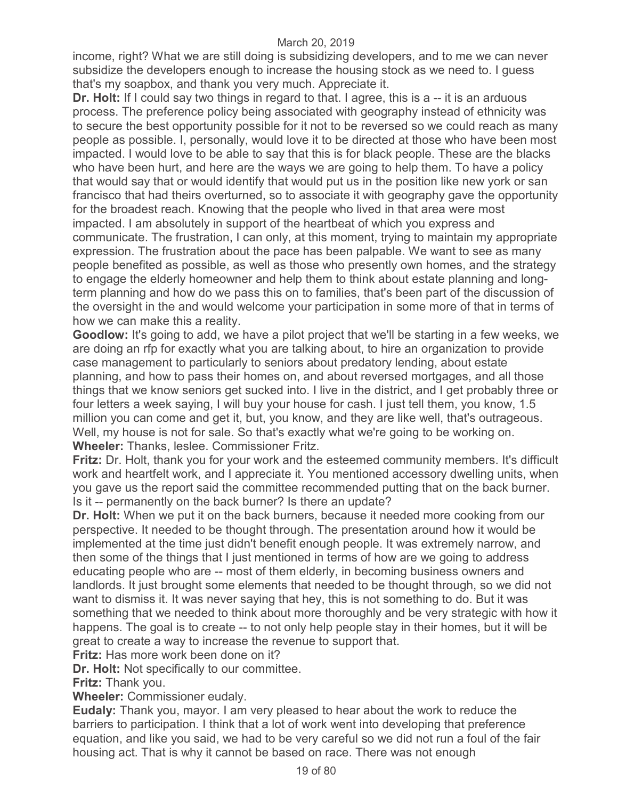income, right? What we are still doing is subsidizing developers, and to me we can never subsidize the developers enough to increase the housing stock as we need to. I guess that's my soapbox, and thank you very much. Appreciate it.

**Dr. Holt:** If I could say two things in regard to that. I agree, this is a -- it is an arduous process. The preference policy being associated with geography instead of ethnicity was to secure the best opportunity possible for it not to be reversed so we could reach as many people as possible. I, personally, would love it to be directed at those who have been most impacted. I would love to be able to say that this is for black people. These are the blacks who have been hurt, and here are the ways we are going to help them. To have a policy that would say that or would identify that would put us in the position like new york or san francisco that had theirs overturned, so to associate it with geography gave the opportunity for the broadest reach. Knowing that the people who lived in that area were most impacted. I am absolutely in support of the heartbeat of which you express and communicate. The frustration, I can only, at this moment, trying to maintain my appropriate expression. The frustration about the pace has been palpable. We want to see as many people benefited as possible, as well as those who presently own homes, and the strategy to engage the elderly homeowner and help them to think about estate planning and longterm planning and how do we pass this on to families, that's been part of the discussion of the oversight in the and would welcome your participation in some more of that in terms of how we can make this a reality.

**Goodlow:** It's going to add, we have a pilot project that we'll be starting in a few weeks, we are doing an rfp for exactly what you are talking about, to hire an organization to provide case management to particularly to seniors about predatory lending, about estate planning, and how to pass their homes on, and about reversed mortgages, and all those things that we know seniors get sucked into. I live in the district, and I get probably three or four letters a week saying, I will buy your house for cash. I just tell them, you know, 1.5 million you can come and get it, but, you know, and they are like well, that's outrageous. Well, my house is not for sale. So that's exactly what we're going to be working on. **Wheeler:** Thanks, leslee. Commissioner Fritz.

**Fritz:** Dr. Holt, thank you for your work and the esteemed community members. It's difficult work and heartfelt work, and I appreciate it. You mentioned accessory dwelling units, when you gave us the report said the committee recommended putting that on the back burner. Is it -- permanently on the back burner? Is there an update?

**Dr. Holt:** When we put it on the back burners, because it needed more cooking from our perspective. It needed to be thought through. The presentation around how it would be implemented at the time just didn't benefit enough people. It was extremely narrow, and then some of the things that I just mentioned in terms of how are we going to address educating people who are -- most of them elderly, in becoming business owners and landlords. It just brought some elements that needed to be thought through, so we did not want to dismiss it. It was never saying that hey, this is not something to do. But it was something that we needed to think about more thoroughly and be very strategic with how it happens. The goal is to create -- to not only help people stay in their homes, but it will be great to create a way to increase the revenue to support that.

**Fritz:** Has more work been done on it?

**Dr. Holt:** Not specifically to our committee.

**Fritz:** Thank you.

**Wheeler:** Commissioner eudaly.

**Eudaly:** Thank you, mayor. I am very pleased to hear about the work to reduce the barriers to participation. I think that a lot of work went into developing that preference equation, and like you said, we had to be very careful so we did not run a foul of the fair housing act. That is why it cannot be based on race. There was not enough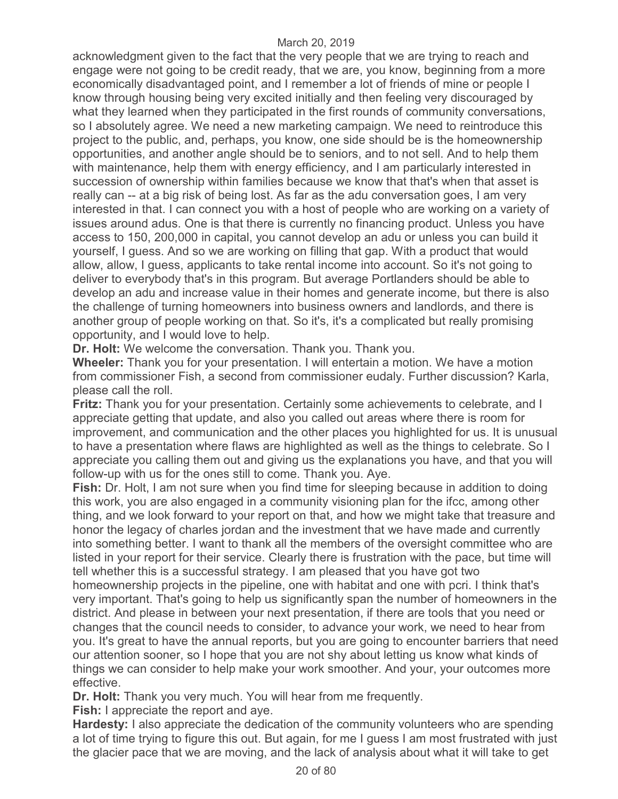acknowledgment given to the fact that the very people that we are trying to reach and engage were not going to be credit ready, that we are, you know, beginning from a more economically disadvantaged point, and I remember a lot of friends of mine or people I know through housing being very excited initially and then feeling very discouraged by what they learned when they participated in the first rounds of community conversations, so I absolutely agree. We need a new marketing campaign. We need to reintroduce this project to the public, and, perhaps, you know, one side should be is the homeownership opportunities, and another angle should be to seniors, and to not sell. And to help them with maintenance, help them with energy efficiency, and I am particularly interested in succession of ownership within families because we know that that's when that asset is really can -- at a big risk of being lost. As far as the adu conversation goes, I am very interested in that. I can connect you with a host of people who are working on a variety of issues around adus. One is that there is currently no financing product. Unless you have access to 150, 200,000 in capital, you cannot develop an adu or unless you can build it yourself, I guess. And so we are working on filling that gap. With a product that would allow, allow, I guess, applicants to take rental income into account. So it's not going to deliver to everybody that's in this program. But average Portlanders should be able to develop an adu and increase value in their homes and generate income, but there is also the challenge of turning homeowners into business owners and landlords, and there is another group of people working on that. So it's, it's a complicated but really promising opportunity, and I would love to help.

**Dr. Holt:** We welcome the conversation. Thank you. Thank you.

**Wheeler:** Thank you for your presentation. I will entertain a motion. We have a motion from commissioner Fish, a second from commissioner eudaly. Further discussion? Karla, please call the roll.

**Fritz:** Thank you for your presentation. Certainly some achievements to celebrate, and I appreciate getting that update, and also you called out areas where there is room for improvement, and communication and the other places you highlighted for us. It is unusual to have a presentation where flaws are highlighted as well as the things to celebrate. So I appreciate you calling them out and giving us the explanations you have, and that you will follow-up with us for the ones still to come. Thank you. Aye.

**Fish:** Dr. Holt, I am not sure when you find time for sleeping because in addition to doing this work, you are also engaged in a community visioning plan for the ifcc, among other thing, and we look forward to your report on that, and how we might take that treasure and honor the legacy of charles jordan and the investment that we have made and currently into something better. I want to thank all the members of the oversight committee who are listed in your report for their service. Clearly there is frustration with the pace, but time will tell whether this is a successful strategy. I am pleased that you have got two homeownership projects in the pipeline, one with habitat and one with pcri. I think that's very important. That's going to help us significantly span the number of homeowners in the district. And please in between your next presentation, if there are tools that you need or changes that the council needs to consider, to advance your work, we need to hear from you. It's great to have the annual reports, but you are going to encounter barriers that need our attention sooner, so I hope that you are not shy about letting us know what kinds of things we can consider to help make your work smoother. And your, your outcomes more effective.

**Dr. Holt:** Thank you very much. You will hear from me frequently.

**Fish:** I appreciate the report and aye.

**Hardesty:** I also appreciate the dedication of the community volunteers who are spending a lot of time trying to figure this out. But again, for me I guess I am most frustrated with just the glacier pace that we are moving, and the lack of analysis about what it will take to get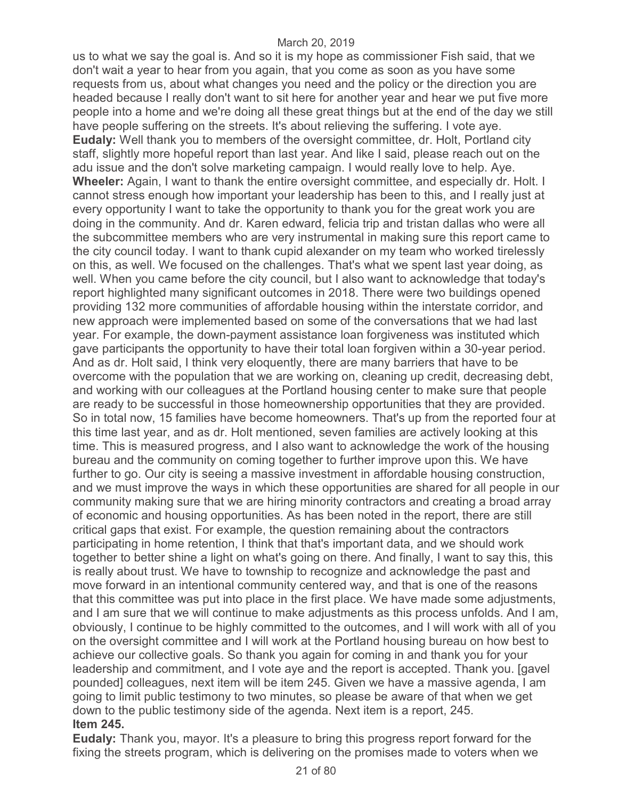us to what we say the goal is. And so it is my hope as commissioner Fish said, that we don't wait a year to hear from you again, that you come as soon as you have some requests from us, about what changes you need and the policy or the direction you are headed because I really don't want to sit here for another year and hear we put five more people into a home and we're doing all these great things but at the end of the day we still have people suffering on the streets. It's about relieving the suffering. I vote aye. **Eudaly:** Well thank you to members of the oversight committee, dr. Holt, Portland city staff, slightly more hopeful report than last year. And like I said, please reach out on the adu issue and the don't solve marketing campaign. I would really love to help. Aye. **Wheeler:** Again, I want to thank the entire oversight committee, and especially dr. Holt. I cannot stress enough how important your leadership has been to this, and I really just at every opportunity I want to take the opportunity to thank you for the great work you are doing in the community. And dr. Karen edward, felicia trip and tristan dallas who were all the subcommittee members who are very instrumental in making sure this report came to the city council today. I want to thank cupid alexander on my team who worked tirelessly on this, as well. We focused on the challenges. That's what we spent last year doing, as well. When you came before the city council, but I also want to acknowledge that today's report highlighted many significant outcomes in 2018. There were two buildings opened providing 132 more communities of affordable housing within the interstate corridor, and new approach were implemented based on some of the conversations that we had last year. For example, the down-payment assistance loan forgiveness was instituted which gave participants the opportunity to have their total loan forgiven within a 30-year period. And as dr. Holt said, I think very eloquently, there are many barriers that have to be overcome with the population that we are working on, cleaning up credit, decreasing debt, and working with our colleagues at the Portland housing center to make sure that people are ready to be successful in those homeownership opportunities that they are provided. So in total now, 15 families have become homeowners. That's up from the reported four at this time last year, and as dr. Holt mentioned, seven families are actively looking at this time. This is measured progress, and I also want to acknowledge the work of the housing bureau and the community on coming together to further improve upon this. We have further to go. Our city is seeing a massive investment in affordable housing construction, and we must improve the ways in which these opportunities are shared for all people in our community making sure that we are hiring minority contractors and creating a broad array of economic and housing opportunities. As has been noted in the report, there are still critical gaps that exist. For example, the question remaining about the contractors participating in home retention, I think that that's important data, and we should work together to better shine a light on what's going on there. And finally, I want to say this, this is really about trust. We have to township to recognize and acknowledge the past and move forward in an intentional community centered way, and that is one of the reasons that this committee was put into place in the first place. We have made some adjustments, and I am sure that we will continue to make adjustments as this process unfolds. And I am, obviously, I continue to be highly committed to the outcomes, and I will work with all of you on the oversight committee and I will work at the Portland housing bureau on how best to achieve our collective goals. So thank you again for coming in and thank you for your leadership and commitment, and I vote aye and the report is accepted. Thank you. [gavel pounded] colleagues, next item will be item 245. Given we have a massive agenda, I am going to limit public testimony to two minutes, so please be aware of that when we get down to the public testimony side of the agenda. Next item is a report, 245. **Item 245.** 

**Eudaly:** Thank you, mayor. It's a pleasure to bring this progress report forward for the fixing the streets program, which is delivering on the promises made to voters when we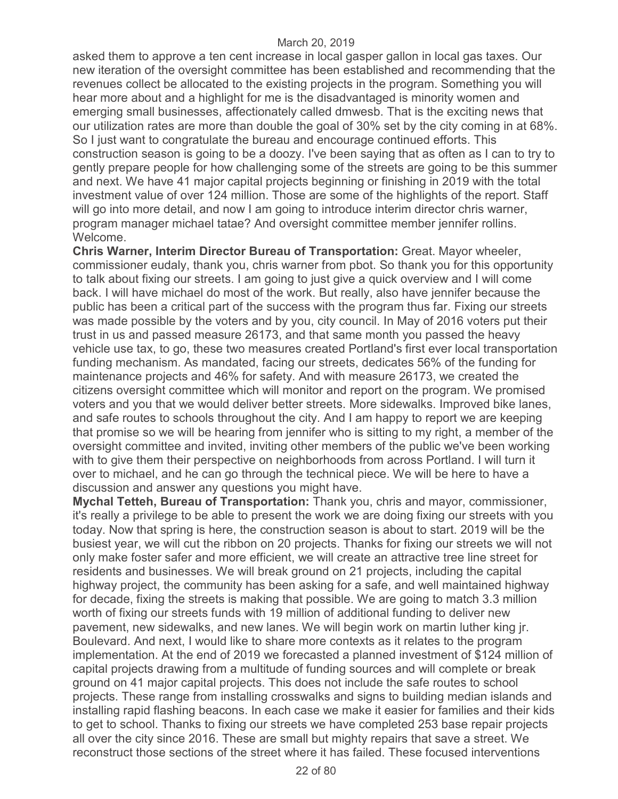asked them to approve a ten cent increase in local gasper gallon in local gas taxes. Our new iteration of the oversight committee has been established and recommending that the revenues collect be allocated to the existing projects in the program. Something you will hear more about and a highlight for me is the disadvantaged is minority women and emerging small businesses, affectionately called dmwesb. That is the exciting news that our utilization rates are more than double the goal of 30% set by the city coming in at 68%. So I just want to congratulate the bureau and encourage continued efforts. This construction season is going to be a doozy. I've been saying that as often as I can to try to gently prepare people for how challenging some of the streets are going to be this summer and next. We have 41 major capital projects beginning or finishing in 2019 with the total investment value of over 124 million. Those are some of the highlights of the report. Staff will go into more detail, and now I am going to introduce interim director chris warner, program manager michael tatae? And oversight committee member jennifer rollins. Welcome.

**Chris Warner, Interim Director Bureau of Transportation:** Great. Mayor wheeler, commissioner eudaly, thank you, chris warner from pbot. So thank you for this opportunity to talk about fixing our streets. I am going to just give a quick overview and I will come back. I will have michael do most of the work. But really, also have jennifer because the public has been a critical part of the success with the program thus far. Fixing our streets was made possible by the voters and by you, city council. In May of 2016 voters put their trust in us and passed measure 26173, and that same month you passed the heavy vehicle use tax, to go, these two measures created Portland's first ever local transportation funding mechanism. As mandated, facing our streets, dedicates 56% of the funding for maintenance projects and 46% for safety. And with measure 26173, we created the citizens oversight committee which will monitor and report on the program. We promised voters and you that we would deliver better streets. More sidewalks. Improved bike lanes, and safe routes to schools throughout the city. And I am happy to report we are keeping that promise so we will be hearing from jennifer who is sitting to my right, a member of the oversight committee and invited, inviting other members of the public we've been working with to give them their perspective on neighborhoods from across Portland. I will turn it over to michael, and he can go through the technical piece. We will be here to have a discussion and answer any questions you might have.

**Mychal Tetteh, Bureau of Transportation:** Thank you, chris and mayor, commissioner, it's really a privilege to be able to present the work we are doing fixing our streets with you today. Now that spring is here, the construction season is about to start. 2019 will be the busiest year, we will cut the ribbon on 20 projects. Thanks for fixing our streets we will not only make foster safer and more efficient, we will create an attractive tree line street for residents and businesses. We will break ground on 21 projects, including the capital highway project, the community has been asking for a safe, and well maintained highway for decade, fixing the streets is making that possible. We are going to match 3.3 million worth of fixing our streets funds with 19 million of additional funding to deliver new pavement, new sidewalks, and new lanes. We will begin work on martin luther king jr. Boulevard. And next, I would like to share more contexts as it relates to the program implementation. At the end of 2019 we forecasted a planned investment of \$124 million of capital projects drawing from a multitude of funding sources and will complete or break ground on 41 major capital projects. This does not include the safe routes to school projects. These range from installing crosswalks and signs to building median islands and installing rapid flashing beacons. In each case we make it easier for families and their kids to get to school. Thanks to fixing our streets we have completed 253 base repair projects all over the city since 2016. These are small but mighty repairs that save a street. We reconstruct those sections of the street where it has failed. These focused interventions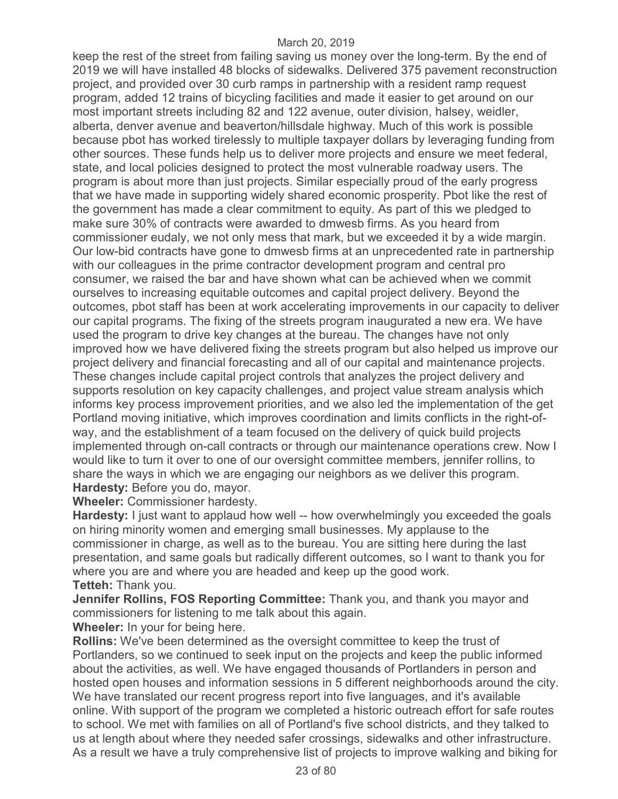keep the rest of the street from failing saving us money over the long-term. By the end of 2019 we will have installed 48 blocks of sidewalks. Delivered 375 pavement reconstruction project, and provided over 30 curb ramps in partnership with a resident ramp request program, added 12 trains of bicycling facilities and made it easier to get around on our most important streets including 82 and 122 avenue, outer division, halsey, weidler, alberta, denver avenue and beaverton/hillsdale highway. Much of this work is possible because pbot has worked tirelessly to multiple taxpayer dollars by leveraging funding from other sources. These funds help us to deliver more projects and ensure we meet federal, state, and local policies designed to protect the most vulnerable roadway users. The program is about more than just projects. Similar especially proud of the early progress that we have made in supporting widely shared economic prosperity. Pbot like the rest of the government has made a clear commitment to equity. As part of this we pledged to make sure 30% of contracts were awarded to dmwesb firms. As you heard from commissioner eudaly, we not only mess that mark, but we exceeded it by a wide margin. Our low-bid contracts have gone to dmwesb firms at an unprecedented rate in partnership with our colleagues in the prime contractor development program and central pro consumer, we raised the bar and have shown what can be achieved when we commit ourselves to increasing equitable outcomes and capital project delivery. Beyond the outcomes, pbot staff has been at work accelerating improvements in our capacity to deliver our capital programs. The fixing of the streets program inaugurated a new era. We have used the program to drive key changes at the bureau. The changes have not only improved how we have delivered fixing the streets program but also helped us improve our project delivery and financial forecasting and all of our capital and maintenance projects. These changes include capital project controls that analyzes the project delivery and supports resolution on key capacity challenges, and project value stream analysis which informs key process improvement priorities, and we also led the implementation of the get Portland moving initiative, which improves coordination and limits conflicts in the right-ofway, and the establishment of a team focused on the delivery of quick build projects implemented through on-call contracts or through our maintenance operations crew. Now I would like to turn it over to one of our oversight committee members, jennifer rollins, to share the ways in which we are engaging our neighbors as we deliver this program. **Hardesty:** Before you do, mayor.

**Wheeler:** Commissioner hardesty.

**Hardesty:** I just want to applaud how well -- how overwhelmingly you exceeded the goals on hiring minority women and emerging small businesses. My applause to the commissioner in charge, as well as to the bureau. You are sitting here during the last presentation, and same goals but radically different outcomes, so I want to thank you for where you are and where you are headed and keep up the good work. **Tetteh:** Thank you.

**Jennifer Rollins, FOS Reporting Committee:** Thank you, and thank you mayor and commissioners for listening to me talk about this again.

**Wheeler:** In your for being here.

**Rollins:** We've been determined as the oversight committee to keep the trust of Portlanders, so we continued to seek input on the projects and keep the public informed about the activities, as well. We have engaged thousands of Portlanders in person and hosted open houses and information sessions in 5 different neighborhoods around the city. We have translated our recent progress report into five languages, and it's available online. With support of the program we completed a historic outreach effort for safe routes to school. We met with families on all of Portland's five school districts, and they talked to us at length about where they needed safer crossings, sidewalks and other infrastructure. As a result we have a truly comprehensive list of projects to improve walking and biking for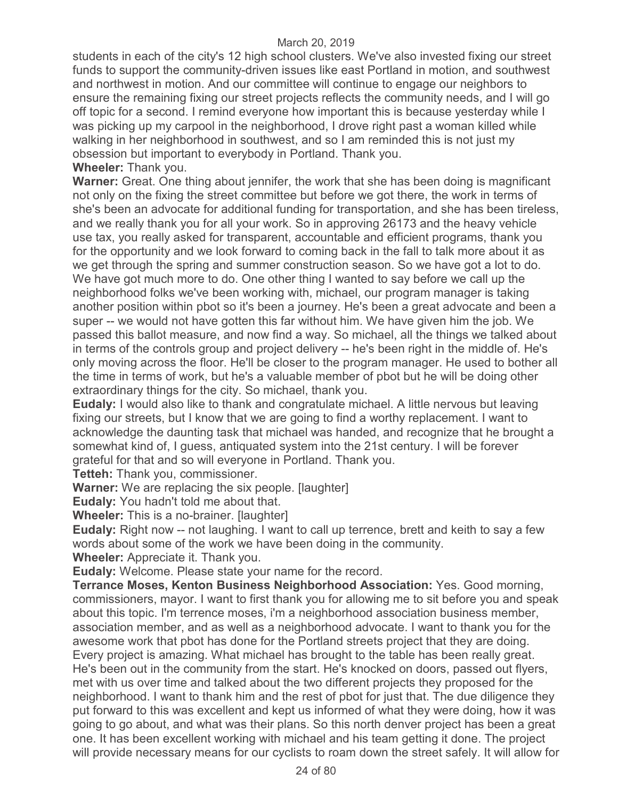students in each of the city's 12 high school clusters. We've also invested fixing our street funds to support the community-driven issues like east Portland in motion, and southwest and northwest in motion. And our committee will continue to engage our neighbors to ensure the remaining fixing our street projects reflects the community needs, and I will go off topic for a second. I remind everyone how important this is because yesterday while I was picking up my carpool in the neighborhood, I drove right past a woman killed while walking in her neighborhood in southwest, and so I am reminded this is not just my obsession but important to everybody in Portland. Thank you. **Wheeler:** Thank you.

**Warner:** Great. One thing about jennifer, the work that she has been doing is magnificant not only on the fixing the street committee but before we got there, the work in terms of she's been an advocate for additional funding for transportation, and she has been tireless, and we really thank you for all your work. So in approving 26173 and the heavy vehicle use tax, you really asked for transparent, accountable and efficient programs, thank you for the opportunity and we look forward to coming back in the fall to talk more about it as we get through the spring and summer construction season. So we have got a lot to do. We have got much more to do. One other thing I wanted to say before we call up the neighborhood folks we've been working with, michael, our program manager is taking another position within pbot so it's been a journey. He's been a great advocate and been a super -- we would not have gotten this far without him. We have given him the job. We passed this ballot measure, and now find a way. So michael, all the things we talked about in terms of the controls group and project delivery -- he's been right in the middle of. He's only moving across the floor. He'll be closer to the program manager. He used to bother all the time in terms of work, but he's a valuable member of pbot but he will be doing other extraordinary things for the city. So michael, thank you.

**Eudaly:** I would also like to thank and congratulate michael. A little nervous but leaving fixing our streets, but I know that we are going to find a worthy replacement. I want to acknowledge the daunting task that michael was handed, and recognize that he brought a somewhat kind of, I guess, antiquated system into the 21st century. I will be forever grateful for that and so will everyone in Portland. Thank you.

**Tetteh:** Thank you, commissioner.

**Warner:** We are replacing the six people. [laughter]

**Eudaly:** You hadn't told me about that.

**Wheeler:** This is a no-brainer. [laughter]

**Eudaly:** Right now -- not laughing. I want to call up terrence, brett and keith to say a few words about some of the work we have been doing in the community.

**Wheeler:** Appreciate it. Thank you.

**Eudaly:** Welcome. Please state your name for the record.

**Terrance Moses, Kenton Business Neighborhood Association:** Yes. Good morning, commissioners, mayor. I want to first thank you for allowing me to sit before you and speak about this topic. I'm terrence moses, i'm a neighborhood association business member, association member, and as well as a neighborhood advocate. I want to thank you for the awesome work that pbot has done for the Portland streets project that they are doing. Every project is amazing. What michael has brought to the table has been really great. He's been out in the community from the start. He's knocked on doors, passed out flyers, met with us over time and talked about the two different projects they proposed for the neighborhood. I want to thank him and the rest of pbot for just that. The due diligence they put forward to this was excellent and kept us informed of what they were doing, how it was going to go about, and what was their plans. So this north denver project has been a great one. It has been excellent working with michael and his team getting it done. The project will provide necessary means for our cyclists to roam down the street safely. It will allow for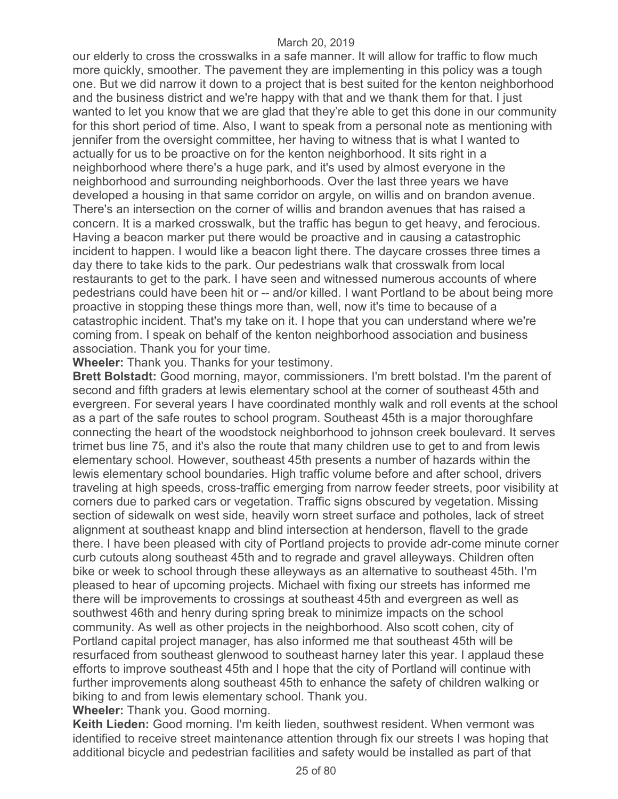our elderly to cross the crosswalks in a safe manner. It will allow for traffic to flow much more quickly, smoother. The pavement they are implementing in this policy was a tough one. But we did narrow it down to a project that is best suited for the kenton neighborhood and the business district and we're happy with that and we thank them for that. I just wanted to let you know that we are glad that they're able to get this done in our community for this short period of time. Also, I want to speak from a personal note as mentioning with jennifer from the oversight committee, her having to witness that is what I wanted to actually for us to be proactive on for the kenton neighborhood. It sits right in a neighborhood where there's a huge park, and it's used by almost everyone in the neighborhood and surrounding neighborhoods. Over the last three years we have developed a housing in that same corridor on argyle, on willis and on brandon avenue. There's an intersection on the corner of willis and brandon avenues that has raised a concern. It is a marked crosswalk, but the traffic has begun to get heavy, and ferocious. Having a beacon marker put there would be proactive and in causing a catastrophic incident to happen. I would like a beacon light there. The daycare crosses three times a day there to take kids to the park. Our pedestrians walk that crosswalk from local restaurants to get to the park. I have seen and witnessed numerous accounts of where pedestrians could have been hit or -- and/or killed. I want Portland to be about being more proactive in stopping these things more than, well, now it's time to because of a catastrophic incident. That's my take on it. I hope that you can understand where we're coming from. I speak on behalf of the kenton neighborhood association and business association. Thank you for your time.

**Wheeler:** Thank you. Thanks for your testimony.

**Brett Bolstadt:** Good morning, mayor, commissioners. I'm brett bolstad. I'm the parent of second and fifth graders at lewis elementary school at the corner of southeast 45th and evergreen. For several years I have coordinated monthly walk and roll events at the school as a part of the safe routes to school program. Southeast 45th is a major thoroughfare connecting the heart of the woodstock neighborhood to johnson creek boulevard. It serves trimet bus line 75, and it's also the route that many children use to get to and from lewis elementary school. However, southeast 45th presents a number of hazards within the lewis elementary school boundaries. High traffic volume before and after school, drivers traveling at high speeds, cross-traffic emerging from narrow feeder streets, poor visibility at corners due to parked cars or vegetation. Traffic signs obscured by vegetation. Missing section of sidewalk on west side, heavily worn street surface and potholes, lack of street alignment at southeast knapp and blind intersection at henderson, flavell to the grade there. I have been pleased with city of Portland projects to provide adr-come minute corner curb cutouts along southeast 45th and to regrade and gravel alleyways. Children often bike or week to school through these alleyways as an alternative to southeast 45th. I'm pleased to hear of upcoming projects. Michael with fixing our streets has informed me there will be improvements to crossings at southeast 45th and evergreen as well as southwest 46th and henry during spring break to minimize impacts on the school community. As well as other projects in the neighborhood. Also scott cohen, city of Portland capital project manager, has also informed me that southeast 45th will be resurfaced from southeast glenwood to southeast harney later this year. I applaud these efforts to improve southeast 45th and I hope that the city of Portland will continue with further improvements along southeast 45th to enhance the safety of children walking or biking to and from lewis elementary school. Thank you. **Wheeler:** Thank you. Good morning.

**Keith Lieden:** Good morning. I'm keith lieden, southwest resident. When vermont was identified to receive street maintenance attention through fix our streets I was hoping that additional bicycle and pedestrian facilities and safety would be installed as part of that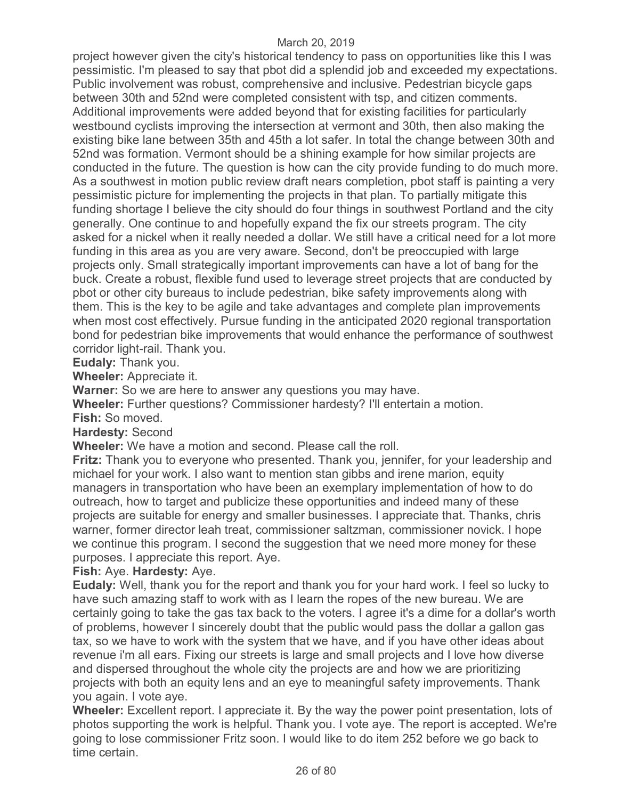project however given the city's historical tendency to pass on opportunities like this I was pessimistic. I'm pleased to say that pbot did a splendid job and exceeded my expectations. Public involvement was robust, comprehensive and inclusive. Pedestrian bicycle gaps between 30th and 52nd were completed consistent with tsp, and citizen comments. Additional improvements were added beyond that for existing facilities for particularly westbound cyclists improving the intersection at vermont and 30th, then also making the existing bike lane between 35th and 45th a lot safer. In total the change between 30th and 52nd was formation. Vermont should be a shining example for how similar projects are conducted in the future. The question is how can the city provide funding to do much more. As a southwest in motion public review draft nears completion, pbot staff is painting a very pessimistic picture for implementing the projects in that plan. To partially mitigate this funding shortage I believe the city should do four things in southwest Portland and the city generally. One continue to and hopefully expand the fix our streets program. The city asked for a nickel when it really needed a dollar. We still have a critical need for a lot more funding in this area as you are very aware. Second, don't be preoccupied with large projects only. Small strategically important improvements can have a lot of bang for the buck. Create a robust, flexible fund used to leverage street projects that are conducted by pbot or other city bureaus to include pedestrian, bike safety improvements along with them. This is the key to be agile and take advantages and complete plan improvements when most cost effectively. Pursue funding in the anticipated 2020 regional transportation bond for pedestrian bike improvements that would enhance the performance of southwest corridor light-rail. Thank you.

**Eudaly:** Thank you.

**Wheeler:** Appreciate it.

**Warner:** So we are here to answer any questions you may have.

**Wheeler:** Further questions? Commissioner hardesty? I'll entertain a motion. **Fish:** So moved.

**Hardesty:** Second

**Wheeler:** We have a motion and second. Please call the roll.

**Fritz:** Thank you to everyone who presented. Thank you, jennifer, for your leadership and michael for your work. I also want to mention stan gibbs and irene marion, equity managers in transportation who have been an exemplary implementation of how to do outreach, how to target and publicize these opportunities and indeed many of these projects are suitable for energy and smaller businesses. I appreciate that. Thanks, chris warner, former director leah treat, commissioner saltzman, commissioner novick. I hope we continue this program. I second the suggestion that we need more money for these purposes. I appreciate this report. Aye.

## **Fish:** Aye. **Hardesty:** Aye.

**Eudaly:** Well, thank you for the report and thank you for your hard work. I feel so lucky to have such amazing staff to work with as I learn the ropes of the new bureau. We are certainly going to take the gas tax back to the voters. I agree it's a dime for a dollar's worth of problems, however I sincerely doubt that the public would pass the dollar a gallon gas tax, so we have to work with the system that we have, and if you have other ideas about revenue i'm all ears. Fixing our streets is large and small projects and I love how diverse and dispersed throughout the whole city the projects are and how we are prioritizing projects with both an equity lens and an eye to meaningful safety improvements. Thank you again. I vote aye.

**Wheeler:** Excellent report. I appreciate it. By the way the power point presentation, lots of photos supporting the work is helpful. Thank you. I vote aye. The report is accepted. We're going to lose commissioner Fritz soon. I would like to do item 252 before we go back to time certain.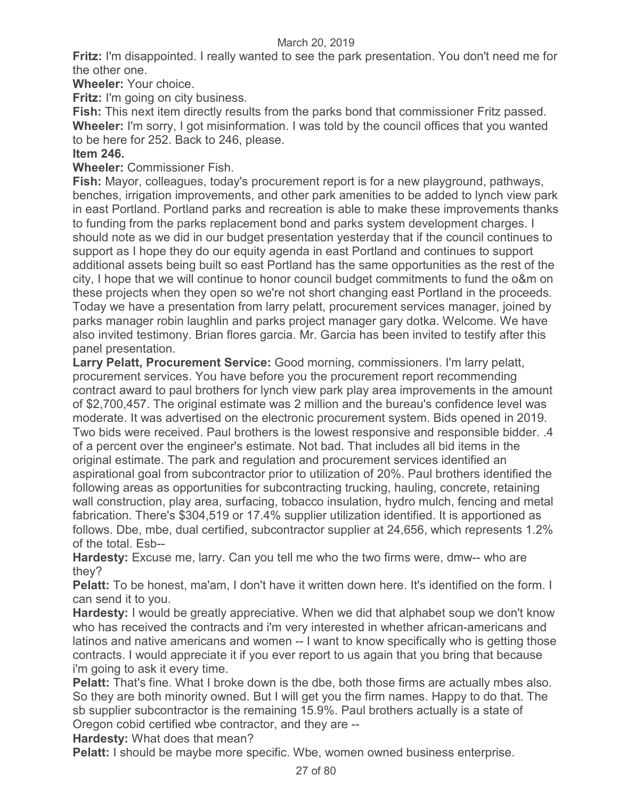**Fritz:** I'm disappointed. I really wanted to see the park presentation. You don't need me for the other one.

**Wheeler:** Your choice.

**Fritz:** I'm going on city business.

**Fish:** This next item directly results from the parks bond that commissioner Fritz passed. **Wheeler:** I'm sorry, I got misinformation. I was told by the council offices that you wanted to be here for 252. Back to 246, please.

# **Item 246.**

**Wheeler:** Commissioner Fish.

**Fish:** Mayor, colleagues, today's procurement report is for a new playground, pathways, benches, irrigation improvements, and other park amenities to be added to lynch view park in east Portland. Portland parks and recreation is able to make these improvements thanks to funding from the parks replacement bond and parks system development charges. I should note as we did in our budget presentation yesterday that if the council continues to support as I hope they do our equity agenda in east Portland and continues to support additional assets being built so east Portland has the same opportunities as the rest of the city, I hope that we will continue to honor council budget commitments to fund the o&m on these projects when they open so we're not short changing east Portland in the proceeds. Today we have a presentation from larry pelatt, procurement services manager, joined by parks manager robin laughlin and parks project manager gary dotka. Welcome. We have also invited testimony. Brian flores garcia. Mr. Garcia has been invited to testify after this panel presentation.

**Larry Pelatt, Procurement Service:** Good morning, commissioners. I'm larry pelatt, procurement services. You have before you the procurement report recommending contract award to paul brothers for lynch view park play area improvements in the amount of \$2,700,457. The original estimate was 2 million and the bureau's confidence level was moderate. It was advertised on the electronic procurement system. Bids opened in 2019. Two bids were received. Paul brothers is the lowest responsive and responsible bidder. .4 of a percent over the engineer's estimate. Not bad. That includes all bid items in the original estimate. The park and regulation and procurement services identified an aspirational goal from subcontractor prior to utilization of 20%. Paul brothers identified the following areas as opportunities for subcontracting trucking, hauling, concrete, retaining wall construction, play area, surfacing, tobacco insulation, hydro mulch, fencing and metal fabrication. There's \$304,519 or 17.4% supplier utilization identified. It is apportioned as follows. Dbe, mbe, dual certified, subcontractor supplier at 24,656, which represents 1.2% of the total. Esb--

**Hardesty:** Excuse me, larry. Can you tell me who the two firms were, dmw-- who are they?

**Pelatt:** To be honest, ma'am, I don't have it written down here. It's identified on the form. I can send it to you.

**Hardesty:** I would be greatly appreciative. When we did that alphabet soup we don't know who has received the contracts and i'm very interested in whether african-americans and latinos and native americans and women -- I want to know specifically who is getting those contracts. I would appreciate it if you ever report to us again that you bring that because i'm going to ask it every time.

**Pelatt:** That's fine. What I broke down is the dbe, both those firms are actually mbes also. So they are both minority owned. But I will get you the firm names. Happy to do that. The sb supplier subcontractor is the remaining 15.9%. Paul brothers actually is a state of Oregon cobid certified wbe contractor, and they are --

**Hardesty:** What does that mean?

**Pelatt:** I should be maybe more specific. Wbe, women owned business enterprise.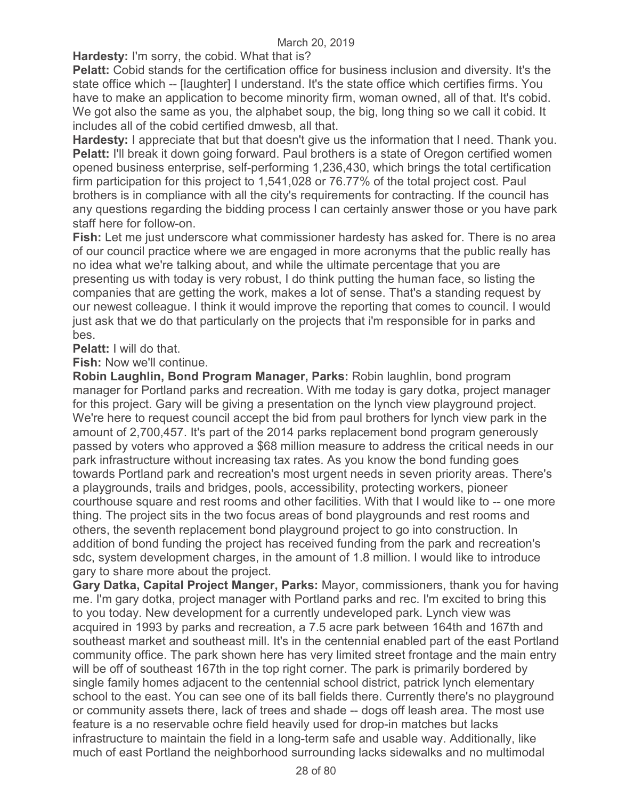**Hardesty:** I'm sorry, the cobid. What that is?

**Pelatt:** Cobid stands for the certification office for business inclusion and diversity. It's the state office which -- [laughter] I understand. It's the state office which certifies firms. You have to make an application to become minority firm, woman owned, all of that. It's cobid. We got also the same as you, the alphabet soup, the big, long thing so we call it cobid. It includes all of the cobid certified dmwesb, all that.

**Hardesty:** I appreciate that but that doesn't give us the information that I need. Thank you. **Pelatt: I'll break it down going forward. Paul brothers is a state of Oregon certified women** opened business enterprise, self-performing 1,236,430, which brings the total certification firm participation for this project to 1,541,028 or 76.77% of the total project cost. Paul brothers is in compliance with all the city's requirements for contracting. If the council has any questions regarding the bidding process I can certainly answer those or you have park staff here for follow-on.

**Fish:** Let me just underscore what commissioner hardesty has asked for. There is no area of our council practice where we are engaged in more acronyms that the public really has no idea what we're talking about, and while the ultimate percentage that you are presenting us with today is very robust, I do think putting the human face, so listing the companies that are getting the work, makes a lot of sense. That's a standing request by our newest colleague. I think it would improve the reporting that comes to council. I would just ask that we do that particularly on the projects that i'm responsible for in parks and bes.

**Pelatt:** I will do that.

**Fish:** Now we'll continue.

**Robin Laughlin, Bond Program Manager, Parks:** Robin laughlin, bond program manager for Portland parks and recreation. With me today is gary dotka, project manager for this project. Gary will be giving a presentation on the lynch view playground project. We're here to request council accept the bid from paul brothers for lynch view park in the amount of 2,700,457. It's part of the 2014 parks replacement bond program generously passed by voters who approved a \$68 million measure to address the critical needs in our park infrastructure without increasing tax rates. As you know the bond funding goes towards Portland park and recreation's most urgent needs in seven priority areas. There's a playgrounds, trails and bridges, pools, accessibility, protecting workers, pioneer courthouse square and rest rooms and other facilities. With that I would like to -- one more thing. The project sits in the two focus areas of bond playgrounds and rest rooms and others, the seventh replacement bond playground project to go into construction. In addition of bond funding the project has received funding from the park and recreation's sdc, system development charges, in the amount of 1.8 million. I would like to introduce gary to share more about the project.

**Gary Datka, Capital Project Manger, Parks:** Mayor, commissioners, thank you for having me. I'm gary dotka, project manager with Portland parks and rec. I'm excited to bring this to you today. New development for a currently undeveloped park. Lynch view was acquired in 1993 by parks and recreation, a 7.5 acre park between 164th and 167th and southeast market and southeast mill. It's in the centennial enabled part of the east Portland community office. The park shown here has very limited street frontage and the main entry will be off of southeast 167th in the top right corner. The park is primarily bordered by single family homes adjacent to the centennial school district, patrick lynch elementary school to the east. You can see one of its ball fields there. Currently there's no playground or community assets there, lack of trees and shade -- dogs off leash area. The most use feature is a no reservable ochre field heavily used for drop-in matches but lacks infrastructure to maintain the field in a long-term safe and usable way. Additionally, like much of east Portland the neighborhood surrounding lacks sidewalks and no multimodal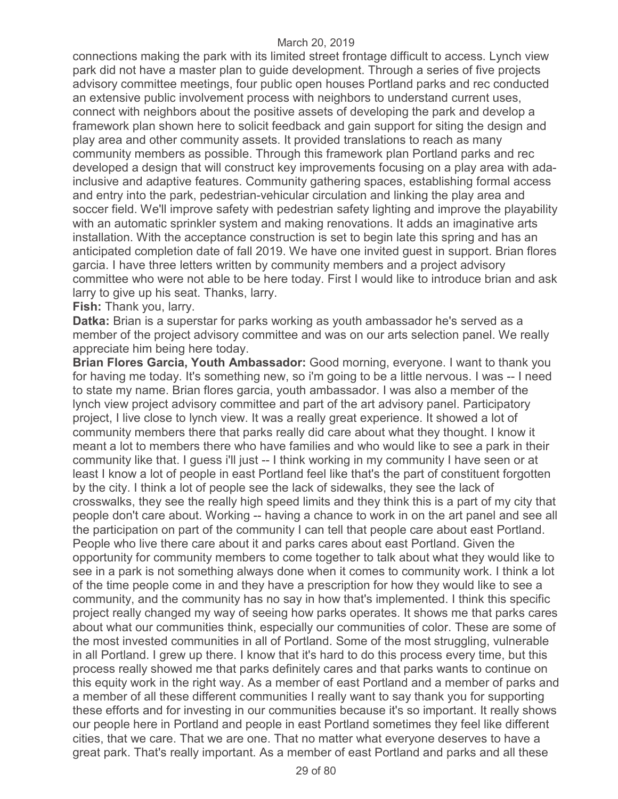connections making the park with its limited street frontage difficult to access. Lynch view park did not have a master plan to guide development. Through a series of five projects advisory committee meetings, four public open houses Portland parks and rec conducted an extensive public involvement process with neighbors to understand current uses, connect with neighbors about the positive assets of developing the park and develop a framework plan shown here to solicit feedback and gain support for siting the design and play area and other community assets. It provided translations to reach as many community members as possible. Through this framework plan Portland parks and rec developed a design that will construct key improvements focusing on a play area with adainclusive and adaptive features. Community gathering spaces, establishing formal access and entry into the park, pedestrian-vehicular circulation and linking the play area and soccer field. We'll improve safety with pedestrian safety lighting and improve the playability with an automatic sprinkler system and making renovations. It adds an imaginative arts installation. With the acceptance construction is set to begin late this spring and has an anticipated completion date of fall 2019. We have one invited guest in support. Brian flores garcia. I have three letters written by community members and a project advisory committee who were not able to be here today. First I would like to introduce brian and ask larry to give up his seat. Thanks, larry.

**Fish:** Thank you, larry.

**Datka:** Brian is a superstar for parks working as youth ambassador he's served as a member of the project advisory committee and was on our arts selection panel. We really appreciate him being here today.

**Brian Flores Garcia, Youth Ambassador:** Good morning, everyone. I want to thank you for having me today. It's something new, so i'm going to be a little nervous. I was -- I need to state my name. Brian flores garcia, youth ambassador. I was also a member of the lynch view project advisory committee and part of the art advisory panel. Participatory project, I live close to lynch view. It was a really great experience. It showed a lot of community members there that parks really did care about what they thought. I know it meant a lot to members there who have families and who would like to see a park in their community like that. I guess i'll just -- I think working in my community I have seen or at least I know a lot of people in east Portland feel like that's the part of constituent forgotten by the city. I think a lot of people see the lack of sidewalks, they see the lack of crosswalks, they see the really high speed limits and they think this is a part of my city that people don't care about. Working -- having a chance to work in on the art panel and see all the participation on part of the community I can tell that people care about east Portland. People who live there care about it and parks cares about east Portland. Given the opportunity for community members to come together to talk about what they would like to see in a park is not something always done when it comes to community work. I think a lot of the time people come in and they have a prescription for how they would like to see a community, and the community has no say in how that's implemented. I think this specific project really changed my way of seeing how parks operates. It shows me that parks cares about what our communities think, especially our communities of color. These are some of the most invested communities in all of Portland. Some of the most struggling, vulnerable in all Portland. I grew up there. I know that it's hard to do this process every time, but this process really showed me that parks definitely cares and that parks wants to continue on this equity work in the right way. As a member of east Portland and a member of parks and a member of all these different communities I really want to say thank you for supporting these efforts and for investing in our communities because it's so important. It really shows our people here in Portland and people in east Portland sometimes they feel like different cities, that we care. That we are one. That no matter what everyone deserves to have a great park. That's really important. As a member of east Portland and parks and all these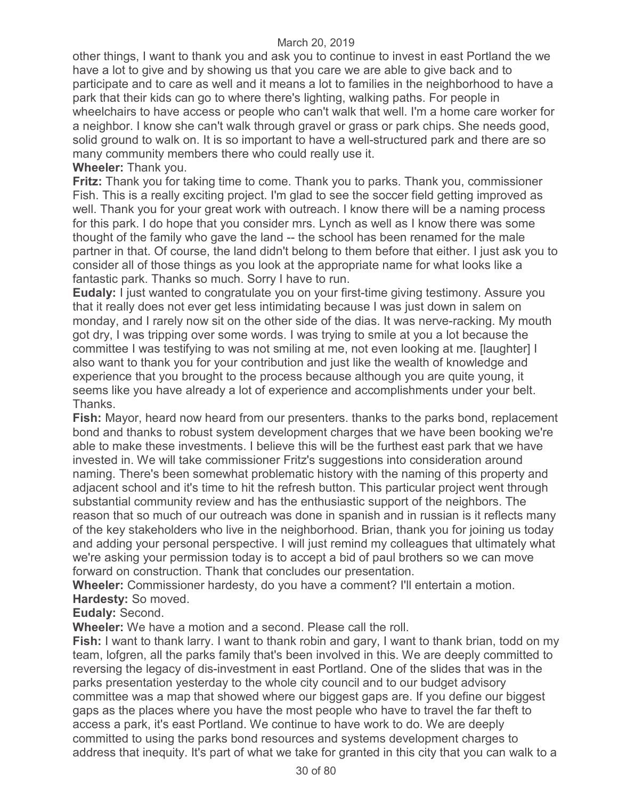other things, I want to thank you and ask you to continue to invest in east Portland the we have a lot to give and by showing us that you care we are able to give back and to participate and to care as well and it means a lot to families in the neighborhood to have a park that their kids can go to where there's lighting, walking paths. For people in wheelchairs to have access or people who can't walk that well. I'm a home care worker for a neighbor. I know she can't walk through gravel or grass or park chips. She needs good, solid ground to walk on. It is so important to have a well-structured park and there are so many community members there who could really use it.

## **Wheeler:** Thank you.

**Fritz:** Thank you for taking time to come. Thank you to parks. Thank you, commissioner Fish. This is a really exciting project. I'm glad to see the soccer field getting improved as well. Thank you for your great work with outreach. I know there will be a naming process for this park. I do hope that you consider mrs. Lynch as well as I know there was some thought of the family who gave the land -- the school has been renamed for the male partner in that. Of course, the land didn't belong to them before that either. I just ask you to consider all of those things as you look at the appropriate name for what looks like a fantastic park. Thanks so much. Sorry I have to run.

**Eudaly:** I just wanted to congratulate you on your first-time giving testimony. Assure you that it really does not ever get less intimidating because I was just down in salem on monday, and I rarely now sit on the other side of the dias. It was nerve-racking. My mouth got dry, I was tripping over some words. I was trying to smile at you a lot because the committee I was testifying to was not smiling at me, not even looking at me. [laughter] I also want to thank you for your contribution and just like the wealth of knowledge and experience that you brought to the process because although you are quite young, it seems like you have already a lot of experience and accomplishments under your belt. Thanks.

**Fish:** Mayor, heard now heard from our presenters. thanks to the parks bond, replacement bond and thanks to robust system development charges that we have been booking we're able to make these investments. I believe this will be the furthest east park that we have invested in. We will take commissioner Fritz's suggestions into consideration around naming. There's been somewhat problematic history with the naming of this property and adjacent school and it's time to hit the refresh button. This particular project went through substantial community review and has the enthusiastic support of the neighbors. The reason that so much of our outreach was done in spanish and in russian is it reflects many of the key stakeholders who live in the neighborhood. Brian, thank you for joining us today and adding your personal perspective. I will just remind my colleagues that ultimately what we're asking your permission today is to accept a bid of paul brothers so we can move forward on construction. Thank that concludes our presentation.

**Wheeler:** Commissioner hardesty, do you have a comment? I'll entertain a motion. **Hardesty:** So moved.

# **Eudaly:** Second.

**Wheeler:** We have a motion and a second. Please call the roll.

**Fish:** I want to thank larry. I want to thank robin and gary, I want to thank brian, todd on my team, lofgren, all the parks family that's been involved in this. We are deeply committed to reversing the legacy of dis-investment in east Portland. One of the slides that was in the parks presentation yesterday to the whole city council and to our budget advisory committee was a map that showed where our biggest gaps are. If you define our biggest gaps as the places where you have the most people who have to travel the far theft to access a park, it's east Portland. We continue to have work to do. We are deeply committed to using the parks bond resources and systems development charges to address that inequity. It's part of what we take for granted in this city that you can walk to a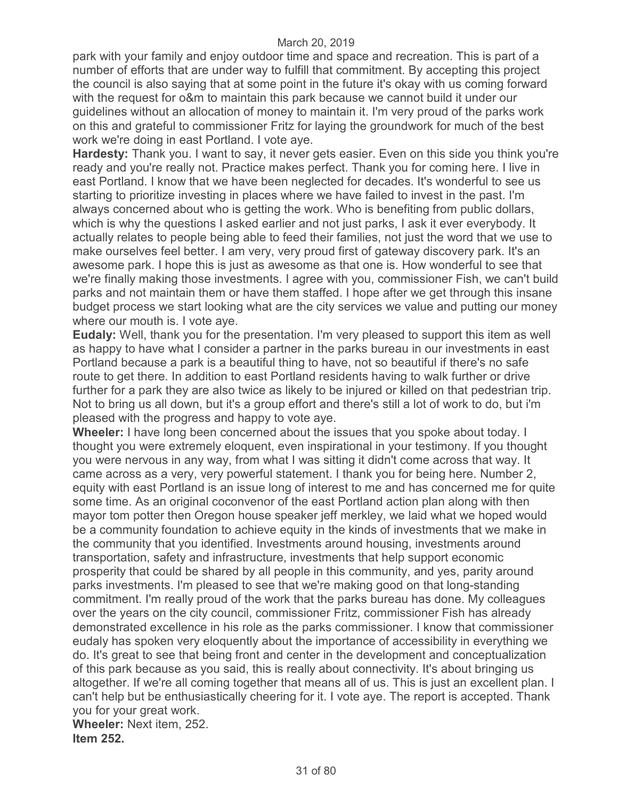park with your family and enjoy outdoor time and space and recreation. This is part of a number of efforts that are under way to fulfill that commitment. By accepting this project the council is also saying that at some point in the future it's okay with us coming forward with the request for o&m to maintain this park because we cannot build it under our guidelines without an allocation of money to maintain it. I'm very proud of the parks work on this and grateful to commissioner Fritz for laying the groundwork for much of the best work we're doing in east Portland. I vote aye.

**Hardesty:** Thank you. I want to say, it never gets easier. Even on this side you think you're ready and you're really not. Practice makes perfect. Thank you for coming here. I live in east Portland. I know that we have been neglected for decades. It's wonderful to see us starting to prioritize investing in places where we have failed to invest in the past. I'm always concerned about who is getting the work. Who is benefiting from public dollars, which is why the questions I asked earlier and not just parks, I ask it ever everybody. It actually relates to people being able to feed their families, not just the word that we use to make ourselves feel better. I am very, very proud first of gateway discovery park. It's an awesome park. I hope this is just as awesome as that one is. How wonderful to see that we're finally making those investments. I agree with you, commissioner Fish, we can't build parks and not maintain them or have them staffed. I hope after we get through this insane budget process we start looking what are the city services we value and putting our money where our mouth is. I vote aye.

**Eudaly:** Well, thank you for the presentation. I'm very pleased to support this item as well as happy to have what I consider a partner in the parks bureau in our investments in east Portland because a park is a beautiful thing to have, not so beautiful if there's no safe route to get there. In addition to east Portland residents having to walk further or drive further for a park they are also twice as likely to be injured or killed on that pedestrian trip. Not to bring us all down, but it's a group effort and there's still a lot of work to do, but i'm pleased with the progress and happy to vote aye.

**Wheeler:** I have long been concerned about the issues that you spoke about today. I thought you were extremely eloquent, even inspirational in your testimony. If you thought you were nervous in any way, from what I was sitting it didn't come across that way. It came across as a very, very powerful statement. I thank you for being here. Number 2, equity with east Portland is an issue long of interest to me and has concerned me for quite some time. As an original coconvenor of the east Portland action plan along with then mayor tom potter then Oregon house speaker jeff merkley, we laid what we hoped would be a community foundation to achieve equity in the kinds of investments that we make in the community that you identified. Investments around housing, investments around transportation, safety and infrastructure, investments that help support economic prosperity that could be shared by all people in this community, and yes, parity around parks investments. I'm pleased to see that we're making good on that long-standing commitment. I'm really proud of the work that the parks bureau has done. My colleagues over the years on the city council, commissioner Fritz, commissioner Fish has already demonstrated excellence in his role as the parks commissioner. I know that commissioner eudaly has spoken very eloquently about the importance of accessibility in everything we do. It's great to see that being front and center in the development and conceptualization of this park because as you said, this is really about connectivity. It's about bringing us altogether. If we're all coming together that means all of us. This is just an excellent plan. I can't help but be enthusiastically cheering for it. I vote aye. The report is accepted. Thank you for your great work.

**Wheeler:** Next item, 252. **Item 252.**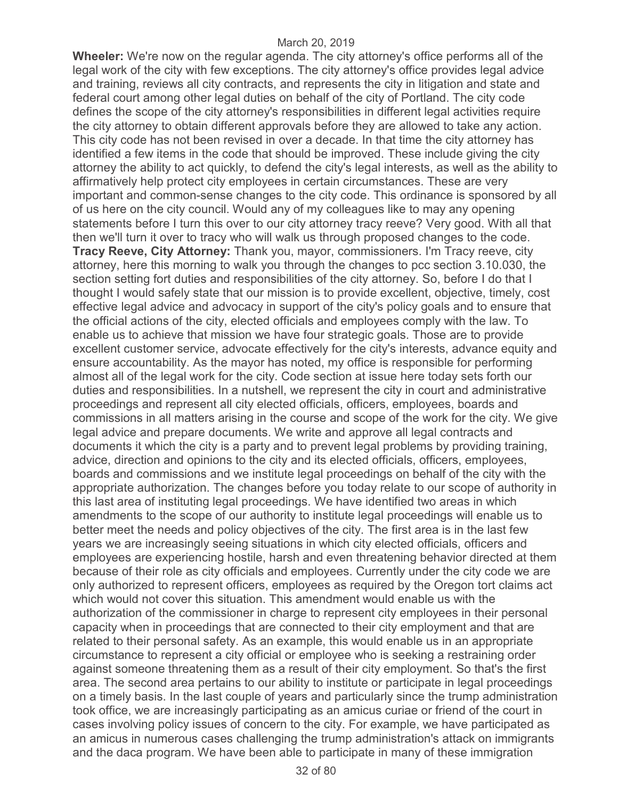**Wheeler:** We're now on the regular agenda. The city attorney's office performs all of the legal work of the city with few exceptions. The city attorney's office provides legal advice and training, reviews all city contracts, and represents the city in litigation and state and federal court among other legal duties on behalf of the city of Portland. The city code defines the scope of the city attorney's responsibilities in different legal activities require the city attorney to obtain different approvals before they are allowed to take any action. This city code has not been revised in over a decade. In that time the city attorney has identified a few items in the code that should be improved. These include giving the city attorney the ability to act quickly, to defend the city's legal interests, as well as the ability to affirmatively help protect city employees in certain circumstances. These are very important and common-sense changes to the city code. This ordinance is sponsored by all of us here on the city council. Would any of my colleagues like to may any opening statements before I turn this over to our city attorney tracy reeve? Very good. With all that then we'll turn it over to tracy who will walk us through proposed changes to the code. **Tracy Reeve, City Attorney:** Thank you, mayor, commissioners. I'm Tracy reeve, city attorney, here this morning to walk you through the changes to pcc section 3.10.030, the section setting fort duties and responsibilities of the city attorney. So, before I do that I thought I would safely state that our mission is to provide excellent, objective, timely, cost effective legal advice and advocacy in support of the city's policy goals and to ensure that the official actions of the city, elected officials and employees comply with the law. To enable us to achieve that mission we have four strategic goals. Those are to provide excellent customer service, advocate effectively for the city's interests, advance equity and ensure accountability. As the mayor has noted, my office is responsible for performing almost all of the legal work for the city. Code section at issue here today sets forth our duties and responsibilities. In a nutshell, we represent the city in court and administrative proceedings and represent all city elected officials, officers, employees, boards and commissions in all matters arising in the course and scope of the work for the city. We give legal advice and prepare documents. We write and approve all legal contracts and documents it which the city is a party and to prevent legal problems by providing training, advice, direction and opinions to the city and its elected officials, officers, employees, boards and commissions and we institute legal proceedings on behalf of the city with the appropriate authorization. The changes before you today relate to our scope of authority in this last area of instituting legal proceedings. We have identified two areas in which amendments to the scope of our authority to institute legal proceedings will enable us to better meet the needs and policy objectives of the city. The first area is in the last few years we are increasingly seeing situations in which city elected officials, officers and employees are experiencing hostile, harsh and even threatening behavior directed at them because of their role as city officials and employees. Currently under the city code we are only authorized to represent officers, employees as required by the Oregon tort claims act which would not cover this situation. This amendment would enable us with the authorization of the commissioner in charge to represent city employees in their personal capacity when in proceedings that are connected to their city employment and that are related to their personal safety. As an example, this would enable us in an appropriate circumstance to represent a city official or employee who is seeking a restraining order against someone threatening them as a result of their city employment. So that's the first area. The second area pertains to our ability to institute or participate in legal proceedings on a timely basis. In the last couple of years and particularly since the trump administration took office, we are increasingly participating as an amicus curiae or friend of the court in cases involving policy issues of concern to the city. For example, we have participated as an amicus in numerous cases challenging the trump administration's attack on immigrants and the daca program. We have been able to participate in many of these immigration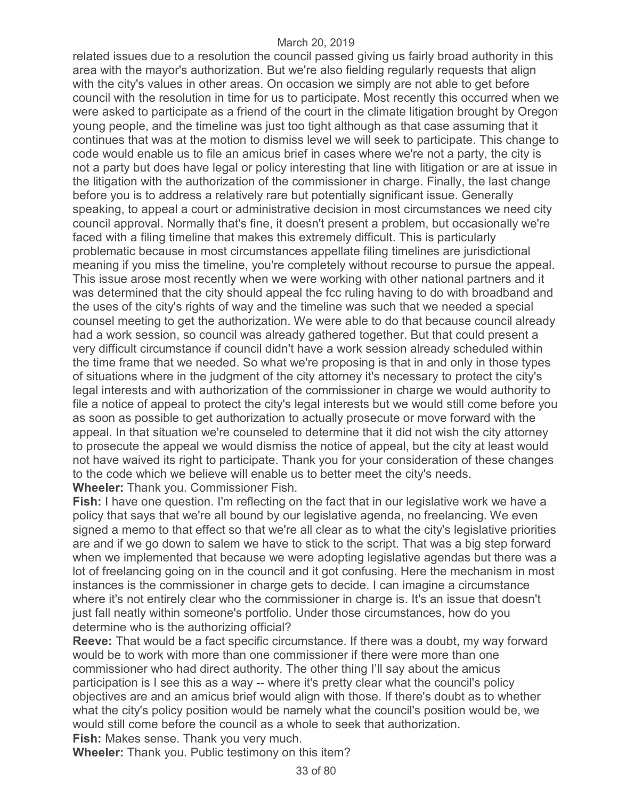related issues due to a resolution the council passed giving us fairly broad authority in this area with the mayor's authorization. But we're also fielding regularly requests that align with the city's values in other areas. On occasion we simply are not able to get before council with the resolution in time for us to participate. Most recently this occurred when we were asked to participate as a friend of the court in the climate litigation brought by Oregon young people, and the timeline was just too tight although as that case assuming that it continues that was at the motion to dismiss level we will seek to participate. This change to code would enable us to file an amicus brief in cases where we're not a party, the city is not a party but does have legal or policy interesting that line with litigation or are at issue in the litigation with the authorization of the commissioner in charge. Finally, the last change before you is to address a relatively rare but potentially significant issue. Generally speaking, to appeal a court or administrative decision in most circumstances we need city council approval. Normally that's fine, it doesn't present a problem, but occasionally we're faced with a filing timeline that makes this extremely difficult. This is particularly problematic because in most circumstances appellate filing timelines are jurisdictional meaning if you miss the timeline, you're completely without recourse to pursue the appeal. This issue arose most recently when we were working with other national partners and it was determined that the city should appeal the fcc ruling having to do with broadband and the uses of the city's rights of way and the timeline was such that we needed a special counsel meeting to get the authorization. We were able to do that because council already had a work session, so council was already gathered together. But that could present a very difficult circumstance if council didn't have a work session already scheduled within the time frame that we needed. So what we're proposing is that in and only in those types of situations where in the judgment of the city attorney it's necessary to protect the city's legal interests and with authorization of the commissioner in charge we would authority to file a notice of appeal to protect the city's legal interests but we would still come before you as soon as possible to get authorization to actually prosecute or move forward with the appeal. In that situation we're counseled to determine that it did not wish the city attorney to prosecute the appeal we would dismiss the notice of appeal, but the city at least would not have waived its right to participate. Thank you for your consideration of these changes to the code which we believe will enable us to better meet the city's needs. **Wheeler:** Thank you. Commissioner Fish.

**Fish:** I have one question. I'm reflecting on the fact that in our legislative work we have a policy that says that we're all bound by our legislative agenda, no freelancing. We even signed a memo to that effect so that we're all clear as to what the city's legislative priorities are and if we go down to salem we have to stick to the script. That was a big step forward when we implemented that because we were adopting legislative agendas but there was a lot of freelancing going on in the council and it got confusing. Here the mechanism in most instances is the commissioner in charge gets to decide. I can imagine a circumstance where it's not entirely clear who the commissioner in charge is. It's an issue that doesn't just fall neatly within someone's portfolio. Under those circumstances, how do you determine who is the authorizing official?

**Reeve:** That would be a fact specific circumstance. If there was a doubt, my way forward would be to work with more than one commissioner if there were more than one commissioner who had direct authority. The other thing I'll say about the amicus participation is I see this as a way -- where it's pretty clear what the council's policy objectives are and an amicus brief would align with those. If there's doubt as to whether what the city's policy position would be namely what the council's position would be, we would still come before the council as a whole to seek that authorization.

**Fish:** Makes sense. Thank you very much.

**Wheeler:** Thank you. Public testimony on this item?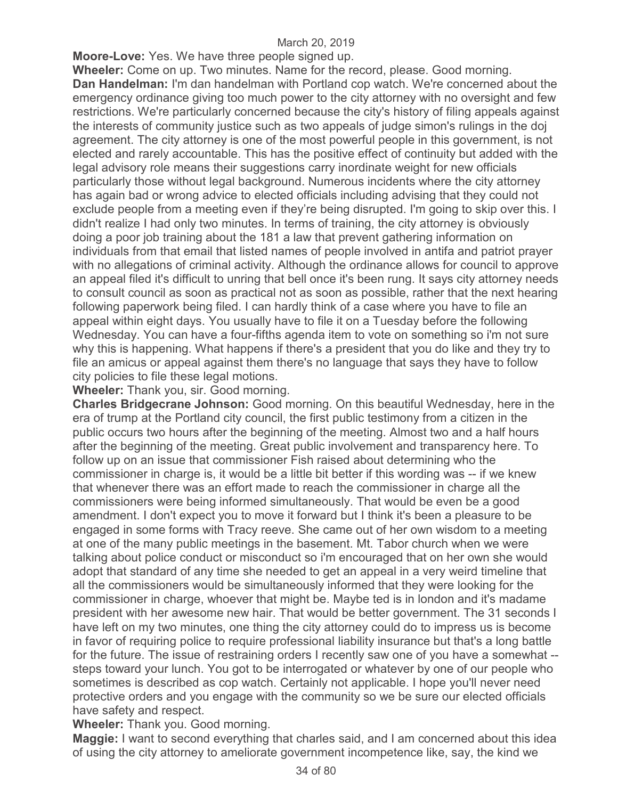**Moore-Love:** Yes. We have three people signed up.

**Wheeler:** Come on up. Two minutes. Name for the record, please. Good morning. **Dan Handelman:** I'm dan handelman with Portland cop watch. We're concerned about the emergency ordinance giving too much power to the city attorney with no oversight and few restrictions. We're particularly concerned because the city's history of filing appeals against the interests of community justice such as two appeals of judge simon's rulings in the doj agreement. The city attorney is one of the most powerful people in this government, is not elected and rarely accountable. This has the positive effect of continuity but added with the legal advisory role means their suggestions carry inordinate weight for new officials particularly those without legal background. Numerous incidents where the city attorney has again bad or wrong advice to elected officials including advising that they could not exclude people from a meeting even if they're being disrupted. I'm going to skip over this. I didn't realize I had only two minutes. In terms of training, the city attorney is obviously doing a poor job training about the 181 a law that prevent gathering information on individuals from that email that listed names of people involved in antifa and patriot prayer with no allegations of criminal activity. Although the ordinance allows for council to approve an appeal filed it's difficult to unring that bell once it's been rung. It says city attorney needs to consult council as soon as practical not as soon as possible, rather that the next hearing following paperwork being filed. I can hardly think of a case where you have to file an appeal within eight days. You usually have to file it on a Tuesday before the following Wednesday. You can have a four-fifths agenda item to vote on something so i'm not sure why this is happening. What happens if there's a president that you do like and they try to file an amicus or appeal against them there's no language that says they have to follow city policies to file these legal motions.

**Wheeler:** Thank you, sir. Good morning.

**Charles Bridgecrane Johnson:** Good morning. On this beautiful Wednesday, here in the era of trump at the Portland city council, the first public testimony from a citizen in the public occurs two hours after the beginning of the meeting. Almost two and a half hours after the beginning of the meeting. Great public involvement and transparency here. To follow up on an issue that commissioner Fish raised about determining who the commissioner in charge is, it would be a little bit better if this wording was -- if we knew that whenever there was an effort made to reach the commissioner in charge all the commissioners were being informed simultaneously. That would be even be a good amendment. I don't expect you to move it forward but I think it's been a pleasure to be engaged in some forms with Tracy reeve. She came out of her own wisdom to a meeting at one of the many public meetings in the basement. Mt. Tabor church when we were talking about police conduct or misconduct so i'm encouraged that on her own she would adopt that standard of any time she needed to get an appeal in a very weird timeline that all the commissioners would be simultaneously informed that they were looking for the commissioner in charge, whoever that might be. Maybe ted is in london and it's madame president with her awesome new hair. That would be better government. The 31 seconds I have left on my two minutes, one thing the city attorney could do to impress us is become in favor of requiring police to require professional liability insurance but that's a long battle for the future. The issue of restraining orders I recently saw one of you have a somewhat - steps toward your lunch. You got to be interrogated or whatever by one of our people who sometimes is described as cop watch. Certainly not applicable. I hope you'll never need protective orders and you engage with the community so we be sure our elected officials have safety and respect.

**Wheeler:** Thank you. Good morning.

**Maggie:** I want to second everything that charles said, and I am concerned about this idea of using the city attorney to ameliorate government incompetence like, say, the kind we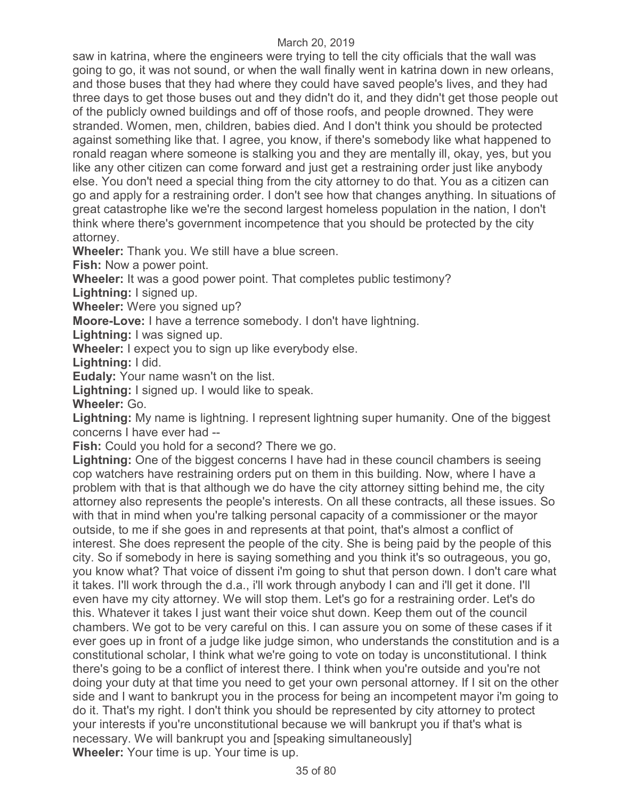saw in katrina, where the engineers were trying to tell the city officials that the wall was going to go, it was not sound, or when the wall finally went in katrina down in new orleans, and those buses that they had where they could have saved people's lives, and they had three days to get those buses out and they didn't do it, and they didn't get those people out of the publicly owned buildings and off of those roofs, and people drowned. They were stranded. Women, men, children, babies died. And I don't think you should be protected against something like that. I agree, you know, if there's somebody like what happened to ronald reagan where someone is stalking you and they are mentally ill, okay, yes, but you like any other citizen can come forward and just get a restraining order just like anybody else. You don't need a special thing from the city attorney to do that. You as a citizen can go and apply for a restraining order. I don't see how that changes anything. In situations of great catastrophe like we're the second largest homeless population in the nation, I don't think where there's government incompetence that you should be protected by the city attorney.

**Wheeler:** Thank you. We still have a blue screen.

**Fish:** Now a power point.

**Wheeler:** It was a good power point. That completes public testimony?

**Lightning:** I signed up.

**Wheeler:** Were you signed up?

**Moore-Love:** I have a terrence somebody. I don't have lightning.

**Lightning:** I was signed up.

**Wheeler:** I expect you to sign up like everybody else.

**Lightning:** I did.

**Eudaly:** Your name wasn't on the list.

**Lightning:** I signed up. I would like to speak.

**Wheeler:** Go.

**Lightning:** My name is lightning. I represent lightning super humanity. One of the biggest concerns I have ever had --

**Fish:** Could you hold for a second? There we go.

**Lightning:** One of the biggest concerns I have had in these council chambers is seeing cop watchers have restraining orders put on them in this building. Now, where I have a problem with that is that although we do have the city attorney sitting behind me, the city attorney also represents the people's interests. On all these contracts, all these issues. So with that in mind when you're talking personal capacity of a commissioner or the mayor outside, to me if she goes in and represents at that point, that's almost a conflict of interest. She does represent the people of the city. She is being paid by the people of this city. So if somebody in here is saying something and you think it's so outrageous, you go, you know what? That voice of dissent i'm going to shut that person down. I don't care what it takes. I'll work through the d.a., i'll work through anybody I can and i'll get it done. I'll even have my city attorney. We will stop them. Let's go for a restraining order. Let's do this. Whatever it takes I just want their voice shut down. Keep them out of the council chambers. We got to be very careful on this. I can assure you on some of these cases if it ever goes up in front of a judge like judge simon, who understands the constitution and is a constitutional scholar, I think what we're going to vote on today is unconstitutional. I think there's going to be a conflict of interest there. I think when you're outside and you're not doing your duty at that time you need to get your own personal attorney. If I sit on the other side and I want to bankrupt you in the process for being an incompetent mayor i'm going to do it. That's my right. I don't think you should be represented by city attorney to protect your interests if you're unconstitutional because we will bankrupt you if that's what is necessary. We will bankrupt you and [speaking simultaneously] **Wheeler:** Your time is up. Your time is up.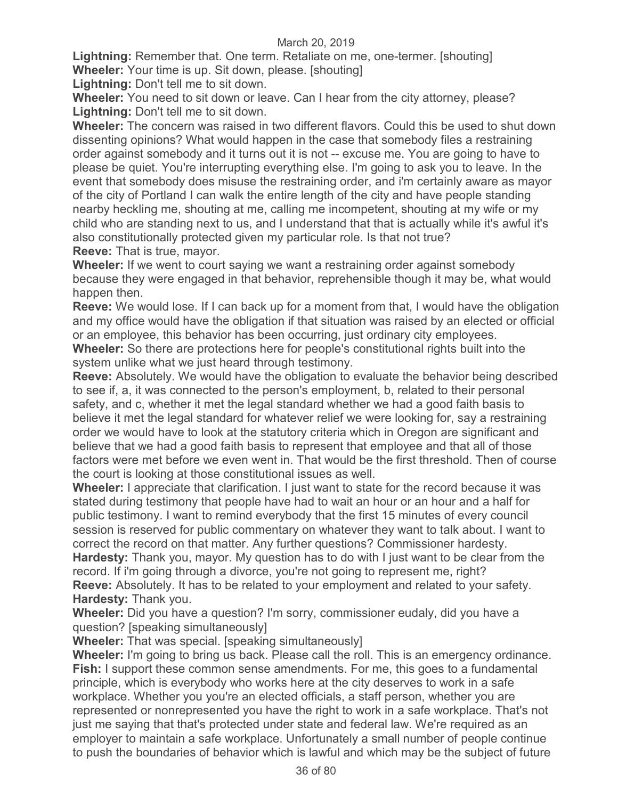**Lightning:** Remember that. One term. Retaliate on me, one-termer. [shouting] **Wheeler:** Your time is up. Sit down, please. [shouting]

**Lightning:** Don't tell me to sit down.

**Wheeler:** You need to sit down or leave. Can I hear from the city attorney, please? **Lightning:** Don't tell me to sit down.

**Wheeler:** The concern was raised in two different flavors. Could this be used to shut down dissenting opinions? What would happen in the case that somebody files a restraining order against somebody and it turns out it is not -- excuse me. You are going to have to please be quiet. You're interrupting everything else. I'm going to ask you to leave. In the event that somebody does misuse the restraining order, and i'm certainly aware as mayor of the city of Portland I can walk the entire length of the city and have people standing nearby heckling me, shouting at me, calling me incompetent, shouting at my wife or my child who are standing next to us, and I understand that that is actually while it's awful it's also constitutionally protected given my particular role. Is that not true? **Reeve:** That is true, mayor.

**Wheeler:** If we went to court saying we want a restraining order against somebody because they were engaged in that behavior, reprehensible though it may be, what would happen then.

**Reeve:** We would lose. If I can back up for a moment from that, I would have the obligation and my office would have the obligation if that situation was raised by an elected or official or an employee, this behavior has been occurring, just ordinary city employees.

**Wheeler:** So there are protections here for people's constitutional rights built into the system unlike what we just heard through testimony.

**Reeve:** Absolutely. We would have the obligation to evaluate the behavior being described to see if, a, it was connected to the person's employment, b, related to their personal safety, and c, whether it met the legal standard whether we had a good faith basis to believe it met the legal standard for whatever relief we were looking for, say a restraining order we would have to look at the statutory criteria which in Oregon are significant and believe that we had a good faith basis to represent that employee and that all of those factors were met before we even went in. That would be the first threshold. Then of course the court is looking at those constitutional issues as well.

**Wheeler:** I appreciate that clarification. I just want to state for the record because it was stated during testimony that people have had to wait an hour or an hour and a half for public testimony. I want to remind everybody that the first 15 minutes of every council session is reserved for public commentary on whatever they want to talk about. I want to correct the record on that matter. Any further questions? Commissioner hardesty.

**Hardesty:** Thank you, mayor. My question has to do with I just want to be clear from the record. If i'm going through a divorce, you're not going to represent me, right? **Reeve:** Absolutely. It has to be related to your employment and related to your safety. **Hardesty:** Thank you.

**Wheeler:** Did you have a question? I'm sorry, commissioner eudaly, did you have a question? [speaking simultaneously]

**Wheeler:** That was special. [speaking simultaneously]

**Wheeler:** I'm going to bring us back. Please call the roll. This is an emergency ordinance. **Fish:** I support these common sense amendments. For me, this goes to a fundamental principle, which is everybody who works here at the city deserves to work in a safe workplace. Whether you you're an elected officials, a staff person, whether you are represented or nonrepresented you have the right to work in a safe workplace. That's not just me saying that that's protected under state and federal law. We're required as an employer to maintain a safe workplace. Unfortunately a small number of people continue to push the boundaries of behavior which is lawful and which may be the subject of future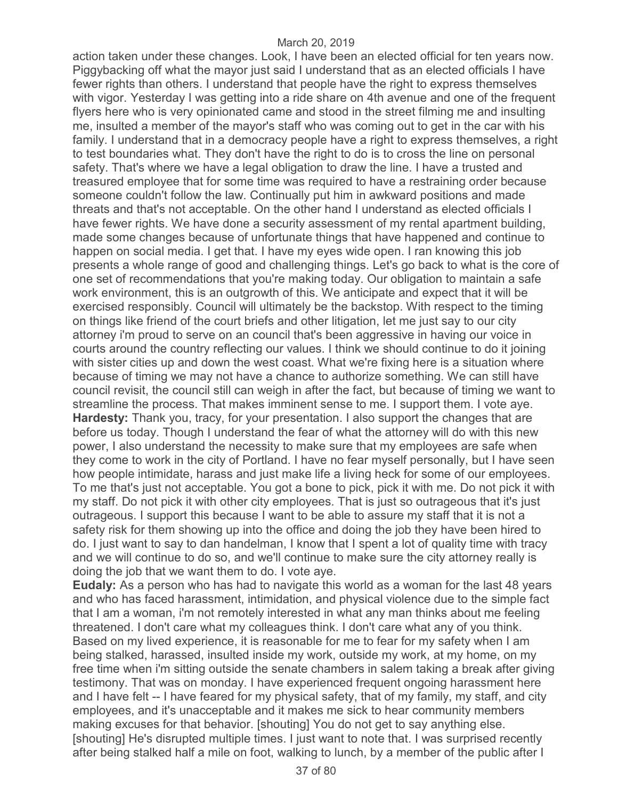action taken under these changes. Look, I have been an elected official for ten years now. Piggybacking off what the mayor just said I understand that as an elected officials I have fewer rights than others. I understand that people have the right to express themselves with vigor. Yesterday I was getting into a ride share on 4th avenue and one of the frequent flyers here who is very opinionated came and stood in the street filming me and insulting me, insulted a member of the mayor's staff who was coming out to get in the car with his family. I understand that in a democracy people have a right to express themselves, a right to test boundaries what. They don't have the right to do is to cross the line on personal safety. That's where we have a legal obligation to draw the line. I have a trusted and treasured employee that for some time was required to have a restraining order because someone couldn't follow the law. Continually put him in awkward positions and made threats and that's not acceptable. On the other hand I understand as elected officials I have fewer rights. We have done a security assessment of my rental apartment building, made some changes because of unfortunate things that have happened and continue to happen on social media. I get that. I have my eyes wide open. I ran knowing this job presents a whole range of good and challenging things. Let's go back to what is the core of one set of recommendations that you're making today. Our obligation to maintain a safe work environment, this is an outgrowth of this. We anticipate and expect that it will be exercised responsibly. Council will ultimately be the backstop. With respect to the timing on things like friend of the court briefs and other litigation, let me just say to our city attorney i'm proud to serve on an council that's been aggressive in having our voice in courts around the country reflecting our values. I think we should continue to do it joining with sister cities up and down the west coast. What we're fixing here is a situation where because of timing we may not have a chance to authorize something. We can still have council revisit, the council still can weigh in after the fact, but because of timing we want to streamline the process. That makes imminent sense to me. I support them. I vote aye. **Hardesty:** Thank you, tracy, for your presentation. I also support the changes that are before us today. Though I understand the fear of what the attorney will do with this new power, I also understand the necessity to make sure that my employees are safe when they come to work in the city of Portland. I have no fear myself personally, but I have seen how people intimidate, harass and just make life a living heck for some of our employees. To me that's just not acceptable. You got a bone to pick, pick it with me. Do not pick it with my staff. Do not pick it with other city employees. That is just so outrageous that it's just outrageous. I support this because I want to be able to assure my staff that it is not a safety risk for them showing up into the office and doing the job they have been hired to do. I just want to say to dan handelman, I know that I spent a lot of quality time with tracy and we will continue to do so, and we'll continue to make sure the city attorney really is doing the job that we want them to do. I vote aye.

**Eudaly:** As a person who has had to navigate this world as a woman for the last 48 years and who has faced harassment, intimidation, and physical violence due to the simple fact that I am a woman, i'm not remotely interested in what any man thinks about me feeling threatened. I don't care what my colleagues think. I don't care what any of you think. Based on my lived experience, it is reasonable for me to fear for my safety when I am being stalked, harassed, insulted inside my work, outside my work, at my home, on my free time when i'm sitting outside the senate chambers in salem taking a break after giving testimony. That was on monday. I have experienced frequent ongoing harassment here and I have felt -- I have feared for my physical safety, that of my family, my staff, and city employees, and it's unacceptable and it makes me sick to hear community members making excuses for that behavior. [shouting] You do not get to say anything else. [shouting] He's disrupted multiple times. I just want to note that. I was surprised recently after being stalked half a mile on foot, walking to lunch, by a member of the public after I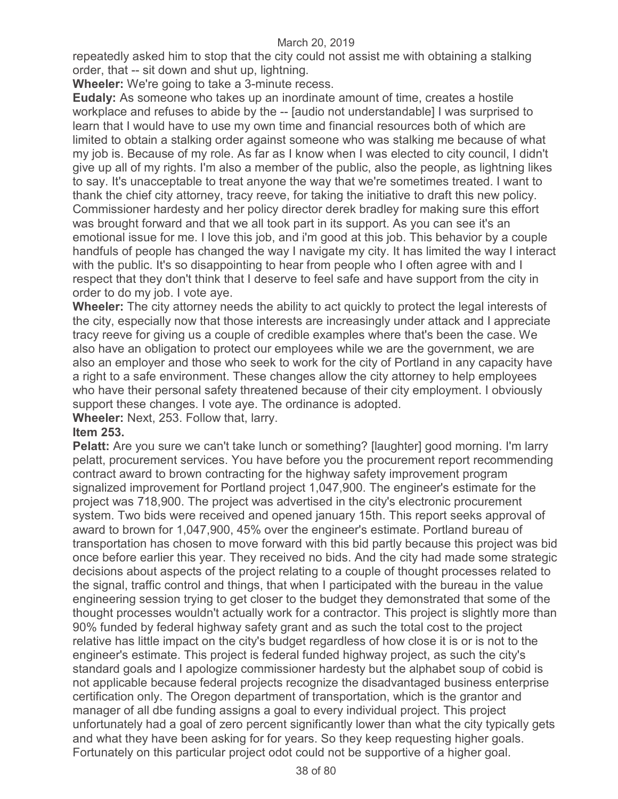repeatedly asked him to stop that the city could not assist me with obtaining a stalking order, that -- sit down and shut up, lightning.

**Wheeler:** We're going to take a 3-minute recess.

**Eudaly:** As someone who takes up an inordinate amount of time, creates a hostile workplace and refuses to abide by the -- [audio not understandable] I was surprised to learn that I would have to use my own time and financial resources both of which are limited to obtain a stalking order against someone who was stalking me because of what my job is. Because of my role. As far as I know when I was elected to city council, I didn't give up all of my rights. I'm also a member of the public, also the people, as lightning likes to say. It's unacceptable to treat anyone the way that we're sometimes treated. I want to thank the chief city attorney, tracy reeve, for taking the initiative to draft this new policy. Commissioner hardesty and her policy director derek bradley for making sure this effort was brought forward and that we all took part in its support. As you can see it's an emotional issue for me. I love this job, and i'm good at this job. This behavior by a couple handfuls of people has changed the way I navigate my city. It has limited the way I interact with the public. It's so disappointing to hear from people who I often agree with and I respect that they don't think that I deserve to feel safe and have support from the city in order to do my job. I vote aye.

**Wheeler:** The city attorney needs the ability to act quickly to protect the legal interests of the city, especially now that those interests are increasingly under attack and I appreciate tracy reeve for giving us a couple of credible examples where that's been the case. We also have an obligation to protect our employees while we are the government, we are also an employer and those who seek to work for the city of Portland in any capacity have a right to a safe environment. These changes allow the city attorney to help employees who have their personal safety threatened because of their city employment. I obviously support these changes. I vote aye. The ordinance is adopted.

**Wheeler:** Next, 253. Follow that, larry.

### **Item 253.**

**Pelatt:** Are you sure we can't take lunch or something? [laughter] good morning. I'm larry pelatt, procurement services. You have before you the procurement report recommending contract award to brown contracting for the highway safety improvement program signalized improvement for Portland project 1,047,900. The engineer's estimate for the project was 718,900. The project was advertised in the city's electronic procurement system. Two bids were received and opened january 15th. This report seeks approval of award to brown for 1,047,900, 45% over the engineer's estimate. Portland bureau of transportation has chosen to move forward with this bid partly because this project was bid once before earlier this year. They received no bids. And the city had made some strategic decisions about aspects of the project relating to a couple of thought processes related to the signal, traffic control and things, that when I participated with the bureau in the value engineering session trying to get closer to the budget they demonstrated that some of the thought processes wouldn't actually work for a contractor. This project is slightly more than 90% funded by federal highway safety grant and as such the total cost to the project relative has little impact on the city's budget regardless of how close it is or is not to the engineer's estimate. This project is federal funded highway project, as such the city's standard goals and I apologize commissioner hardesty but the alphabet soup of cobid is not applicable because federal projects recognize the disadvantaged business enterprise certification only. The Oregon department of transportation, which is the grantor and manager of all dbe funding assigns a goal to every individual project. This project unfortunately had a goal of zero percent significantly lower than what the city typically gets and what they have been asking for for years. So they keep requesting higher goals. Fortunately on this particular project odot could not be supportive of a higher goal.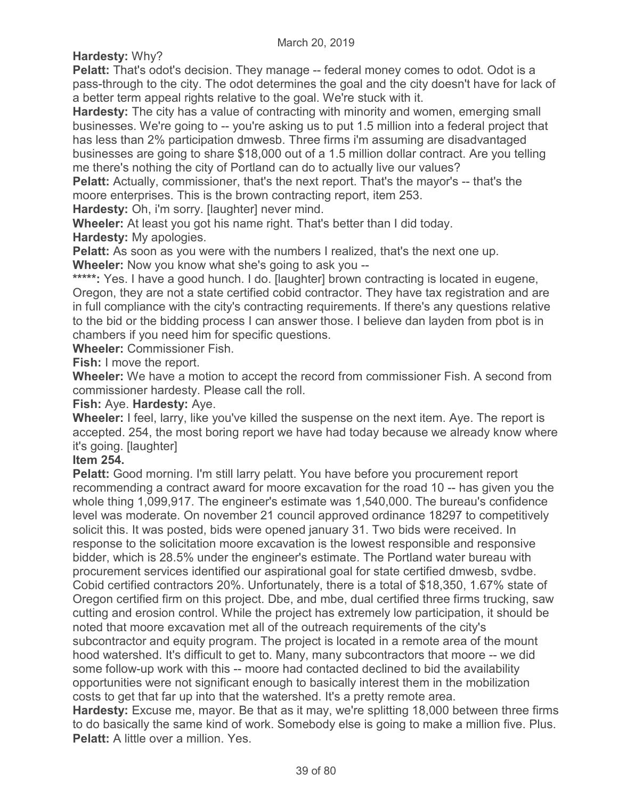**Hardesty:** Why?

**Pelatt:** That's odot's decision. They manage -- federal money comes to odot. Odot is a pass-through to the city. The odot determines the goal and the city doesn't have for lack of a better term appeal rights relative to the goal. We're stuck with it.

**Hardesty:** The city has a value of contracting with minority and women, emerging small businesses. We're going to -- you're asking us to put 1.5 million into a federal project that has less than 2% participation dmwesb. Three firms i'm assuming are disadvantaged businesses are going to share \$18,000 out of a 1.5 million dollar contract. Are you telling me there's nothing the city of Portland can do to actually live our values?

**Pelatt:** Actually, commissioner, that's the next report. That's the mayor's -- that's the moore enterprises. This is the brown contracting report, item 253.

**Hardesty:** Oh, i'm sorry. [laughter] never mind.

**Wheeler:** At least you got his name right. That's better than I did today. **Hardesty:** My apologies.

**Pelatt:** As soon as you were with the numbers I realized, that's the next one up.

**Wheeler:** Now you know what she's going to ask you --

\*\*\*\*\*: Yes. I have a good hunch. I do. [laughter] brown contracting is located in eugene, Oregon, they are not a state certified cobid contractor. They have tax registration and are in full compliance with the city's contracting requirements. If there's any questions relative to the bid or the bidding process I can answer those. I believe dan layden from pbot is in chambers if you need him for specific questions.

**Wheeler:** Commissioner Fish.

**Fish:** I move the report.

**Wheeler:** We have a motion to accept the record from commissioner Fish. A second from commissioner hardesty. Please call the roll.

**Fish:** Aye. **Hardesty:** Aye.

**Wheeler:** I feel, larry, like you've killed the suspense on the next item. Aye. The report is accepted. 254, the most boring report we have had today because we already know where it's going. [laughter]

**Item 254.** 

**Pelatt:** Good morning. I'm still larry pelatt. You have before you procurement report recommending a contract award for moore excavation for the road 10 -- has given you the whole thing 1,099,917. The engineer's estimate was 1,540,000. The bureau's confidence level was moderate. On november 21 council approved ordinance 18297 to competitively solicit this. It was posted, bids were opened january 31. Two bids were received. In response to the solicitation moore excavation is the lowest responsible and responsive bidder, which is 28.5% under the engineer's estimate. The Portland water bureau with procurement services identified our aspirational goal for state certified dmwesb, svdbe. Cobid certified contractors 20%. Unfortunately, there is a total of \$18,350, 1.67% state of Oregon certified firm on this project. Dbe, and mbe, dual certified three firms trucking, saw cutting and erosion control. While the project has extremely low participation, it should be noted that moore excavation met all of the outreach requirements of the city's subcontractor and equity program. The project is located in a remote area of the mount hood watershed. It's difficult to get to. Many, many subcontractors that moore -- we did some follow-up work with this -- moore had contacted declined to bid the availability opportunities were not significant enough to basically interest them in the mobilization costs to get that far up into that the watershed. It's a pretty remote area. **Hardesty:** Excuse me, mayor. Be that as it may, we're splitting 18,000 between three firms

to do basically the same kind of work. Somebody else is going to make a million five. Plus. **Pelatt:** A little over a million. Yes.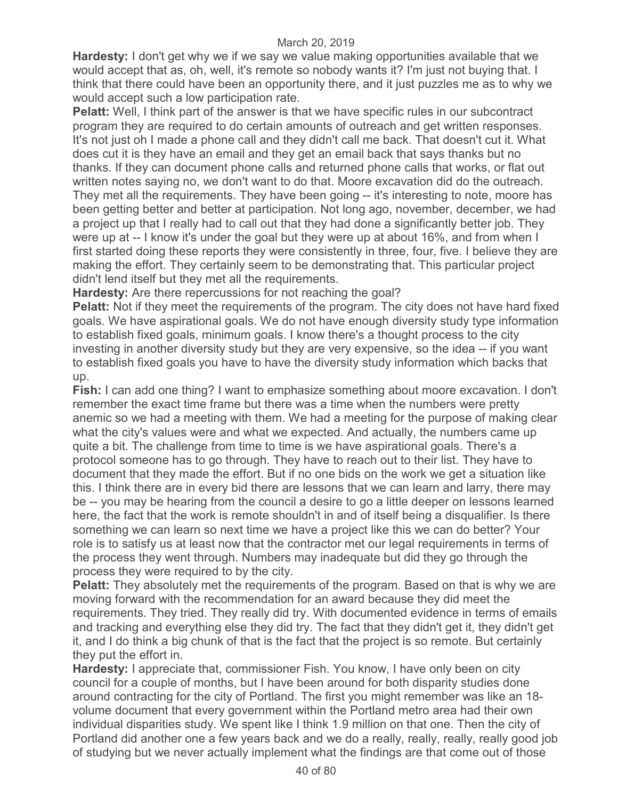**Hardesty:** I don't get why we if we say we value making opportunities available that we would accept that as, oh, well, it's remote so nobody wants it? I'm just not buying that. I think that there could have been an opportunity there, and it just puzzles me as to why we would accept such a low participation rate.

**Pelatt:** Well, I think part of the answer is that we have specific rules in our subcontract program they are required to do certain amounts of outreach and get written responses. It's not just oh I made a phone call and they didn't call me back. That doesn't cut it. What does cut it is they have an email and they get an email back that says thanks but no thanks. If they can document phone calls and returned phone calls that works, or flat out written notes saying no, we don't want to do that. Moore excavation did do the outreach. They met all the requirements. They have been going -- it's interesting to note, moore has been getting better and better at participation. Not long ago, november, december, we had a project up that I really had to call out that they had done a significantly better job. They were up at -- I know it's under the goal but they were up at about 16%, and from when I first started doing these reports they were consistently in three, four, five. I believe they are making the effort. They certainly seem to be demonstrating that. This particular project didn't lend itself but they met all the requirements.

**Hardesty:** Are there repercussions for not reaching the goal?

**Pelatt:** Not if they meet the requirements of the program. The city does not have hard fixed goals. We have aspirational goals. We do not have enough diversity study type information to establish fixed goals, minimum goals. I know there's a thought process to the city investing in another diversity study but they are very expensive, so the idea -- if you want to establish fixed goals you have to have the diversity study information which backs that up.

**Fish:** I can add one thing? I want to emphasize something about moore excavation. I don't remember the exact time frame but there was a time when the numbers were pretty anemic so we had a meeting with them. We had a meeting for the purpose of making clear what the city's values were and what we expected. And actually, the numbers came up quite a bit. The challenge from time to time is we have aspirational goals. There's a protocol someone has to go through. They have to reach out to their list. They have to document that they made the effort. But if no one bids on the work we get a situation like this. I think there are in every bid there are lessons that we can learn and larry, there may be -- you may be hearing from the council a desire to go a little deeper on lessons learned here, the fact that the work is remote shouldn't in and of itself being a disqualifier. Is there something we can learn so next time we have a project like this we can do better? Your role is to satisfy us at least now that the contractor met our legal requirements in terms of the process they went through. Numbers may inadequate but did they go through the process they were required to by the city.

**Pelatt:** They absolutely met the requirements of the program. Based on that is why we are moving forward with the recommendation for an award because they did meet the requirements. They tried. They really did try. With documented evidence in terms of emails and tracking and everything else they did try. The fact that they didn't get it, they didn't get it, and I do think a big chunk of that is the fact that the project is so remote. But certainly they put the effort in.

**Hardesty:** I appreciate that, commissioner Fish. You know, I have only been on city council for a couple of months, but I have been around for both disparity studies done around contracting for the city of Portland. The first you might remember was like an 18 volume document that every government within the Portland metro area had their own individual disparities study. We spent like I think 1.9 million on that one. Then the city of Portland did another one a few years back and we do a really, really, really, really good job of studying but we never actually implement what the findings are that come out of those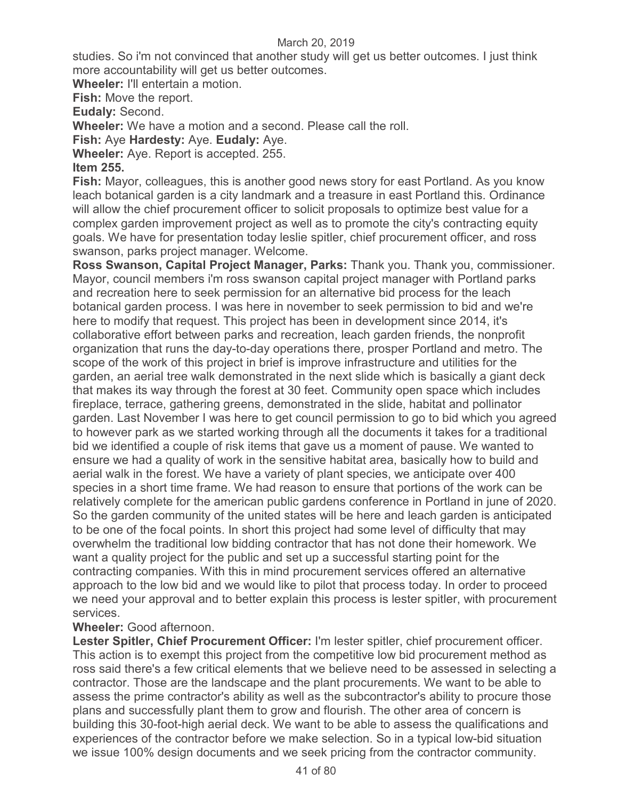studies. So i'm not convinced that another study will get us better outcomes. I just think more accountability will get us better outcomes.

**Wheeler:** I'll entertain a motion.

**Fish:** Move the report.

**Eudaly:** Second.

**Wheeler:** We have a motion and a second. Please call the roll.

**Fish:** Aye **Hardesty:** Aye. **Eudaly:** Aye.

**Wheeler:** Aye. Report is accepted. 255.

## **Item 255.**

**Fish:** Mayor, colleagues, this is another good news story for east Portland. As you know leach botanical garden is a city landmark and a treasure in east Portland this. Ordinance will allow the chief procurement officer to solicit proposals to optimize best value for a complex garden improvement project as well as to promote the city's contracting equity goals. We have for presentation today leslie spitler, chief procurement officer, and ross swanson, parks project manager. Welcome.

**Ross Swanson, Capital Project Manager, Parks:** Thank you. Thank you, commissioner. Mayor, council members i'm ross swanson capital project manager with Portland parks and recreation here to seek permission for an alternative bid process for the leach botanical garden process. I was here in november to seek permission to bid and we're here to modify that request. This project has been in development since 2014, it's collaborative effort between parks and recreation, leach garden friends, the nonprofit organization that runs the day-to-day operations there, prosper Portland and metro. The scope of the work of this project in brief is improve infrastructure and utilities for the garden, an aerial tree walk demonstrated in the next slide which is basically a giant deck that makes its way through the forest at 30 feet. Community open space which includes fireplace, terrace, gathering greens, demonstrated in the slide, habitat and pollinator garden. Last November I was here to get council permission to go to bid which you agreed to however park as we started working through all the documents it takes for a traditional bid we identified a couple of risk items that gave us a moment of pause. We wanted to ensure we had a quality of work in the sensitive habitat area, basically how to build and aerial walk in the forest. We have a variety of plant species, we anticipate over 400 species in a short time frame. We had reason to ensure that portions of the work can be relatively complete for the american public gardens conference in Portland in june of 2020. So the garden community of the united states will be here and leach garden is anticipated to be one of the focal points. In short this project had some level of difficulty that may overwhelm the traditional low bidding contractor that has not done their homework. We want a quality project for the public and set up a successful starting point for the contracting companies. With this in mind procurement services offered an alternative approach to the low bid and we would like to pilot that process today. In order to proceed we need your approval and to better explain this process is lester spitler, with procurement services.

## **Wheeler:** Good afternoon.

**Lester Spitler, Chief Procurement Officer:** I'm lester spitler, chief procurement officer. This action is to exempt this project from the competitive low bid procurement method as ross said there's a few critical elements that we believe need to be assessed in selecting a contractor. Those are the landscape and the plant procurements. We want to be able to assess the prime contractor's ability as well as the subcontractor's ability to procure those plans and successfully plant them to grow and flourish. The other area of concern is building this 30-foot-high aerial deck. We want to be able to assess the qualifications and experiences of the contractor before we make selection. So in a typical low-bid situation we issue 100% design documents and we seek pricing from the contractor community.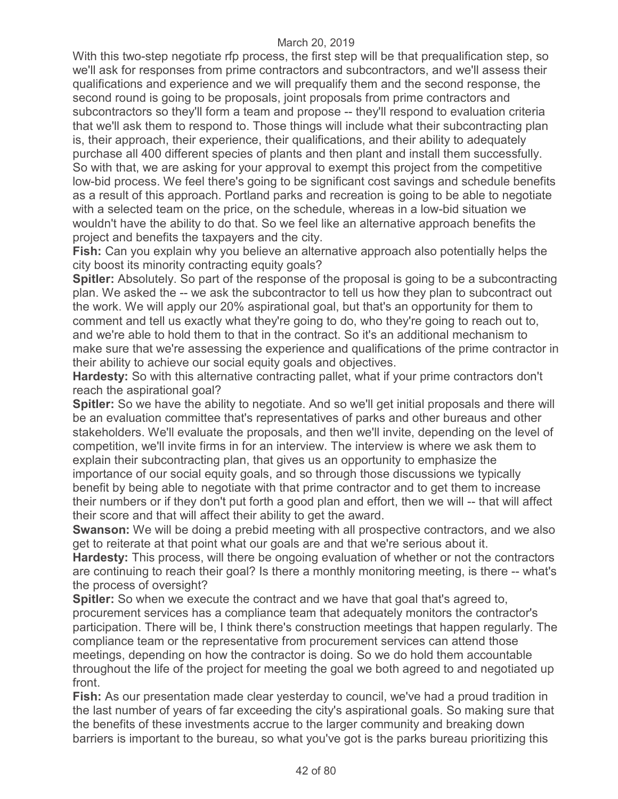With this two-step negotiate rfp process, the first step will be that prequalification step, so we'll ask for responses from prime contractors and subcontractors, and we'll assess their qualifications and experience and we will prequalify them and the second response, the second round is going to be proposals, joint proposals from prime contractors and subcontractors so they'll form a team and propose -- they'll respond to evaluation criteria that we'll ask them to respond to. Those things will include what their subcontracting plan is, their approach, their experience, their qualifications, and their ability to adequately purchase all 400 different species of plants and then plant and install them successfully. So with that, we are asking for your approval to exempt this project from the competitive low-bid process. We feel there's going to be significant cost savings and schedule benefits as a result of this approach. Portland parks and recreation is going to be able to negotiate with a selected team on the price, on the schedule, whereas in a low-bid situation we wouldn't have the ability to do that. So we feel like an alternative approach benefits the project and benefits the taxpayers and the city.

**Fish:** Can you explain why you believe an alternative approach also potentially helps the city boost its minority contracting equity goals?

**Spitler:** Absolutely. So part of the response of the proposal is going to be a subcontracting plan. We asked the -- we ask the subcontractor to tell us how they plan to subcontract out the work. We will apply our 20% aspirational goal, but that's an opportunity for them to comment and tell us exactly what they're going to do, who they're going to reach out to, and we're able to hold them to that in the contract. So it's an additional mechanism to make sure that we're assessing the experience and qualifications of the prime contractor in their ability to achieve our social equity goals and objectives.

**Hardesty:** So with this alternative contracting pallet, what if your prime contractors don't reach the aspirational goal?

**Spitler:** So we have the ability to negotiate. And so we'll get initial proposals and there will be an evaluation committee that's representatives of parks and other bureaus and other stakeholders. We'll evaluate the proposals, and then we'll invite, depending on the level of competition, we'll invite firms in for an interview. The interview is where we ask them to explain their subcontracting plan, that gives us an opportunity to emphasize the importance of our social equity goals, and so through those discussions we typically

benefit by being able to negotiate with that prime contractor and to get them to increase their numbers or if they don't put forth a good plan and effort, then we will -- that will affect their score and that will affect their ability to get the award.

**Swanson:** We will be doing a prebid meeting with all prospective contractors, and we also get to reiterate at that point what our goals are and that we're serious about it.

**Hardesty:** This process, will there be ongoing evaluation of whether or not the contractors are continuing to reach their goal? Is there a monthly monitoring meeting, is there -- what's the process of oversight?

**Spitler:** So when we execute the contract and we have that goal that's agreed to, procurement services has a compliance team that adequately monitors the contractor's participation. There will be, I think there's construction meetings that happen regularly. The compliance team or the representative from procurement services can attend those meetings, depending on how the contractor is doing. So we do hold them accountable throughout the life of the project for meeting the goal we both agreed to and negotiated up front.

**Fish:** As our presentation made clear yesterday to council, we've had a proud tradition in the last number of years of far exceeding the city's aspirational goals. So making sure that the benefits of these investments accrue to the larger community and breaking down barriers is important to the bureau, so what you've got is the parks bureau prioritizing this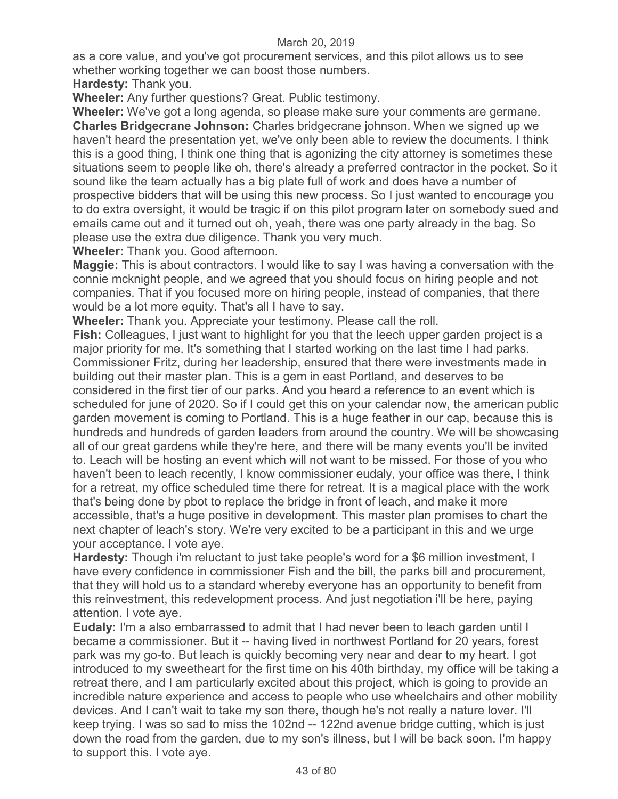as a core value, and you've got procurement services, and this pilot allows us to see whether working together we can boost those numbers.

**Hardesty:** Thank you.

**Wheeler:** Any further questions? Great. Public testimony.

**Wheeler:** We've got a long agenda, so please make sure your comments are germane. **Charles Bridgecrane Johnson:** Charles bridgecrane johnson. When we signed up we haven't heard the presentation yet, we've only been able to review the documents. I think this is a good thing, I think one thing that is agonizing the city attorney is sometimes these situations seem to people like oh, there's already a preferred contractor in the pocket. So it sound like the team actually has a big plate full of work and does have a number of prospective bidders that will be using this new process. So I just wanted to encourage you to do extra oversight, it would be tragic if on this pilot program later on somebody sued and emails came out and it turned out oh, yeah, there was one party already in the bag. So please use the extra due diligence. Thank you very much.

**Wheeler:** Thank you. Good afternoon.

**Maggie:** This is about contractors. I would like to say I was having a conversation with the connie mcknight people, and we agreed that you should focus on hiring people and not companies. That if you focused more on hiring people, instead of companies, that there would be a lot more equity. That's all I have to say.

**Wheeler:** Thank you. Appreciate your testimony. Please call the roll.

**Fish:** Colleagues, I just want to highlight for you that the leech upper garden project is a major priority for me. It's something that I started working on the last time I had parks. Commissioner Fritz, during her leadership, ensured that there were investments made in building out their master plan. This is a gem in east Portland, and deserves to be considered in the first tier of our parks. And you heard a reference to an event which is scheduled for june of 2020. So if I could get this on your calendar now, the american public garden movement is coming to Portland. This is a huge feather in our cap, because this is hundreds and hundreds of garden leaders from around the country. We will be showcasing all of our great gardens while they're here, and there will be many events you'll be invited to. Leach will be hosting an event which will not want to be missed. For those of you who haven't been to leach recently, I know commissioner eudaly, your office was there, I think for a retreat, my office scheduled time there for retreat. It is a magical place with the work that's being done by pbot to replace the bridge in front of leach, and make it more accessible, that's a huge positive in development. This master plan promises to chart the next chapter of leach's story. We're very excited to be a participant in this and we urge your acceptance. I vote aye.

**Hardesty:** Though i'm reluctant to just take people's word for a \$6 million investment, I have every confidence in commissioner Fish and the bill, the parks bill and procurement, that they will hold us to a standard whereby everyone has an opportunity to benefit from this reinvestment, this redevelopment process. And just negotiation i'll be here, paying attention. I vote aye.

**Eudaly:** I'm a also embarrassed to admit that I had never been to leach garden until I became a commissioner. But it -- having lived in northwest Portland for 20 years, forest park was my go-to. But leach is quickly becoming very near and dear to my heart. I got introduced to my sweetheart for the first time on his 40th birthday, my office will be taking a retreat there, and I am particularly excited about this project, which is going to provide an incredible nature experience and access to people who use wheelchairs and other mobility devices. And I can't wait to take my son there, though he's not really a nature lover. I'll keep trying. I was so sad to miss the 102nd -- 122nd avenue bridge cutting, which is just down the road from the garden, due to my son's illness, but I will be back soon. I'm happy to support this. I vote aye.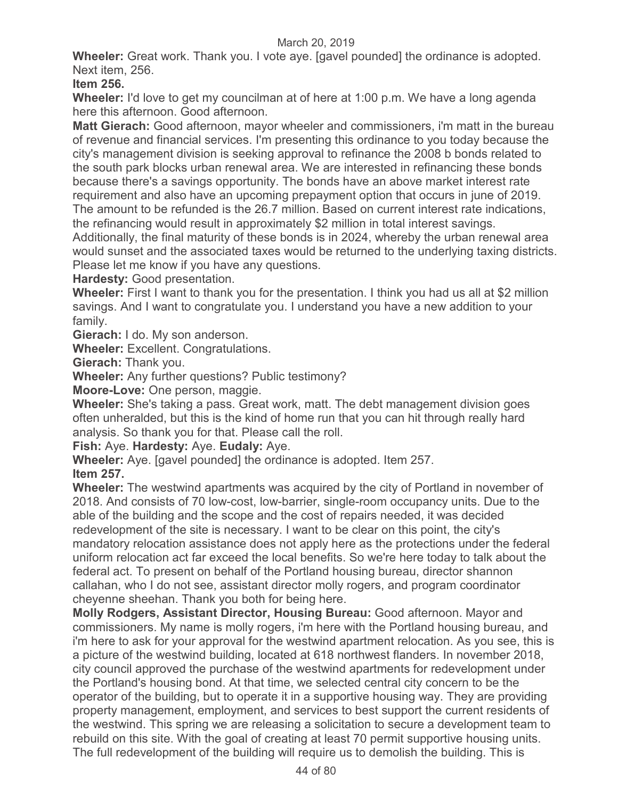**Wheeler:** Great work. Thank you. I vote aye. [gavel pounded] the ordinance is adopted. Next item, 256.

**Item 256.** 

**Wheeler:** I'd love to get my councilman at of here at 1:00 p.m. We have a long agenda here this afternoon. Good afternoon.

**Matt Gierach:** Good afternoon, mayor wheeler and commissioners, i'm matt in the bureau of revenue and financial services. I'm presenting this ordinance to you today because the city's management division is seeking approval to refinance the 2008 b bonds related to the south park blocks urban renewal area. We are interested in refinancing these bonds because there's a savings opportunity. The bonds have an above market interest rate requirement and also have an upcoming prepayment option that occurs in june of 2019. The amount to be refunded is the 26.7 million. Based on current interest rate indications, the refinancing would result in approximately \$2 million in total interest savings.

Additionally, the final maturity of these bonds is in 2024, whereby the urban renewal area would sunset and the associated taxes would be returned to the underlying taxing districts. Please let me know if you have any questions.

**Hardesty:** Good presentation.

**Wheeler:** First I want to thank you for the presentation. I think you had us all at \$2 million savings. And I want to congratulate you. I understand you have a new addition to your family.

**Gierach:** I do. My son anderson.

**Wheeler:** Excellent. Congratulations.

**Gierach:** Thank you.

**Wheeler:** Any further questions? Public testimony?

**Moore-Love:** One person, maggie.

**Wheeler:** She's taking a pass. Great work, matt. The debt management division goes often unheralded, but this is the kind of home run that you can hit through really hard analysis. So thank you for that. Please call the roll.

**Fish:** Aye. **Hardesty:** Aye. **Eudaly:** Aye.

**Wheeler:** Aye. [gavel pounded] the ordinance is adopted. Item 257.

**Item 257.** 

**Wheeler:** The westwind apartments was acquired by the city of Portland in november of 2018. And consists of 70 low-cost, low-barrier, single-room occupancy units. Due to the able of the building and the scope and the cost of repairs needed, it was decided redevelopment of the site is necessary. I want to be clear on this point, the city's mandatory relocation assistance does not apply here as the protections under the federal uniform relocation act far exceed the local benefits. So we're here today to talk about the federal act. To present on behalf of the Portland housing bureau, director shannon callahan, who I do not see, assistant director molly rogers, and program coordinator cheyenne sheehan. Thank you both for being here.

**Molly Rodgers, Assistant Director, Housing Bureau:** Good afternoon. Mayor and commissioners. My name is molly rogers, i'm here with the Portland housing bureau, and i'm here to ask for your approval for the westwind apartment relocation. As you see, this is a picture of the westwind building, located at 618 northwest flanders. In november 2018, city council approved the purchase of the westwind apartments for redevelopment under the Portland's housing bond. At that time, we selected central city concern to be the operator of the building, but to operate it in a supportive housing way. They are providing property management, employment, and services to best support the current residents of the westwind. This spring we are releasing a solicitation to secure a development team to rebuild on this site. With the goal of creating at least 70 permit supportive housing units. The full redevelopment of the building will require us to demolish the building. This is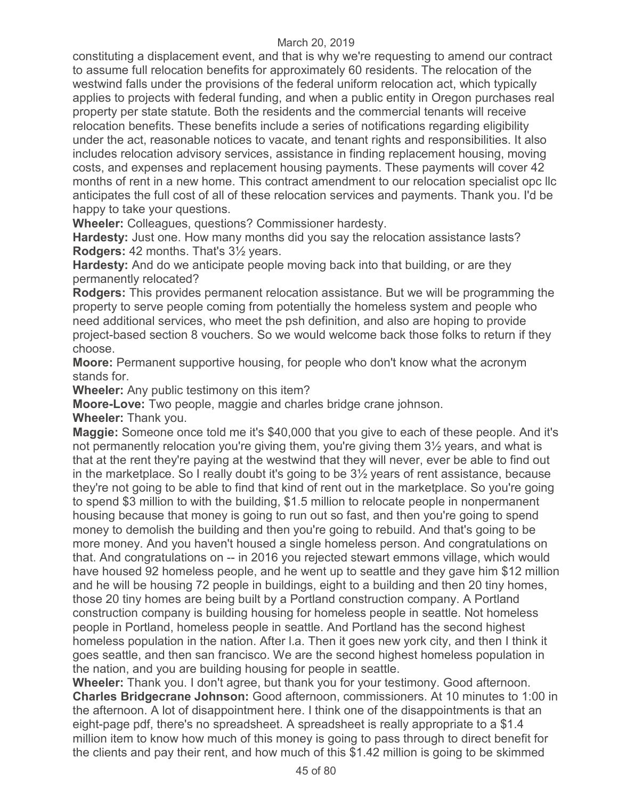constituting a displacement event, and that is why we're requesting to amend our contract to assume full relocation benefits for approximately 60 residents. The relocation of the westwind falls under the provisions of the federal uniform relocation act, which typically applies to projects with federal funding, and when a public entity in Oregon purchases real property per state statute. Both the residents and the commercial tenants will receive relocation benefits. These benefits include a series of notifications regarding eligibility under the act, reasonable notices to vacate, and tenant rights and responsibilities. It also includes relocation advisory services, assistance in finding replacement housing, moving costs, and expenses and replacement housing payments. These payments will cover 42 months of rent in a new home. This contract amendment to our relocation specialist opc llc anticipates the full cost of all of these relocation services and payments. Thank you. I'd be happy to take your questions.

**Wheeler:** Colleagues, questions? Commissioner hardesty.

**Hardesty:** Just one. How many months did you say the relocation assistance lasts? **Rodgers:** 42 months. That's 3½ years.

**Hardesty:** And do we anticipate people moving back into that building, or are they permanently relocated?

**Rodgers:** This provides permanent relocation assistance. But we will be programming the property to serve people coming from potentially the homeless system and people who need additional services, who meet the psh definition, and also are hoping to provide project-based section 8 vouchers. So we would welcome back those folks to return if they choose.

**Moore:** Permanent supportive housing, for people who don't know what the acronym stands for.

**Wheeler:** Any public testimony on this item?

**Moore-Love:** Two people, maggie and charles bridge crane johnson.

**Wheeler:** Thank you.

**Maggie:** Someone once told me it's \$40,000 that you give to each of these people. And it's not permanently relocation you're giving them, you're giving them 3½ years, and what is that at the rent they're paying at the westwind that they will never, ever be able to find out in the marketplace. So I really doubt it's going to be 3½ years of rent assistance, because they're not going to be able to find that kind of rent out in the marketplace. So you're going to spend \$3 million to with the building, \$1.5 million to relocate people in nonpermanent housing because that money is going to run out so fast, and then you're going to spend money to demolish the building and then you're going to rebuild. And that's going to be more money. And you haven't housed a single homeless person. And congratulations on that. And congratulations on -- in 2016 you rejected stewart emmons village, which would have housed 92 homeless people, and he went up to seattle and they gave him \$12 million and he will be housing 72 people in buildings, eight to a building and then 20 tiny homes, those 20 tiny homes are being built by a Portland construction company. A Portland construction company is building housing for homeless people in seattle. Not homeless people in Portland, homeless people in seattle. And Portland has the second highest homeless population in the nation. After l.a. Then it goes new york city, and then I think it goes seattle, and then san francisco. We are the second highest homeless population in the nation, and you are building housing for people in seattle.

**Wheeler:** Thank you. I don't agree, but thank you for your testimony. Good afternoon. **Charles Bridgecrane Johnson:** Good afternoon, commissioners. At 10 minutes to 1:00 in the afternoon. A lot of disappointment here. I think one of the disappointments is that an eight-page pdf, there's no spreadsheet. A spreadsheet is really appropriate to a \$1.4 million item to know how much of this money is going to pass through to direct benefit for the clients and pay their rent, and how much of this \$1.42 million is going to be skimmed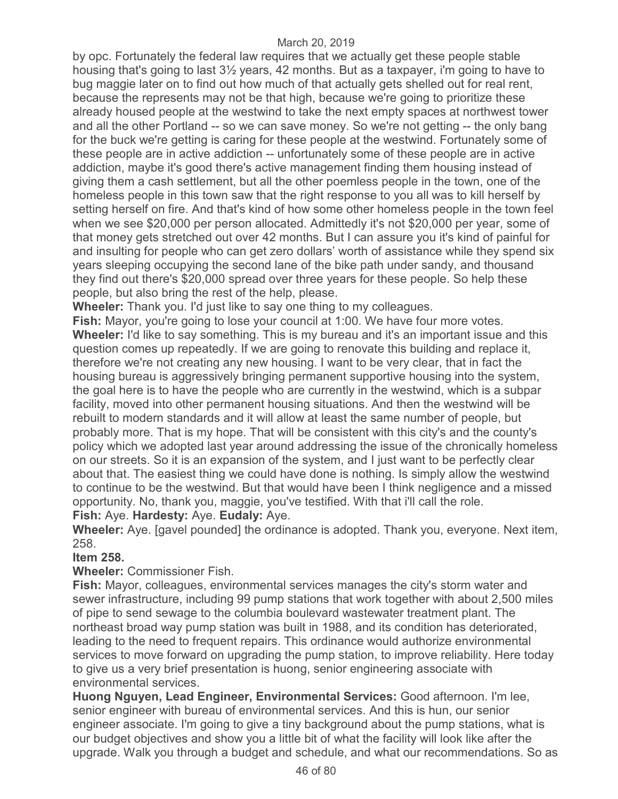by opc. Fortunately the federal law requires that we actually get these people stable housing that's going to last 3½ years, 42 months. But as a taxpayer, i'm going to have to bug maggie later on to find out how much of that actually gets shelled out for real rent, because the represents may not be that high, because we're going to prioritize these already housed people at the westwind to take the next empty spaces at northwest tower and all the other Portland -- so we can save money. So we're not getting -- the only bang for the buck we're getting is caring for these people at the westwind. Fortunately some of these people are in active addiction -- unfortunately some of these people are in active addiction, maybe it's good there's active management finding them housing instead of giving them a cash settlement, but all the other poemless people in the town, one of the homeless people in this town saw that the right response to you all was to kill herself by setting herself on fire. And that's kind of how some other homeless people in the town feel when we see \$20,000 per person allocated. Admittedly it's not \$20,000 per year, some of that money gets stretched out over 42 months. But I can assure you it's kind of painful for and insulting for people who can get zero dollars' worth of assistance while they spend six years sleeping occupying the second lane of the bike path under sandy, and thousand they find out there's \$20,000 spread over three years for these people. So help these people, but also bring the rest of the help, please.

**Wheeler:** Thank you. I'd just like to say one thing to my colleagues.

**Fish:** Mayor, you're going to lose your council at 1:00. We have four more votes. **Wheeler:** I'd like to say something. This is my bureau and it's an important issue and this question comes up repeatedly. If we are going to renovate this building and replace it, therefore we're not creating any new housing. I want to be very clear, that in fact the housing bureau is aggressively bringing permanent supportive housing into the system, the goal here is to have the people who are currently in the westwind, which is a subpar facility, moved into other permanent housing situations. And then the westwind will be rebuilt to modern standards and it will allow at least the same number of people, but probably more. That is my hope. That will be consistent with this city's and the county's policy which we adopted last year around addressing the issue of the chronically homeless on our streets. So it is an expansion of the system, and I just want to be perfectly clear about that. The easiest thing we could have done is nothing. Is simply allow the westwind to continue to be the westwind. But that would have been I think negligence and a missed opportunity. No, thank you, maggie, you've testified. With that i'll call the role. **Fish:** Aye. **Hardesty:** Aye. **Eudaly:** Aye.

**Wheeler:** Aye. [gavel pounded] the ordinance is adopted. Thank you, everyone. Next item, 258.

### **Item 258.**

**Wheeler:** Commissioner Fish.

**Fish:** Mayor, colleagues, environmental services manages the city's storm water and sewer infrastructure, including 99 pump stations that work together with about 2,500 miles of pipe to send sewage to the columbia boulevard wastewater treatment plant. The northeast broad way pump station was built in 1988, and its condition has deteriorated, leading to the need to frequent repairs. This ordinance would authorize environmental services to move forward on upgrading the pump station, to improve reliability. Here today to give us a very brief presentation is huong, senior engineering associate with environmental services.

**Huong Nguyen, Lead Engineer, Environmental Services:** Good afternoon. I'm lee, senior engineer with bureau of environmental services. And this is hun, our senior engineer associate. I'm going to give a tiny background about the pump stations, what is our budget objectives and show you a little bit of what the facility will look like after the upgrade. Walk you through a budget and schedule, and what our recommendations. So as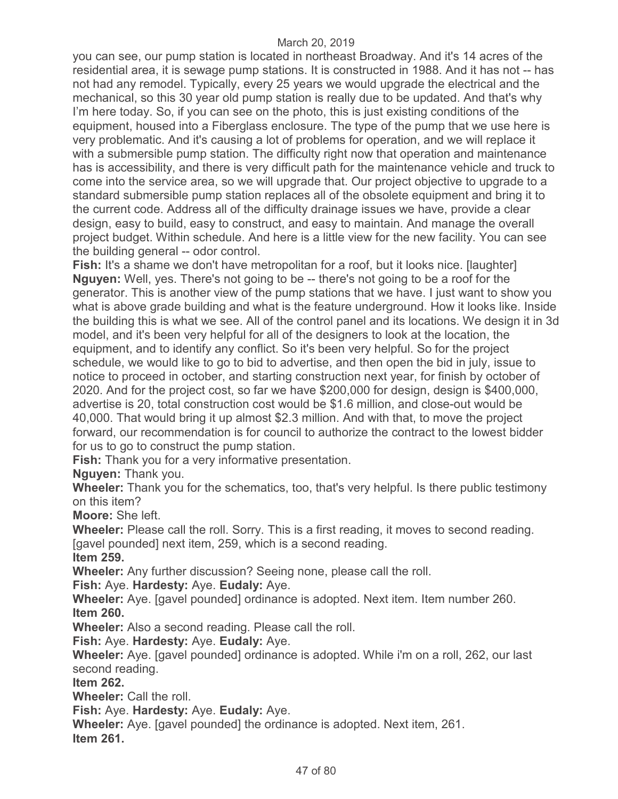you can see, our pump station is located in northeast Broadway. And it's 14 acres of the residential area, it is sewage pump stations. It is constructed in 1988. And it has not -- has not had any remodel. Typically, every 25 years we would upgrade the electrical and the mechanical, so this 30 year old pump station is really due to be updated. And that's why I'm here today. So, if you can see on the photo, this is just existing conditions of the equipment, housed into a Fiberglass enclosure. The type of the pump that we use here is very problematic. And it's causing a lot of problems for operation, and we will replace it with a submersible pump station. The difficulty right now that operation and maintenance has is accessibility, and there is very difficult path for the maintenance vehicle and truck to come into the service area, so we will upgrade that. Our project objective to upgrade to a standard submersible pump station replaces all of the obsolete equipment and bring it to the current code. Address all of the difficulty drainage issues we have, provide a clear design, easy to build, easy to construct, and easy to maintain. And manage the overall project budget. Within schedule. And here is a little view for the new facility. You can see the building general -- odor control.

**Fish:** It's a shame we don't have metropolitan for a roof, but it looks nice. [laughter] **Nguyen:** Well, yes. There's not going to be -- there's not going to be a roof for the generator. This is another view of the pump stations that we have. I just want to show you what is above grade building and what is the feature underground. How it looks like. Inside the building this is what we see. All of the control panel and its locations. We design it in 3d model, and it's been very helpful for all of the designers to look at the location, the equipment, and to identify any conflict. So it's been very helpful. So for the project schedule, we would like to go to bid to advertise, and then open the bid in july, issue to notice to proceed in october, and starting construction next year, for finish by october of 2020. And for the project cost, so far we have \$200,000 for design, design is \$400,000, advertise is 20, total construction cost would be \$1.6 million, and close-out would be 40,000. That would bring it up almost \$2.3 million. And with that, to move the project forward, our recommendation is for council to authorize the contract to the lowest bidder for us to go to construct the pump station.

**Fish:** Thank you for a very informative presentation.

**Nguyen:** Thank you.

**Wheeler:** Thank you for the schematics, too, that's very helpful. Is there public testimony on this item?

**Moore:** She left.

**Wheeler:** Please call the roll. Sorry. This is a first reading, it moves to second reading. [gavel pounded] next item, 259, which is a second reading.

**Item 259.** 

**Wheeler:** Any further discussion? Seeing none, please call the roll.

**Fish:** Aye. **Hardesty:** Aye. **Eudaly:** Aye.

**Wheeler:** Aye. [gavel pounded] ordinance is adopted. Next item. Item number 260. **Item 260.** 

**Wheeler:** Also a second reading. Please call the roll.

**Fish:** Aye. **Hardesty:** Aye. **Eudaly:** Aye.

**Wheeler:** Aye. [gavel pounded] ordinance is adopted. While i'm on a roll, 262, our last second reading.

**Item 262.** 

**Wheeler:** Call the roll.

**Fish:** Aye. **Hardesty:** Aye. **Eudaly:** Aye.

**Wheeler:** Aye. [gavel pounded] the ordinance is adopted. Next item, 261. **Item 261.**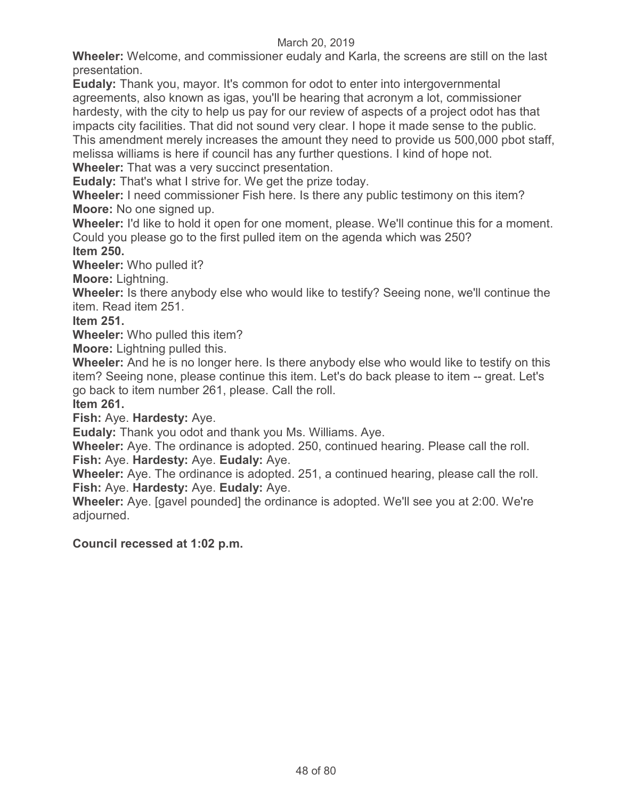**Wheeler:** Welcome, and commissioner eudaly and Karla, the screens are still on the last presentation.

**Eudaly:** Thank you, mayor. It's common for odot to enter into intergovernmental agreements, also known as igas, you'll be hearing that acronym a lot, commissioner hardesty, with the city to help us pay for our review of aspects of a project odot has that impacts city facilities. That did not sound very clear. I hope it made sense to the public. This amendment merely increases the amount they need to provide us 500,000 pbot staff, melissa williams is here if council has any further questions. I kind of hope not.

**Wheeler:** That was a very succinct presentation.

**Eudaly:** That's what I strive for. We get the prize today.

**Wheeler:** I need commissioner Fish here. Is there any public testimony on this item? **Moore:** No one signed up.

**Wheeler:** I'd like to hold it open for one moment, please. We'll continue this for a moment. Could you please go to the first pulled item on the agenda which was 250? **Item 250.** 

**Wheeler:** Who pulled it?

**Moore:** Lightning.

**Wheeler:** Is there anybody else who would like to testify? Seeing none, we'll continue the item. Read item 251.

**Item 251.** 

**Wheeler:** Who pulled this item?

**Moore:** Lightning pulled this.

**Wheeler:** And he is no longer here. Is there anybody else who would like to testify on this item? Seeing none, please continue this item. Let's do back please to item -- great. Let's go back to item number 261, please. Call the roll.

## **Item 261.**

**Fish:** Aye. **Hardesty:** Aye.

**Eudaly:** Thank you odot and thank you Ms. Williams. Aye.

**Wheeler:** Aye. The ordinance is adopted. 250, continued hearing. Please call the roll. **Fish:** Aye. **Hardesty:** Aye. **Eudaly:** Aye.

**Wheeler:** Aye. The ordinance is adopted. 251, a continued hearing, please call the roll. **Fish:** Aye. **Hardesty:** Aye. **Eudaly:** Aye.

**Wheeler:** Aye. [gavel pounded] the ordinance is adopted. We'll see you at 2:00. We're adjourned.

**Council recessed at 1:02 p.m.**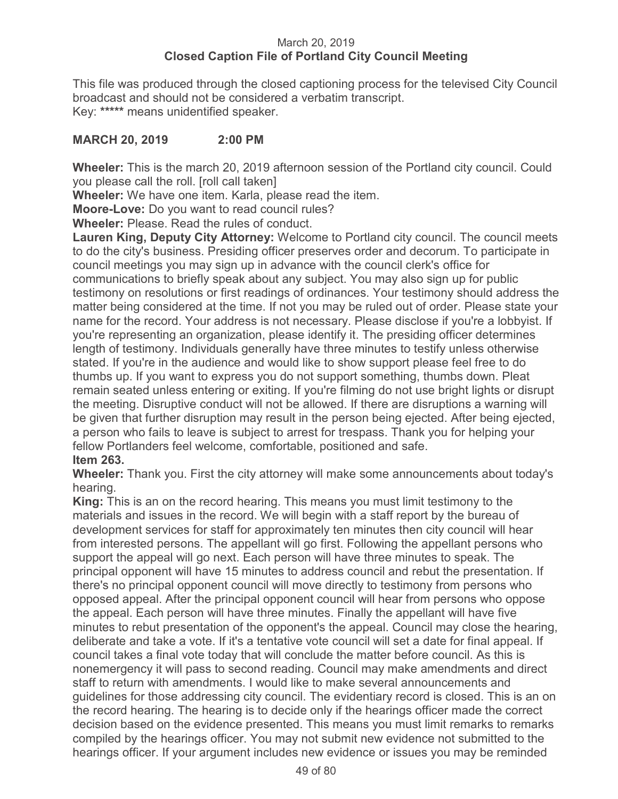## March 20, 2019 **Closed Caption File of Portland City Council Meeting**

This file was produced through the closed captioning process for the televised City Council broadcast and should not be considered a verbatim transcript. Key: **\*\*\*\*\*** means unidentified speaker.

# **MARCH 20, 2019 2:00 PM**

**Wheeler:** This is the march 20, 2019 afternoon session of the Portland city council. Could you please call the roll. [roll call taken]

**Wheeler:** We have one item. Karla, please read the item.

**Moore-Love:** Do you want to read council rules?

**Wheeler:** Please. Read the rules of conduct.

**Lauren King, Deputy City Attorney:** Welcome to Portland city council. The council meets to do the city's business. Presiding officer preserves order and decorum. To participate in council meetings you may sign up in advance with the council clerk's office for communications to briefly speak about any subject. You may also sign up for public testimony on resolutions or first readings of ordinances. Your testimony should address the matter being considered at the time. If not you may be ruled out of order. Please state your name for the record. Your address is not necessary. Please disclose if you're a lobbyist. If you're representing an organization, please identify it. The presiding officer determines length of testimony. Individuals generally have three minutes to testify unless otherwise stated. If you're in the audience and would like to show support please feel free to do thumbs up. If you want to express you do not support something, thumbs down. Pleat remain seated unless entering or exiting. If you're filming do not use bright lights or disrupt the meeting. Disruptive conduct will not be allowed. If there are disruptions a warning will be given that further disruption may result in the person being ejected. After being ejected, a person who fails to leave is subject to arrest for trespass. Thank you for helping your fellow Portlanders feel welcome, comfortable, positioned and safe. **Item 263.**

**Wheeler:** Thank you. First the city attorney will make some announcements about today's hearing.

**King:** This is an on the record hearing. This means you must limit testimony to the materials and issues in the record. We will begin with a staff report by the bureau of development services for staff for approximately ten minutes then city council will hear from interested persons. The appellant will go first. Following the appellant persons who support the appeal will go next. Each person will have three minutes to speak. The principal opponent will have 15 minutes to address council and rebut the presentation. If there's no principal opponent council will move directly to testimony from persons who opposed appeal. After the principal opponent council will hear from persons who oppose the appeal. Each person will have three minutes. Finally the appellant will have five minutes to rebut presentation of the opponent's the appeal. Council may close the hearing, deliberate and take a vote. If it's a tentative vote council will set a date for final appeal. If council takes a final vote today that will conclude the matter before council. As this is nonemergency it will pass to second reading. Council may make amendments and direct staff to return with amendments. I would like to make several announcements and guidelines for those addressing city council. The evidentiary record is closed. This is an on the record hearing. The hearing is to decide only if the hearings officer made the correct decision based on the evidence presented. This means you must limit remarks to remarks compiled by the hearings officer. You may not submit new evidence not submitted to the hearings officer. If your argument includes new evidence or issues you may be reminded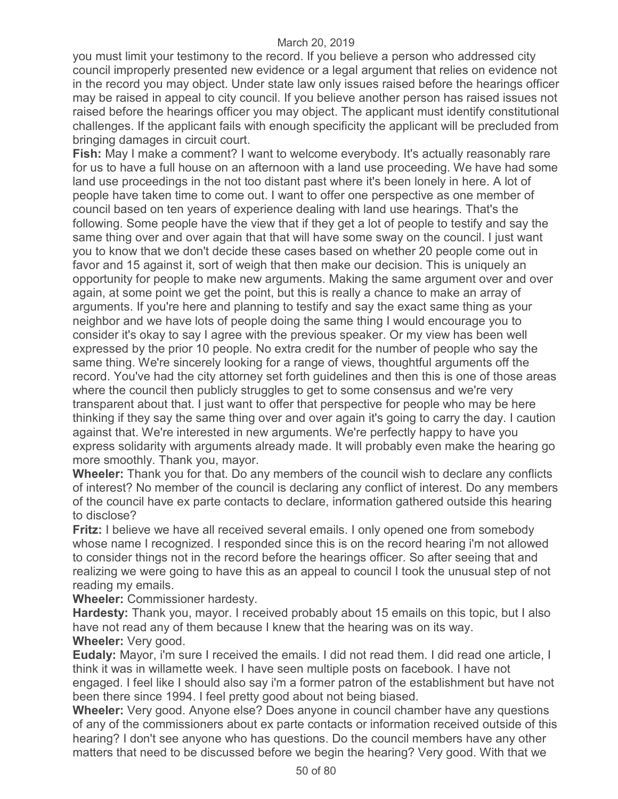you must limit your testimony to the record. If you believe a person who addressed city council improperly presented new evidence or a legal argument that relies on evidence not in the record you may object. Under state law only issues raised before the hearings officer may be raised in appeal to city council. If you believe another person has raised issues not raised before the hearings officer you may object. The applicant must identify constitutional challenges. If the applicant fails with enough specificity the applicant will be precluded from bringing damages in circuit court.

**Fish:** May I make a comment? I want to welcome everybody. It's actually reasonably rare for us to have a full house on an afternoon with a land use proceeding. We have had some land use proceedings in the not too distant past where it's been lonely in here. A lot of people have taken time to come out. I want to offer one perspective as one member of council based on ten years of experience dealing with land use hearings. That's the following. Some people have the view that if they get a lot of people to testify and say the same thing over and over again that that will have some sway on the council. I just want you to know that we don't decide these cases based on whether 20 people come out in favor and 15 against it, sort of weigh that then make our decision. This is uniquely an opportunity for people to make new arguments. Making the same argument over and over again, at some point we get the point, but this is really a chance to make an array of arguments. If you're here and planning to testify and say the exact same thing as your neighbor and we have lots of people doing the same thing I would encourage you to consider it's okay to say I agree with the previous speaker. Or my view has been well expressed by the prior 10 people. No extra credit for the number of people who say the same thing. We're sincerely looking for a range of views, thoughtful arguments off the record. You've had the city attorney set forth guidelines and then this is one of those areas where the council then publicly struggles to get to some consensus and we're very transparent about that. I just want to offer that perspective for people who may be here thinking if they say the same thing over and over again it's going to carry the day. I caution against that. We're interested in new arguments. We're perfectly happy to have you express solidarity with arguments already made. It will probably even make the hearing go more smoothly. Thank you, mayor.

**Wheeler:** Thank you for that. Do any members of the council wish to declare any conflicts of interest? No member of the council is declaring any conflict of interest. Do any members of the council have ex parte contacts to declare, information gathered outside this hearing to disclose?

**Fritz:** I believe we have all received several emails. I only opened one from somebody whose name I recognized. I responded since this is on the record hearing i'm not allowed to consider things not in the record before the hearings officer. So after seeing that and realizing we were going to have this as an appeal to council I took the unusual step of not reading my emails.

**Wheeler:** Commissioner hardesty.

**Hardesty:** Thank you, mayor. I received probably about 15 emails on this topic, but I also have not read any of them because I knew that the hearing was on its way. **Wheeler:** Very good.

**Eudaly:** Mayor, i'm sure I received the emails. I did not read them. I did read one article, I think it was in willamette week. I have seen multiple posts on facebook. I have not engaged. I feel like I should also say i'm a former patron of the establishment but have not been there since 1994. I feel pretty good about not being biased.

**Wheeler:** Very good. Anyone else? Does anyone in council chamber have any questions of any of the commissioners about ex parte contacts or information received outside of this hearing? I don't see anyone who has questions. Do the council members have any other matters that need to be discussed before we begin the hearing? Very good. With that we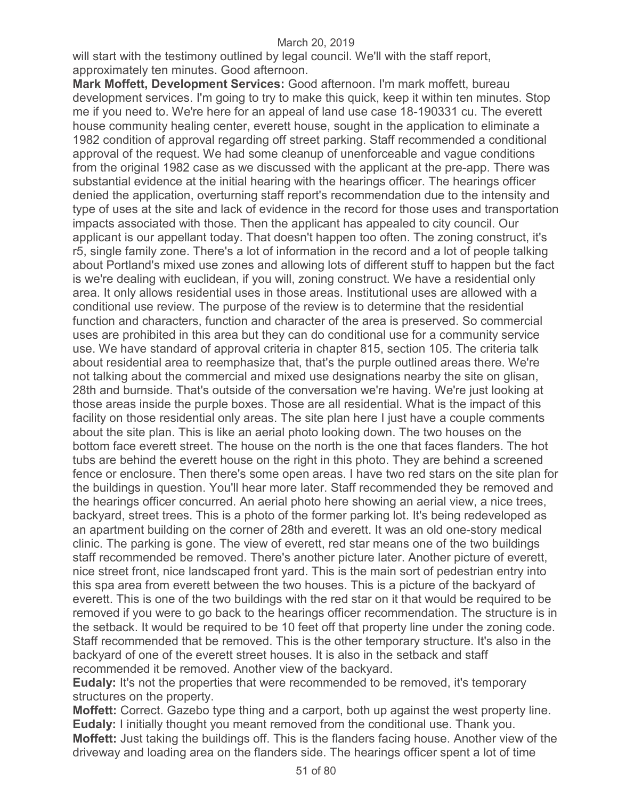will start with the testimony outlined by legal council. We'll with the staff report, approximately ten minutes. Good afternoon.

**Mark Moffett, Development Services:** Good afternoon. I'm mark moffett, bureau development services. I'm going to try to make this quick, keep it within ten minutes. Stop me if you need to. We're here for an appeal of land use case 18-190331 cu. The everett house community healing center, everett house, sought in the application to eliminate a 1982 condition of approval regarding off street parking. Staff recommended a conditional approval of the request. We had some cleanup of unenforceable and vague conditions from the original 1982 case as we discussed with the applicant at the pre-app. There was substantial evidence at the initial hearing with the hearings officer. The hearings officer denied the application, overturning staff report's recommendation due to the intensity and type of uses at the site and lack of evidence in the record for those uses and transportation impacts associated with those. Then the applicant has appealed to city council. Our applicant is our appellant today. That doesn't happen too often. The zoning construct, it's r5, single family zone. There's a lot of information in the record and a lot of people talking about Portland's mixed use zones and allowing lots of different stuff to happen but the fact is we're dealing with euclidean, if you will, zoning construct. We have a residential only area. It only allows residential uses in those areas. Institutional uses are allowed with a conditional use review. The purpose of the review is to determine that the residential function and characters, function and character of the area is preserved. So commercial uses are prohibited in this area but they can do conditional use for a community service use. We have standard of approval criteria in chapter 815, section 105. The criteria talk about residential area to reemphasize that, that's the purple outlined areas there. We're not talking about the commercial and mixed use designations nearby the site on glisan, 28th and burnside. That's outside of the conversation we're having. We're just looking at those areas inside the purple boxes. Those are all residential. What is the impact of this facility on those residential only areas. The site plan here I just have a couple comments about the site plan. This is like an aerial photo looking down. The two houses on the bottom face everett street. The house on the north is the one that faces flanders. The hot tubs are behind the everett house on the right in this photo. They are behind a screened fence or enclosure. Then there's some open areas. I have two red stars on the site plan for the buildings in question. You'll hear more later. Staff recommended they be removed and the hearings officer concurred. An aerial photo here showing an aerial view, a nice trees, backyard, street trees. This is a photo of the former parking lot. It's being redeveloped as an apartment building on the corner of 28th and everett. It was an old one-story medical clinic. The parking is gone. The view of everett, red star means one of the two buildings staff recommended be removed. There's another picture later. Another picture of everett, nice street front, nice landscaped front yard. This is the main sort of pedestrian entry into this spa area from everett between the two houses. This is a picture of the backyard of everett. This is one of the two buildings with the red star on it that would be required to be removed if you were to go back to the hearings officer recommendation. The structure is in the setback. It would be required to be 10 feet off that property line under the zoning code. Staff recommended that be removed. This is the other temporary structure. It's also in the backyard of one of the everett street houses. It is also in the setback and staff recommended it be removed. Another view of the backyard.

**Eudaly:** It's not the properties that were recommended to be removed, it's temporary structures on the property.

**Moffett:** Correct. Gazebo type thing and a carport, both up against the west property line. **Eudaly:** I initially thought you meant removed from the conditional use. Thank you. **Moffett:** Just taking the buildings off. This is the flanders facing house. Another view of the driveway and loading area on the flanders side. The hearings officer spent a lot of time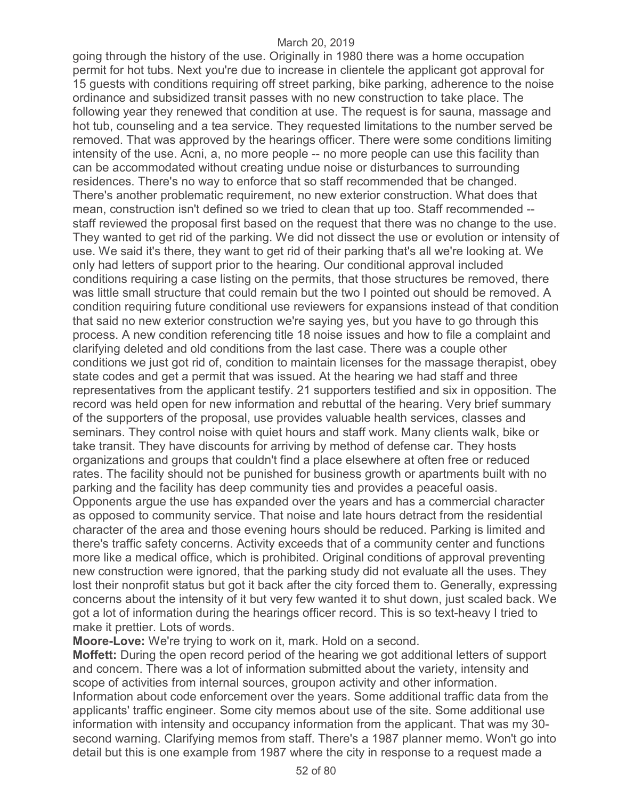going through the history of the use. Originally in 1980 there was a home occupation permit for hot tubs. Next you're due to increase in clientele the applicant got approval for 15 guests with conditions requiring off street parking, bike parking, adherence to the noise ordinance and subsidized transit passes with no new construction to take place. The following year they renewed that condition at use. The request is for sauna, massage and hot tub, counseling and a tea service. They requested limitations to the number served be removed. That was approved by the hearings officer. There were some conditions limiting intensity of the use. Acni, a, no more people -- no more people can use this facility than can be accommodated without creating undue noise or disturbances to surrounding residences. There's no way to enforce that so staff recommended that be changed. There's another problematic requirement, no new exterior construction. What does that mean, construction isn't defined so we tried to clean that up too. Staff recommended - staff reviewed the proposal first based on the request that there was no change to the use. They wanted to get rid of the parking. We did not dissect the use or evolution or intensity of use. We said it's there, they want to get rid of their parking that's all we're looking at. We only had letters of support prior to the hearing. Our conditional approval included conditions requiring a case listing on the permits, that those structures be removed, there was little small structure that could remain but the two I pointed out should be removed. A condition requiring future conditional use reviewers for expansions instead of that condition that said no new exterior construction we're saying yes, but you have to go through this process. A new condition referencing title 18 noise issues and how to file a complaint and clarifying deleted and old conditions from the last case. There was a couple other conditions we just got rid of, condition to maintain licenses for the massage therapist, obey state codes and get a permit that was issued. At the hearing we had staff and three representatives from the applicant testify. 21 supporters testified and six in opposition. The record was held open for new information and rebuttal of the hearing. Very brief summary of the supporters of the proposal, use provides valuable health services, classes and seminars. They control noise with quiet hours and staff work. Many clients walk, bike or take transit. They have discounts for arriving by method of defense car. They hosts organizations and groups that couldn't find a place elsewhere at often free or reduced rates. The facility should not be punished for business growth or apartments built with no parking and the facility has deep community ties and provides a peaceful oasis. Opponents argue the use has expanded over the years and has a commercial character as opposed to community service. That noise and late hours detract from the residential character of the area and those evening hours should be reduced. Parking is limited and there's traffic safety concerns. Activity exceeds that of a community center and functions more like a medical office, which is prohibited. Original conditions of approval preventing new construction were ignored, that the parking study did not evaluate all the uses. They lost their nonprofit status but got it back after the city forced them to. Generally, expressing concerns about the intensity of it but very few wanted it to shut down, just scaled back. We got a lot of information during the hearings officer record. This is so text-heavy I tried to make it prettier. Lots of words.

**Moore-Love:** We're trying to work on it, mark. Hold on a second.

**Moffett:** During the open record period of the hearing we got additional letters of support and concern. There was a lot of information submitted about the variety, intensity and scope of activities from internal sources, groupon activity and other information. Information about code enforcement over the years. Some additional traffic data from the applicants' traffic engineer. Some city memos about use of the site. Some additional use information with intensity and occupancy information from the applicant. That was my 30 second warning. Clarifying memos from staff. There's a 1987 planner memo. Won't go into detail but this is one example from 1987 where the city in response to a request made a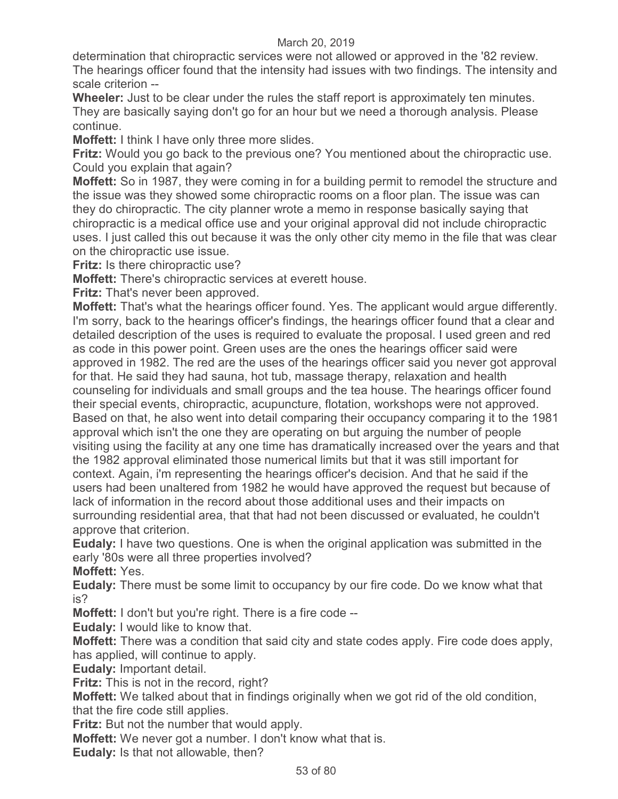determination that chiropractic services were not allowed or approved in the '82 review. The hearings officer found that the intensity had issues with two findings. The intensity and scale criterion --

**Wheeler:** Just to be clear under the rules the staff report is approximately ten minutes. They are basically saying don't go for an hour but we need a thorough analysis. Please continue.

**Moffett:** I think I have only three more slides.

**Fritz:** Would you go back to the previous one? You mentioned about the chiropractic use. Could you explain that again?

**Moffett:** So in 1987, they were coming in for a building permit to remodel the structure and the issue was they showed some chiropractic rooms on a floor plan. The issue was can they do chiropractic. The city planner wrote a memo in response basically saying that chiropractic is a medical office use and your original approval did not include chiropractic uses. I just called this out because it was the only other city memo in the file that was clear on the chiropractic use issue.

**Fritz:** Is there chiropractic use?

**Moffett:** There's chiropractic services at everett house.

**Fritz:** That's never been approved.

**Moffett:** That's what the hearings officer found. Yes. The applicant would argue differently. I'm sorry, back to the hearings officer's findings, the hearings officer found that a clear and detailed description of the uses is required to evaluate the proposal. I used green and red as code in this power point. Green uses are the ones the hearings officer said were approved in 1982. The red are the uses of the hearings officer said you never got approval for that. He said they had sauna, hot tub, massage therapy, relaxation and health counseling for individuals and small groups and the tea house. The hearings officer found their special events, chiropractic, acupuncture, flotation, workshops were not approved. Based on that, he also went into detail comparing their occupancy comparing it to the 1981 approval which isn't the one they are operating on but arguing the number of people visiting using the facility at any one time has dramatically increased over the years and that the 1982 approval eliminated those numerical limits but that it was still important for context. Again, i'm representing the hearings officer's decision. And that he said if the users had been unaltered from 1982 he would have approved the request but because of lack of information in the record about those additional uses and their impacts on surrounding residential area, that that had not been discussed or evaluated, he couldn't approve that criterion.

**Eudaly:** I have two questions. One is when the original application was submitted in the early '80s were all three properties involved?

**Moffett:** Yes.

**Eudaly:** There must be some limit to occupancy by our fire code. Do we know what that is?

**Moffett:** I don't but you're right. There is a fire code --

**Eudaly:** I would like to know that.

**Moffett:** There was a condition that said city and state codes apply. Fire code does apply, has applied, will continue to apply.

**Eudaly:** Important detail.

**Fritz:** This is not in the record, right?

**Moffett:** We talked about that in findings originally when we got rid of the old condition, that the fire code still applies.

**Fritz:** But not the number that would apply.

**Moffett:** We never got a number. I don't know what that is.

**Eudaly:** Is that not allowable, then?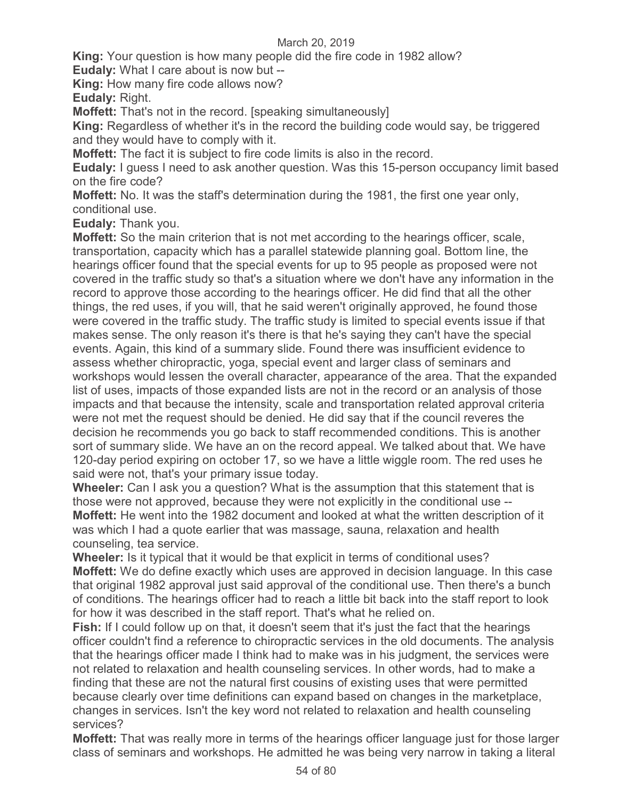**King:** Your question is how many people did the fire code in 1982 allow?

**Eudaly:** What I care about is now but --

**King:** How many fire code allows now?

**Eudaly:** Right.

**Moffett:** That's not in the record. [speaking simultaneously]

**King:** Regardless of whether it's in the record the building code would say, be triggered and they would have to comply with it.

**Moffett:** The fact it is subject to fire code limits is also in the record.

**Eudaly:** I guess I need to ask another question. Was this 15-person occupancy limit based on the fire code?

**Moffett:** No. It was the staff's determination during the 1981, the first one year only, conditional use.

**Eudaly:** Thank you.

**Moffett:** So the main criterion that is not met according to the hearings officer, scale, transportation, capacity which has a parallel statewide planning goal. Bottom line, the hearings officer found that the special events for up to 95 people as proposed were not covered in the traffic study so that's a situation where we don't have any information in the record to approve those according to the hearings officer. He did find that all the other things, the red uses, if you will, that he said weren't originally approved, he found those were covered in the traffic study. The traffic study is limited to special events issue if that makes sense. The only reason it's there is that he's saying they can't have the special events. Again, this kind of a summary slide. Found there was insufficient evidence to assess whether chiropractic, yoga, special event and larger class of seminars and workshops would lessen the overall character, appearance of the area. That the expanded list of uses, impacts of those expanded lists are not in the record or an analysis of those impacts and that because the intensity, scale and transportation related approval criteria were not met the request should be denied. He did say that if the council reveres the decision he recommends you go back to staff recommended conditions. This is another sort of summary slide. We have an on the record appeal. We talked about that. We have 120-day period expiring on october 17, so we have a little wiggle room. The red uses he said were not, that's your primary issue today.

**Wheeler:** Can I ask you a question? What is the assumption that this statement that is those were not approved, because they were not explicitly in the conditional use -- **Moffett:** He went into the 1982 document and looked at what the written description of it was which I had a quote earlier that was massage, sauna, relaxation and health counseling, tea service.

**Wheeler:** Is it typical that it would be that explicit in terms of conditional uses? **Moffett:** We do define exactly which uses are approved in decision language. In this case that original 1982 approval just said approval of the conditional use. Then there's a bunch of conditions. The hearings officer had to reach a little bit back into the staff report to look for how it was described in the staff report. That's what he relied on.

**Fish:** If I could follow up on that, it doesn't seem that it's just the fact that the hearings officer couldn't find a reference to chiropractic services in the old documents. The analysis that the hearings officer made I think had to make was in his judgment, the services were not related to relaxation and health counseling services. In other words, had to make a finding that these are not the natural first cousins of existing uses that were permitted because clearly over time definitions can expand based on changes in the marketplace, changes in services. Isn't the key word not related to relaxation and health counseling services?

**Moffett:** That was really more in terms of the hearings officer language just for those larger class of seminars and workshops. He admitted he was being very narrow in taking a literal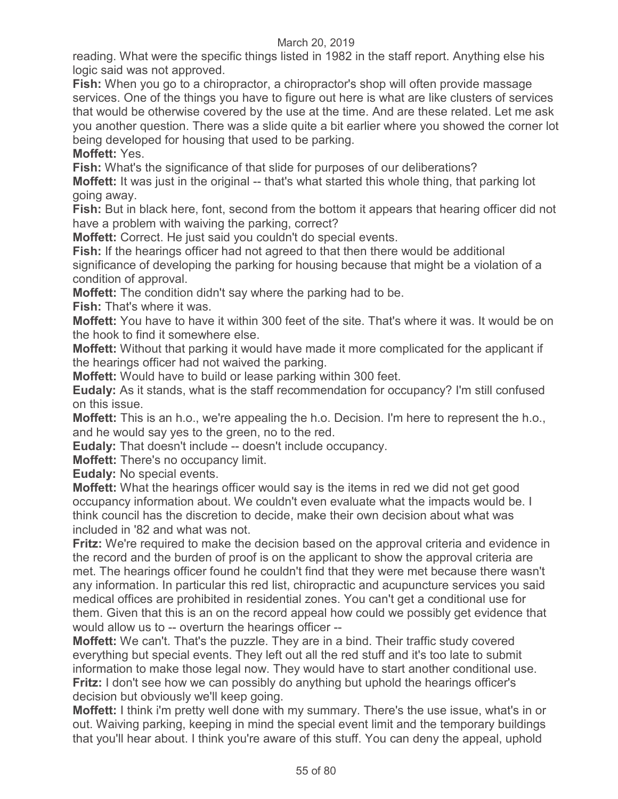reading. What were the specific things listed in 1982 in the staff report. Anything else his logic said was not approved.

**Fish:** When you go to a chiropractor, a chiropractor's shop will often provide massage services. One of the things you have to figure out here is what are like clusters of services that would be otherwise covered by the use at the time. And are these related. Let me ask you another question. There was a slide quite a bit earlier where you showed the corner lot being developed for housing that used to be parking.

**Moffett:** Yes.

**Fish:** What's the significance of that slide for purposes of our deliberations?

**Moffett:** It was just in the original -- that's what started this whole thing, that parking lot going away.

**Fish:** But in black here, font, second from the bottom it appears that hearing officer did not have a problem with waiving the parking, correct?

**Moffett:** Correct. He just said you couldn't do special events.

**Fish:** If the hearings officer had not agreed to that then there would be additional significance of developing the parking for housing because that might be a violation of a condition of approval.

**Moffett:** The condition didn't say where the parking had to be.

**Fish:** That's where it was.

**Moffett:** You have to have it within 300 feet of the site. That's where it was. It would be on the hook to find it somewhere else.

**Moffett:** Without that parking it would have made it more complicated for the applicant if the hearings officer had not waived the parking.

**Moffett:** Would have to build or lease parking within 300 feet.

**Eudaly:** As it stands, what is the staff recommendation for occupancy? I'm still confused on this issue.

**Moffett:** This is an h.o., we're appealing the h.o. Decision. I'm here to represent the h.o., and he would say yes to the green, no to the red.

**Eudaly:** That doesn't include -- doesn't include occupancy.

**Moffett:** There's no occupancy limit.

**Eudaly:** No special events.

**Moffett:** What the hearings officer would say is the items in red we did not get good occupancy information about. We couldn't even evaluate what the impacts would be. I think council has the discretion to decide, make their own decision about what was included in '82 and what was not.

**Fritz:** We're required to make the decision based on the approval criteria and evidence in the record and the burden of proof is on the applicant to show the approval criteria are met. The hearings officer found he couldn't find that they were met because there wasn't any information. In particular this red list, chiropractic and acupuncture services you said medical offices are prohibited in residential zones. You can't get a conditional use for them. Given that this is an on the record appeal how could we possibly get evidence that would allow us to -- overturn the hearings officer --

**Moffett:** We can't. That's the puzzle. They are in a bind. Their traffic study covered everything but special events. They left out all the red stuff and it's too late to submit information to make those legal now. They would have to start another conditional use. **Fritz:** I don't see how we can possibly do anything but uphold the hearings officer's decision but obviously we'll keep going.

**Moffett:** I think i'm pretty well done with my summary. There's the use issue, what's in or out. Waiving parking, keeping in mind the special event limit and the temporary buildings that you'll hear about. I think you're aware of this stuff. You can deny the appeal, uphold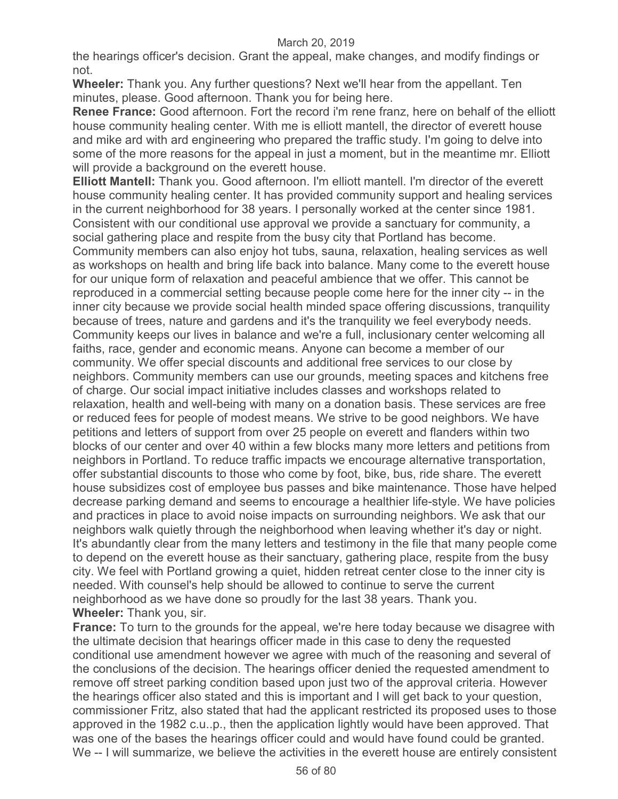the hearings officer's decision. Grant the appeal, make changes, and modify findings or not.

**Wheeler:** Thank you. Any further questions? Next we'll hear from the appellant. Ten minutes, please. Good afternoon. Thank you for being here.

**Renee France:** Good afternoon. Fort the record i'm rene franz, here on behalf of the elliott house community healing center. With me is elliott mantell, the director of everett house and mike ard with ard engineering who prepared the traffic study. I'm going to delve into some of the more reasons for the appeal in just a moment, but in the meantime mr. Elliott will provide a background on the everett house.

**Elliott Mantell:** Thank you. Good afternoon. I'm elliott mantell. I'm director of the everett house community healing center. It has provided community support and healing services in the current neighborhood for 38 years. I personally worked at the center since 1981. Consistent with our conditional use approval we provide a sanctuary for community, a social gathering place and respite from the busy city that Portland has become. Community members can also enjoy hot tubs, sauna, relaxation, healing services as well as workshops on health and bring life back into balance. Many come to the everett house for our unique form of relaxation and peaceful ambience that we offer. This cannot be reproduced in a commercial setting because people come here for the inner city -- in the inner city because we provide social health minded space offering discussions, tranquility because of trees, nature and gardens and it's the tranquility we feel everybody needs. Community keeps our lives in balance and we're a full, inclusionary center welcoming all faiths, race, gender and economic means. Anyone can become a member of our community. We offer special discounts and additional free services to our close by neighbors. Community members can use our grounds, meeting spaces and kitchens free of charge. Our social impact initiative includes classes and workshops related to relaxation, health and well-being with many on a donation basis. These services are free or reduced fees for people of modest means. We strive to be good neighbors. We have petitions and letters of support from over 25 people on everett and flanders within two blocks of our center and over 40 within a few blocks many more letters and petitions from neighbors in Portland. To reduce traffic impacts we encourage alternative transportation, offer substantial discounts to those who come by foot, bike, bus, ride share. The everett house subsidizes cost of employee bus passes and bike maintenance. Those have helped decrease parking demand and seems to encourage a healthier life-style. We have policies and practices in place to avoid noise impacts on surrounding neighbors. We ask that our neighbors walk quietly through the neighborhood when leaving whether it's day or night. It's abundantly clear from the many letters and testimony in the file that many people come to depend on the everett house as their sanctuary, gathering place, respite from the busy city. We feel with Portland growing a quiet, hidden retreat center close to the inner city is needed. With counsel's help should be allowed to continue to serve the current neighborhood as we have done so proudly for the last 38 years. Thank you. **Wheeler:** Thank you, sir.

**France:** To turn to the grounds for the appeal, we're here today because we disagree with the ultimate decision that hearings officer made in this case to deny the requested conditional use amendment however we agree with much of the reasoning and several of the conclusions of the decision. The hearings officer denied the requested amendment to remove off street parking condition based upon just two of the approval criteria. However the hearings officer also stated and this is important and I will get back to your question, commissioner Fritz, also stated that had the applicant restricted its proposed uses to those approved in the 1982 c.u..p., then the application lightly would have been approved. That was one of the bases the hearings officer could and would have found could be granted. We -- I will summarize, we believe the activities in the everett house are entirely consistent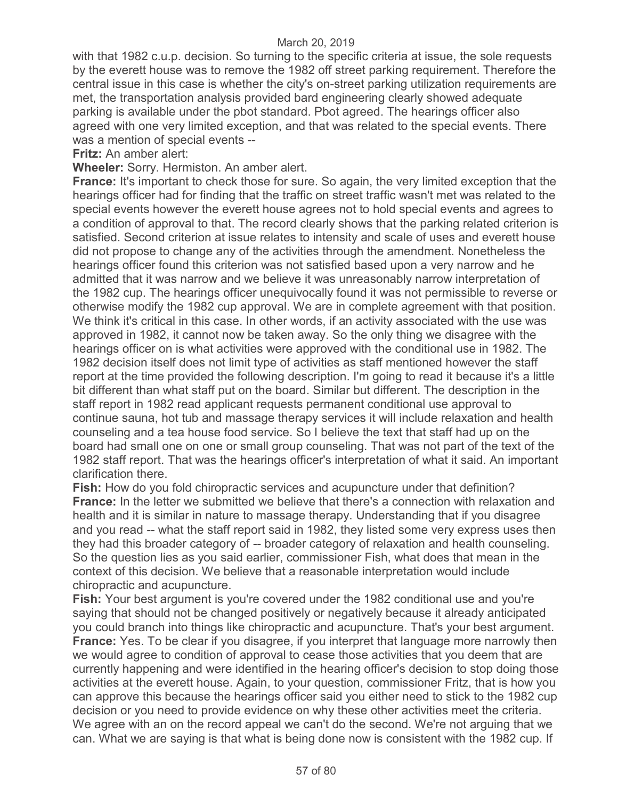with that 1982 c.u.p. decision. So turning to the specific criteria at issue, the sole requests by the everett house was to remove the 1982 off street parking requirement. Therefore the central issue in this case is whether the city's on-street parking utilization requirements are met, the transportation analysis provided bard engineering clearly showed adequate parking is available under the pbot standard. Pbot agreed. The hearings officer also agreed with one very limited exception, and that was related to the special events. There was a mention of special events --

### **Fritz:** An amber alert:

**Wheeler:** Sorry. Hermiston. An amber alert.

**France:** It's important to check those for sure. So again, the very limited exception that the hearings officer had for finding that the traffic on street traffic wasn't met was related to the special events however the everett house agrees not to hold special events and agrees to a condition of approval to that. The record clearly shows that the parking related criterion is satisfied. Second criterion at issue relates to intensity and scale of uses and everett house did not propose to change any of the activities through the amendment. Nonetheless the hearings officer found this criterion was not satisfied based upon a very narrow and he admitted that it was narrow and we believe it was unreasonably narrow interpretation of the 1982 cup. The hearings officer unequivocally found it was not permissible to reverse or otherwise modify the 1982 cup approval. We are in complete agreement with that position. We think it's critical in this case. In other words, if an activity associated with the use was approved in 1982, it cannot now be taken away. So the only thing we disagree with the hearings officer on is what activities were approved with the conditional use in 1982. The 1982 decision itself does not limit type of activities as staff mentioned however the staff report at the time provided the following description. I'm going to read it because it's a little bit different than what staff put on the board. Similar but different. The description in the staff report in 1982 read applicant requests permanent conditional use approval to continue sauna, hot tub and massage therapy services it will include relaxation and health counseling and a tea house food service. So I believe the text that staff had up on the board had small one on one or small group counseling. That was not part of the text of the 1982 staff report. That was the hearings officer's interpretation of what it said. An important clarification there.

**Fish:** How do you fold chiropractic services and acupuncture under that definition? **France:** In the letter we submitted we believe that there's a connection with relaxation and health and it is similar in nature to massage therapy. Understanding that if you disagree and you read -- what the staff report said in 1982, they listed some very express uses then they had this broader category of -- broader category of relaxation and health counseling. So the question lies as you said earlier, commissioner Fish, what does that mean in the context of this decision. We believe that a reasonable interpretation would include chiropractic and acupuncture.

**Fish:** Your best argument is you're covered under the 1982 conditional use and you're saying that should not be changed positively or negatively because it already anticipated you could branch into things like chiropractic and acupuncture. That's your best argument. **France:** Yes. To be clear if you disagree, if you interpret that language more narrowly then we would agree to condition of approval to cease those activities that you deem that are currently happening and were identified in the hearing officer's decision to stop doing those activities at the everett house. Again, to your question, commissioner Fritz, that is how you can approve this because the hearings officer said you either need to stick to the 1982 cup decision or you need to provide evidence on why these other activities meet the criteria. We agree with an on the record appeal we can't do the second. We're not arguing that we can. What we are saying is that what is being done now is consistent with the 1982 cup. If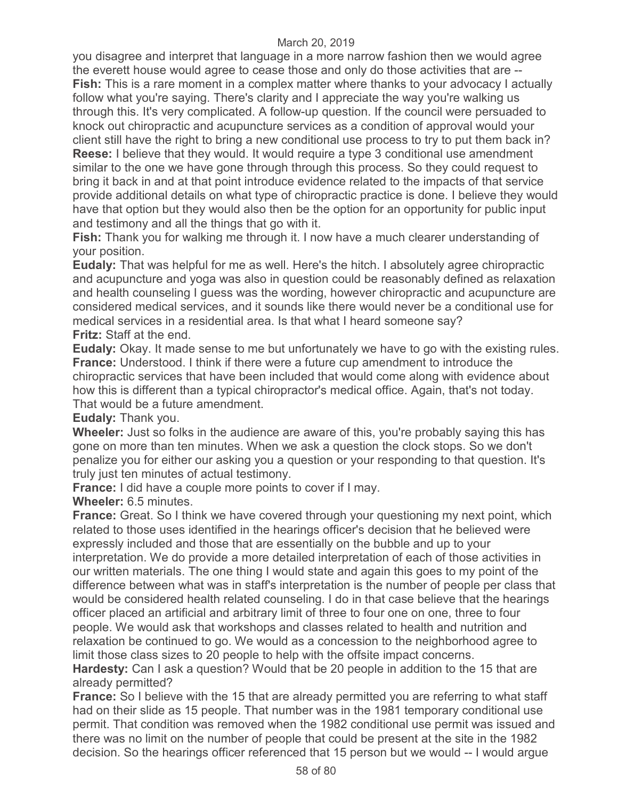you disagree and interpret that language in a more narrow fashion then we would agree the everett house would agree to cease those and only do those activities that are -- **Fish:** This is a rare moment in a complex matter where thanks to your advocacy I actually follow what you're saying. There's clarity and I appreciate the way you're walking us through this. It's very complicated. A follow-up question. If the council were persuaded to knock out chiropractic and acupuncture services as a condition of approval would your client still have the right to bring a new conditional use process to try to put them back in? **Reese:** I believe that they would. It would require a type 3 conditional use amendment similar to the one we have gone through through this process. So they could request to bring it back in and at that point introduce evidence related to the impacts of that service provide additional details on what type of chiropractic practice is done. I believe they would have that option but they would also then be the option for an opportunity for public input and testimony and all the things that go with it.

**Fish:** Thank you for walking me through it. I now have a much clearer understanding of your position.

**Eudaly:** That was helpful for me as well. Here's the hitch. I absolutely agree chiropractic and acupuncture and yoga was also in question could be reasonably defined as relaxation and health counseling I guess was the wording, however chiropractic and acupuncture are considered medical services, and it sounds like there would never be a conditional use for medical services in a residential area. Is that what I heard someone say? **Fritz:** Staff at the end.

**Eudaly:** Okay. It made sense to me but unfortunately we have to go with the existing rules. **France:** Understood. I think if there were a future cup amendment to introduce the chiropractic services that have been included that would come along with evidence about how this is different than a typical chiropractor's medical office. Again, that's not today. That would be a future amendment.

**Eudaly:** Thank you.

**Wheeler:** Just so folks in the audience are aware of this, you're probably saying this has gone on more than ten minutes. When we ask a question the clock stops. So we don't penalize you for either our asking you a question or your responding to that question. It's truly just ten minutes of actual testimony.

**France:** I did have a couple more points to cover if I may.

**Wheeler:** 6.5 minutes.

**France:** Great. So I think we have covered through your questioning my next point, which related to those uses identified in the hearings officer's decision that he believed were expressly included and those that are essentially on the bubble and up to your interpretation. We do provide a more detailed interpretation of each of those activities in our written materials. The one thing I would state and again this goes to my point of the difference between what was in staff's interpretation is the number of people per class that would be considered health related counseling. I do in that case believe that the hearings officer placed an artificial and arbitrary limit of three to four one on one, three to four people. We would ask that workshops and classes related to health and nutrition and relaxation be continued to go. We would as a concession to the neighborhood agree to limit those class sizes to 20 people to help with the offsite impact concerns.

**Hardesty:** Can I ask a question? Would that be 20 people in addition to the 15 that are already permitted?

**France:** So I believe with the 15 that are already permitted you are referring to what staff had on their slide as 15 people. That number was in the 1981 temporary conditional use permit. That condition was removed when the 1982 conditional use permit was issued and there was no limit on the number of people that could be present at the site in the 1982 decision. So the hearings officer referenced that 15 person but we would -- I would argue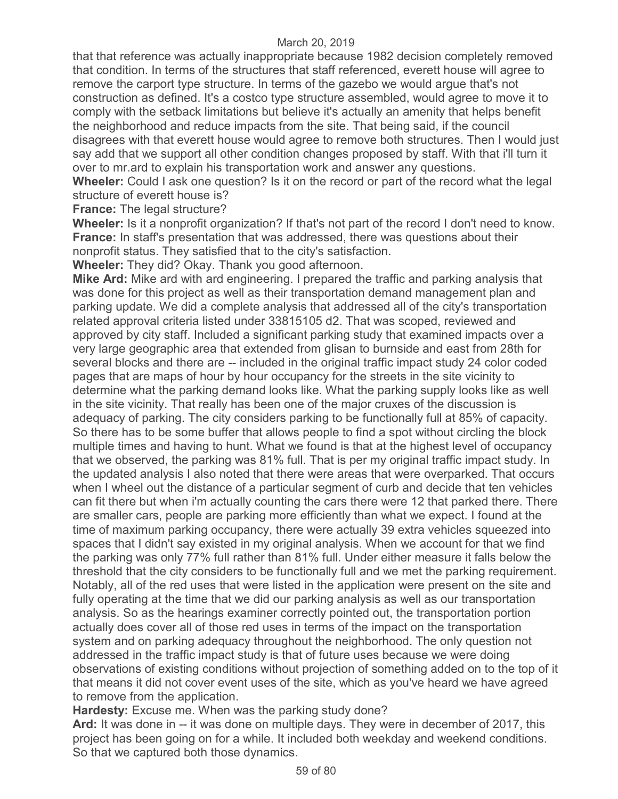that that reference was actually inappropriate because 1982 decision completely removed that condition. In terms of the structures that staff referenced, everett house will agree to remove the carport type structure. In terms of the gazebo we would argue that's not construction as defined. It's a costco type structure assembled, would agree to move it to comply with the setback limitations but believe it's actually an amenity that helps benefit the neighborhood and reduce impacts from the site. That being said, if the council disagrees with that everett house would agree to remove both structures. Then I would just say add that we support all other condition changes proposed by staff. With that i'll turn it over to mr.ard to explain his transportation work and answer any questions.

**Wheeler:** Could I ask one question? Is it on the record or part of the record what the legal structure of everett house is?

**France:** The legal structure?

**Wheeler:** Is it a nonprofit organization? If that's not part of the record I don't need to know. **France:** In staff's presentation that was addressed, there was questions about their nonprofit status. They satisfied that to the city's satisfaction.

**Wheeler:** They did? Okay. Thank you good afternoon.

**Mike Ard:** Mike ard with ard engineering. I prepared the traffic and parking analysis that was done for this project as well as their transportation demand management plan and parking update. We did a complete analysis that addressed all of the city's transportation related approval criteria listed under 33815105 d2. That was scoped, reviewed and approved by city staff. Included a significant parking study that examined impacts over a very large geographic area that extended from glisan to burnside and east from 28th for several blocks and there are -- included in the original traffic impact study 24 color coded pages that are maps of hour by hour occupancy for the streets in the site vicinity to determine what the parking demand looks like. What the parking supply looks like as well in the site vicinity. That really has been one of the major cruxes of the discussion is adequacy of parking. The city considers parking to be functionally full at 85% of capacity. So there has to be some buffer that allows people to find a spot without circling the block multiple times and having to hunt. What we found is that at the highest level of occupancy that we observed, the parking was 81% full. That is per my original traffic impact study. In the updated analysis I also noted that there were areas that were overparked. That occurs when I wheel out the distance of a particular segment of curb and decide that ten vehicles can fit there but when i'm actually counting the cars there were 12 that parked there. There are smaller cars, people are parking more efficiently than what we expect. I found at the time of maximum parking occupancy, there were actually 39 extra vehicles squeezed into spaces that I didn't say existed in my original analysis. When we account for that we find the parking was only 77% full rather than 81% full. Under either measure it falls below the threshold that the city considers to be functionally full and we met the parking requirement. Notably, all of the red uses that were listed in the application were present on the site and fully operating at the time that we did our parking analysis as well as our transportation analysis. So as the hearings examiner correctly pointed out, the transportation portion actually does cover all of those red uses in terms of the impact on the transportation system and on parking adequacy throughout the neighborhood. The only question not addressed in the traffic impact study is that of future uses because we were doing observations of existing conditions without projection of something added on to the top of it that means it did not cover event uses of the site, which as you've heard we have agreed to remove from the application.

**Hardesty:** Excuse me. When was the parking study done?

**Ard:** It was done in -- it was done on multiple days. They were in december of 2017, this project has been going on for a while. It included both weekday and weekend conditions. So that we captured both those dynamics.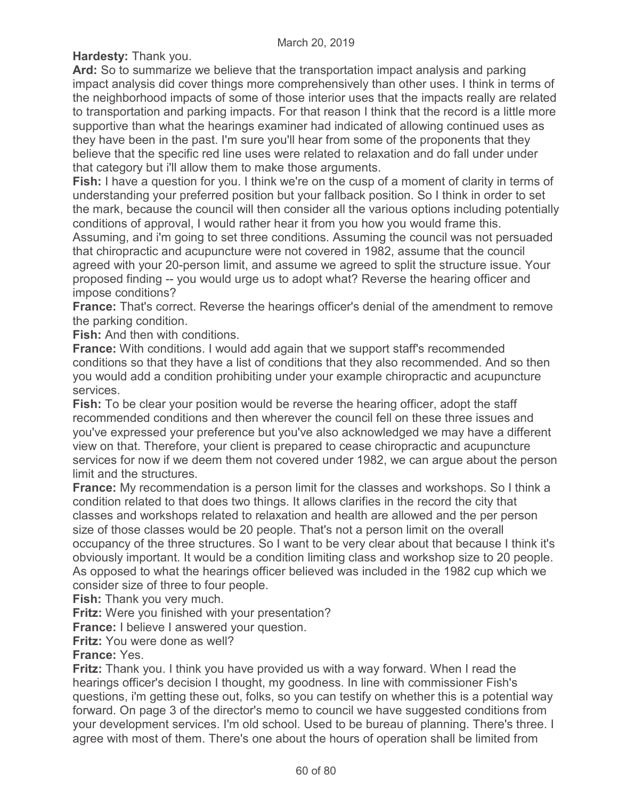**Hardesty:** Thank you.

**Ard:** So to summarize we believe that the transportation impact analysis and parking impact analysis did cover things more comprehensively than other uses. I think in terms of the neighborhood impacts of some of those interior uses that the impacts really are related to transportation and parking impacts. For that reason I think that the record is a little more supportive than what the hearings examiner had indicated of allowing continued uses as they have been in the past. I'm sure you'll hear from some of the proponents that they believe that the specific red line uses were related to relaxation and do fall under under that category but i'll allow them to make those arguments.

**Fish:** I have a question for you. I think we're on the cusp of a moment of clarity in terms of understanding your preferred position but your fallback position. So I think in order to set the mark, because the council will then consider all the various options including potentially conditions of approval, I would rather hear it from you how you would frame this.

Assuming, and i'm going to set three conditions. Assuming the council was not persuaded that chiropractic and acupuncture were not covered in 1982, assume that the council agreed with your 20-person limit, and assume we agreed to split the structure issue. Your proposed finding -- you would urge us to adopt what? Reverse the hearing officer and impose conditions?

**France:** That's correct. Reverse the hearings officer's denial of the amendment to remove the parking condition.

**Fish:** And then with conditions.

**France:** With conditions. I would add again that we support staff's recommended conditions so that they have a list of conditions that they also recommended. And so then you would add a condition prohibiting under your example chiropractic and acupuncture services.

**Fish:** To be clear your position would be reverse the hearing officer, adopt the staff recommended conditions and then wherever the council fell on these three issues and you've expressed your preference but you've also acknowledged we may have a different view on that. Therefore, your client is prepared to cease chiropractic and acupuncture services for now if we deem them not covered under 1982, we can argue about the person limit and the structures.

**France:** My recommendation is a person limit for the classes and workshops. So I think a condition related to that does two things. It allows clarifies in the record the city that classes and workshops related to relaxation and health are allowed and the per person size of those classes would be 20 people. That's not a person limit on the overall occupancy of the three structures. So I want to be very clear about that because I think it's obviously important. It would be a condition limiting class and workshop size to 20 people. As opposed to what the hearings officer believed was included in the 1982 cup which we consider size of three to four people.

**Fish:** Thank you very much.

**Fritz:** Were you finished with your presentation?

**France:** I believe I answered your question.

**Fritz:** You were done as well?

**France:** Yes.

**Fritz:** Thank you. I think you have provided us with a way forward. When I read the hearings officer's decision I thought, my goodness. In line with commissioner Fish's questions, i'm getting these out, folks, so you can testify on whether this is a potential way forward. On page 3 of the director's memo to council we have suggested conditions from your development services. I'm old school. Used to be bureau of planning. There's three. I agree with most of them. There's one about the hours of operation shall be limited from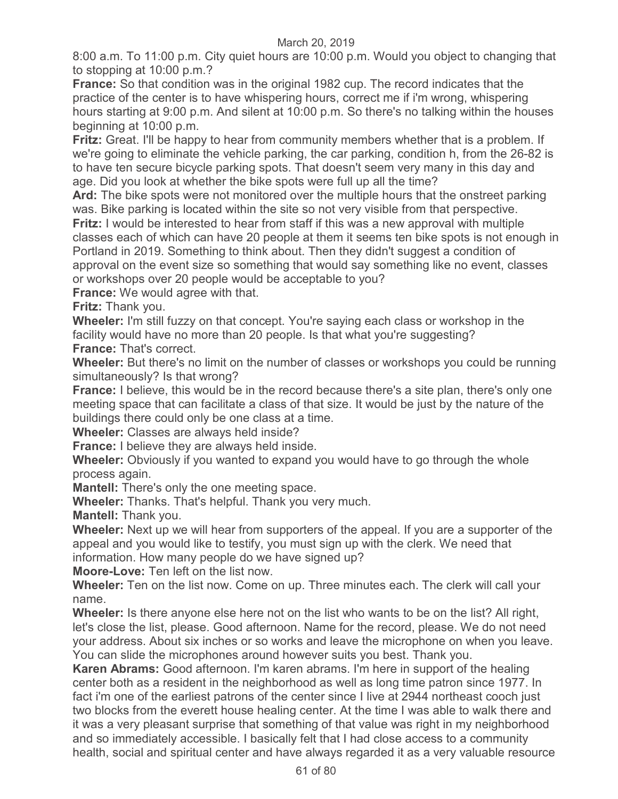8:00 a.m. To 11:00 p.m. City quiet hours are 10:00 p.m. Would you object to changing that to stopping at 10:00 p.m.?

**France:** So that condition was in the original 1982 cup. The record indicates that the practice of the center is to have whispering hours, correct me if i'm wrong, whispering hours starting at 9:00 p.m. And silent at 10:00 p.m. So there's no talking within the houses beginning at 10:00 p.m.

**Fritz:** Great. I'll be happy to hear from community members whether that is a problem. If we're going to eliminate the vehicle parking, the car parking, condition h, from the 26-82 is to have ten secure bicycle parking spots. That doesn't seem very many in this day and age. Did you look at whether the bike spots were full up all the time?

**Ard:** The bike spots were not monitored over the multiple hours that the onstreet parking was. Bike parking is located within the site so not very visible from that perspective.

**Fritz:** I would be interested to hear from staff if this was a new approval with multiple classes each of which can have 20 people at them it seems ten bike spots is not enough in Portland in 2019. Something to think about. Then they didn't suggest a condition of approval on the event size so something that would say something like no event, classes or workshops over 20 people would be acceptable to you?

**France:** We would agree with that.

**Fritz:** Thank you.

**Wheeler:** I'm still fuzzy on that concept. You're saying each class or workshop in the facility would have no more than 20 people. Is that what you're suggesting? **France:** That's correct.

**Wheeler:** But there's no limit on the number of classes or workshops you could be running simultaneously? Is that wrong?

**France:** I believe, this would be in the record because there's a site plan, there's only one meeting space that can facilitate a class of that size. It would be just by the nature of the buildings there could only be one class at a time.

**Wheeler:** Classes are always held inside?

**France:** I believe they are always held inside.

**Wheeler:** Obviously if you wanted to expand you would have to go through the whole process again.

**Mantell:** There's only the one meeting space.

**Wheeler:** Thanks. That's helpful. Thank you very much.

**Mantell:** Thank you.

**Wheeler:** Next up we will hear from supporters of the appeal. If you are a supporter of the appeal and you would like to testify, you must sign up with the clerk. We need that information. How many people do we have signed up?

**Moore-Love:** Ten left on the list now.

**Wheeler:** Ten on the list now. Come on up. Three minutes each. The clerk will call your name.

**Wheeler:** Is there anyone else here not on the list who wants to be on the list? All right, let's close the list, please. Good afternoon. Name for the record, please. We do not need your address. About six inches or so works and leave the microphone on when you leave. You can slide the microphones around however suits you best. Thank you.

**Karen Abrams:** Good afternoon. I'm karen abrams. I'm here in support of the healing center both as a resident in the neighborhood as well as long time patron since 1977. In fact i'm one of the earliest patrons of the center since I live at 2944 northeast cooch just two blocks from the everett house healing center. At the time I was able to walk there and it was a very pleasant surprise that something of that value was right in my neighborhood and so immediately accessible. I basically felt that I had close access to a community health, social and spiritual center and have always regarded it as a very valuable resource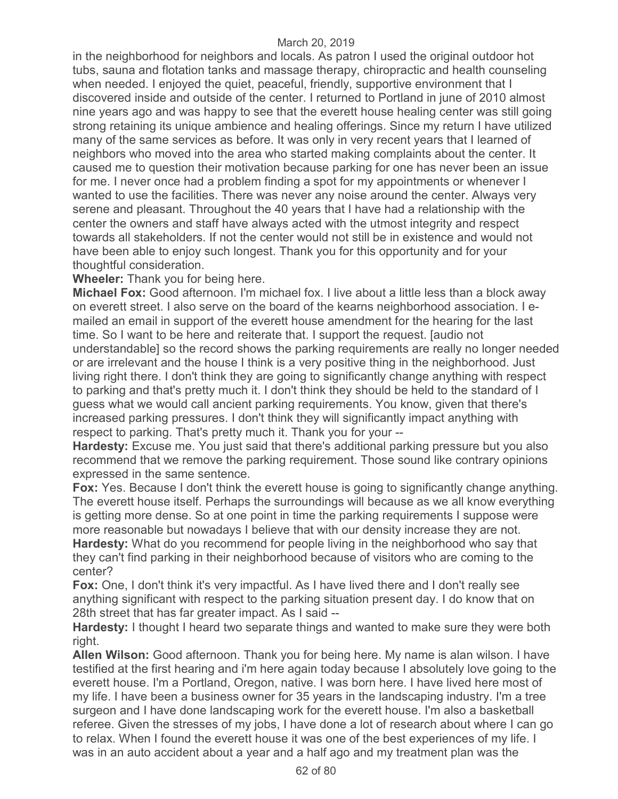in the neighborhood for neighbors and locals. As patron I used the original outdoor hot tubs, sauna and flotation tanks and massage therapy, chiropractic and health counseling when needed. I enjoyed the quiet, peaceful, friendly, supportive environment that I discovered inside and outside of the center. I returned to Portland in june of 2010 almost nine years ago and was happy to see that the everett house healing center was still going strong retaining its unique ambience and healing offerings. Since my return I have utilized many of the same services as before. It was only in very recent years that I learned of neighbors who moved into the area who started making complaints about the center. It caused me to question their motivation because parking for one has never been an issue for me. I never once had a problem finding a spot for my appointments or whenever I wanted to use the facilities. There was never any noise around the center. Always very serene and pleasant. Throughout the 40 years that I have had a relationship with the center the owners and staff have always acted with the utmost integrity and respect towards all stakeholders. If not the center would not still be in existence and would not have been able to enjoy such longest. Thank you for this opportunity and for your thoughtful consideration.

**Wheeler:** Thank you for being here.

**Michael Fox:** Good afternoon. I'm michael fox. I live about a little less than a block away on everett street. I also serve on the board of the kearns neighborhood association. I emailed an email in support of the everett house amendment for the hearing for the last time. So I want to be here and reiterate that. I support the request. [audio not understandable] so the record shows the parking requirements are really no longer needed or are irrelevant and the house I think is a very positive thing in the neighborhood. Just living right there. I don't think they are going to significantly change anything with respect to parking and that's pretty much it. I don't think they should be held to the standard of I guess what we would call ancient parking requirements. You know, given that there's increased parking pressures. I don't think they will significantly impact anything with respect to parking. That's pretty much it. Thank you for your --

**Hardesty:** Excuse me. You just said that there's additional parking pressure but you also recommend that we remove the parking requirement. Those sound like contrary opinions expressed in the same sentence.

**Fox:** Yes. Because I don't think the everett house is going to significantly change anything. The everett house itself. Perhaps the surroundings will because as we all know everything is getting more dense. So at one point in time the parking requirements I suppose were more reasonable but nowadays I believe that with our density increase they are not. **Hardesty:** What do you recommend for people living in the neighborhood who say that they can't find parking in their neighborhood because of visitors who are coming to the center?

**Fox:** One, I don't think it's very impactful. As I have lived there and I don't really see anything significant with respect to the parking situation present day. I do know that on 28th street that has far greater impact. As I said --

**Hardesty:** I thought I heard two separate things and wanted to make sure they were both right.

**Allen Wilson:** Good afternoon. Thank you for being here. My name is alan wilson. I have testified at the first hearing and i'm here again today because I absolutely love going to the everett house. I'm a Portland, Oregon, native. I was born here. I have lived here most of my life. I have been a business owner for 35 years in the landscaping industry. I'm a tree surgeon and I have done landscaping work for the everett house. I'm also a basketball referee. Given the stresses of my jobs, I have done a lot of research about where I can go to relax. When I found the everett house it was one of the best experiences of my life. I was in an auto accident about a year and a half ago and my treatment plan was the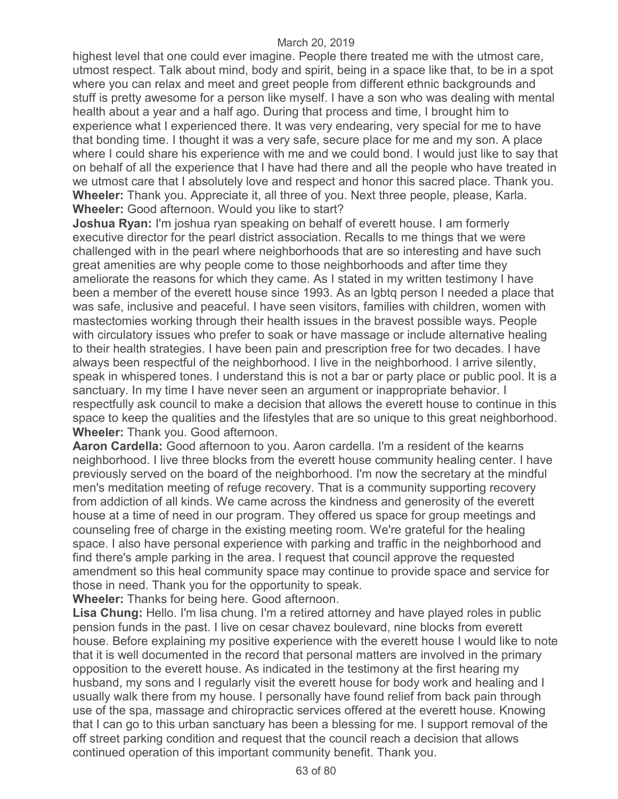highest level that one could ever imagine. People there treated me with the utmost care, utmost respect. Talk about mind, body and spirit, being in a space like that, to be in a spot where you can relax and meet and greet people from different ethnic backgrounds and stuff is pretty awesome for a person like myself. I have a son who was dealing with mental health about a year and a half ago. During that process and time, I brought him to experience what I experienced there. It was very endearing, very special for me to have that bonding time. I thought it was a very safe, secure place for me and my son. A place where I could share his experience with me and we could bond. I would just like to say that on behalf of all the experience that I have had there and all the people who have treated in we utmost care that I absolutely love and respect and honor this sacred place. Thank you. **Wheeler:** Thank you. Appreciate it, all three of you. Next three people, please, Karla. **Wheeler:** Good afternoon. Would you like to start?

**Joshua Ryan:** I'm joshua ryan speaking on behalf of everett house. I am formerly executive director for the pearl district association. Recalls to me things that we were challenged with in the pearl where neighborhoods that are so interesting and have such great amenities are why people come to those neighborhoods and after time they ameliorate the reasons for which they came. As I stated in my written testimony I have been a member of the everett house since 1993. As an lgbtq person I needed a place that was safe, inclusive and peaceful. I have seen visitors, families with children, women with mastectomies working through their health issues in the bravest possible ways. People with circulatory issues who prefer to soak or have massage or include alternative healing to their health strategies. I have been pain and prescription free for two decades. I have always been respectful of the neighborhood. I live in the neighborhood. I arrive silently, speak in whispered tones. I understand this is not a bar or party place or public pool. It is a sanctuary. In my time I have never seen an argument or inappropriate behavior. I respectfully ask council to make a decision that allows the everett house to continue in this space to keep the qualities and the lifestyles that are so unique to this great neighborhood. **Wheeler:** Thank you. Good afternoon.

**Aaron Cardella:** Good afternoon to you. Aaron cardella. I'm a resident of the kearns neighborhood. I live three blocks from the everett house community healing center. I have previously served on the board of the neighborhood. I'm now the secretary at the mindful men's meditation meeting of refuge recovery. That is a community supporting recovery from addiction of all kinds. We came across the kindness and generosity of the everett house at a time of need in our program. They offered us space for group meetings and counseling free of charge in the existing meeting room. We're grateful for the healing space. I also have personal experience with parking and traffic in the neighborhood and find there's ample parking in the area. I request that council approve the requested amendment so this heal community space may continue to provide space and service for those in need. Thank you for the opportunity to speak.

**Wheeler:** Thanks for being here. Good afternoon.

**Lisa Chung:** Hello. I'm lisa chung. I'm a retired attorney and have played roles in public pension funds in the past. I live on cesar chavez boulevard, nine blocks from everett house. Before explaining my positive experience with the everett house I would like to note that it is well documented in the record that personal matters are involved in the primary opposition to the everett house. As indicated in the testimony at the first hearing my husband, my sons and I regularly visit the everett house for body work and healing and I usually walk there from my house. I personally have found relief from back pain through use of the spa, massage and chiropractic services offered at the everett house. Knowing that I can go to this urban sanctuary has been a blessing for me. I support removal of the off street parking condition and request that the council reach a decision that allows continued operation of this important community benefit. Thank you.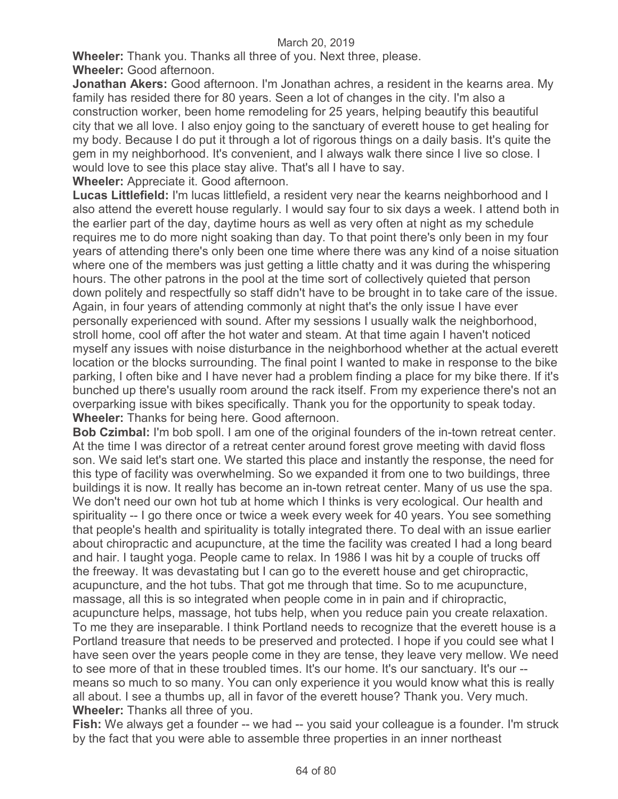**Wheeler:** Thank you. Thanks all three of you. Next three, please. **Wheeler:** Good afternoon.

**Jonathan Akers:** Good afternoon. I'm Jonathan achres, a resident in the kearns area. My family has resided there for 80 years. Seen a lot of changes in the city. I'm also a construction worker, been home remodeling for 25 years, helping beautify this beautiful city that we all love. I also enjoy going to the sanctuary of everett house to get healing for my body. Because I do put it through a lot of rigorous things on a daily basis. It's quite the gem in my neighborhood. It's convenient, and I always walk there since I live so close. I would love to see this place stay alive. That's all I have to say.

**Wheeler:** Appreciate it. Good afternoon.

**Lucas Littlefield:** I'm lucas littlefield, a resident very near the kearns neighborhood and I also attend the everett house regularly. I would say four to six days a week. I attend both in the earlier part of the day, daytime hours as well as very often at night as my schedule requires me to do more night soaking than day. To that point there's only been in my four years of attending there's only been one time where there was any kind of a noise situation where one of the members was just getting a little chatty and it was during the whispering hours. The other patrons in the pool at the time sort of collectively quieted that person down politely and respectfully so staff didn't have to be brought in to take care of the issue. Again, in four years of attending commonly at night that's the only issue I have ever personally experienced with sound. After my sessions I usually walk the neighborhood, stroll home, cool off after the hot water and steam. At that time again I haven't noticed myself any issues with noise disturbance in the neighborhood whether at the actual everett location or the blocks surrounding. The final point I wanted to make in response to the bike parking, I often bike and I have never had a problem finding a place for my bike there. If it's bunched up there's usually room around the rack itself. From my experience there's not an overparking issue with bikes specifically. Thank you for the opportunity to speak today. **Wheeler:** Thanks for being here. Good afternoon.

**Bob Czimbal:** I'm bob spoll. I am one of the original founders of the in-town retreat center. At the time I was director of a retreat center around forest grove meeting with david floss son. We said let's start one. We started this place and instantly the response, the need for this type of facility was overwhelming. So we expanded it from one to two buildings, three buildings it is now. It really has become an in-town retreat center. Many of us use the spa. We don't need our own hot tub at home which I thinks is very ecological. Our health and spirituality -- I go there once or twice a week every week for 40 years. You see something that people's health and spirituality is totally integrated there. To deal with an issue earlier about chiropractic and acupuncture, at the time the facility was created I had a long beard and hair. I taught yoga. People came to relax. In 1986 I was hit by a couple of trucks off the freeway. It was devastating but I can go to the everett house and get chiropractic, acupuncture, and the hot tubs. That got me through that time. So to me acupuncture, massage, all this is so integrated when people come in in pain and if chiropractic,

acupuncture helps, massage, hot tubs help, when you reduce pain you create relaxation. To me they are inseparable. I think Portland needs to recognize that the everett house is a Portland treasure that needs to be preserved and protected. I hope if you could see what I have seen over the years people come in they are tense, they leave very mellow. We need to see more of that in these troubled times. It's our home. It's our sanctuary. It's our - means so much to so many. You can only experience it you would know what this is really all about. I see a thumbs up, all in favor of the everett house? Thank you. Very much. **Wheeler:** Thanks all three of you.

Fish: We always get a founder -- we had -- you said your colleague is a founder. I'm struck by the fact that you were able to assemble three properties in an inner northeast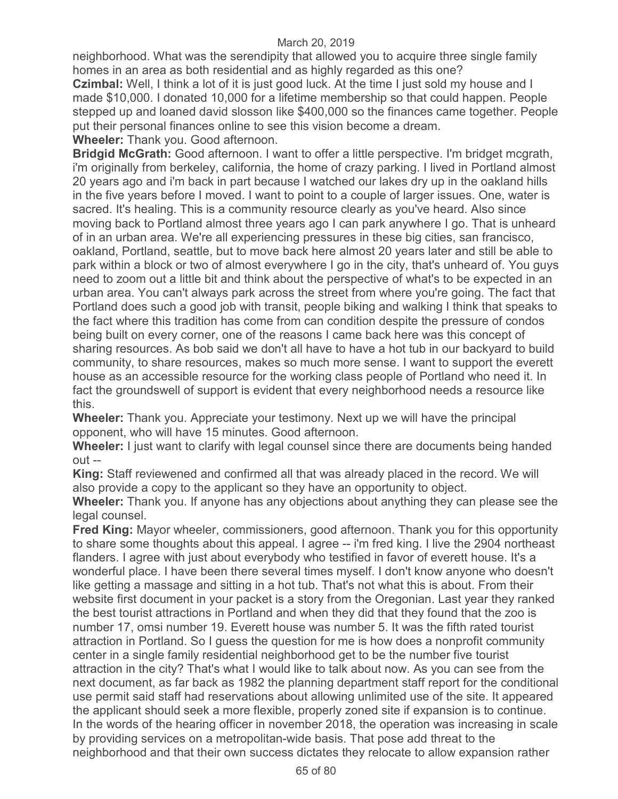neighborhood. What was the serendipity that allowed you to acquire three single family homes in an area as both residential and as highly regarded as this one?

**Czimbal:** Well, I think a lot of it is just good luck. At the time I just sold my house and I made \$10,000. I donated 10,000 for a lifetime membership so that could happen. People stepped up and loaned david slosson like \$400,000 so the finances came together. People put their personal finances online to see this vision become a dream.

**Wheeler:** Thank you. Good afternoon.

**Bridgid McGrath:** Good afternoon. I want to offer a little perspective. I'm bridget mcgrath, i'm originally from berkeley, california, the home of crazy parking. I lived in Portland almost 20 years ago and i'm back in part because I watched our lakes dry up in the oakland hills in the five years before I moved. I want to point to a couple of larger issues. One, water is sacred. It's healing. This is a community resource clearly as you've heard. Also since moving back to Portland almost three years ago I can park anywhere I go. That is unheard of in an urban area. We're all experiencing pressures in these big cities, san francisco, oakland, Portland, seattle, but to move back here almost 20 years later and still be able to park within a block or two of almost everywhere I go in the city, that's unheard of. You guys need to zoom out a little bit and think about the perspective of what's to be expected in an urban area. You can't always park across the street from where you're going. The fact that Portland does such a good job with transit, people biking and walking I think that speaks to the fact where this tradition has come from can condition despite the pressure of condos being built on every corner, one of the reasons I came back here was this concept of sharing resources. As bob said we don't all have to have a hot tub in our backyard to build community, to share resources, makes so much more sense. I want to support the everett house as an accessible resource for the working class people of Portland who need it. In fact the groundswell of support is evident that every neighborhood needs a resource like this.

**Wheeler:** Thank you. Appreciate your testimony. Next up we will have the principal opponent, who will have 15 minutes. Good afternoon.

**Wheeler:** I just want to clarify with legal counsel since there are documents being handed out --

**King:** Staff reviewened and confirmed all that was already placed in the record. We will also provide a copy to the applicant so they have an opportunity to object.

**Wheeler:** Thank you. If anyone has any objections about anything they can please see the legal counsel.

**Fred King:** Mayor wheeler, commissioners, good afternoon. Thank you for this opportunity to share some thoughts about this appeal. I agree -- i'm fred king. I live the 2904 northeast flanders. I agree with just about everybody who testified in favor of everett house. It's a wonderful place. I have been there several times myself. I don't know anyone who doesn't like getting a massage and sitting in a hot tub. That's not what this is about. From their website first document in your packet is a story from the Oregonian. Last year they ranked the best tourist attractions in Portland and when they did that they found that the zoo is number 17, omsi number 19. Everett house was number 5. It was the fifth rated tourist attraction in Portland. So I guess the question for me is how does a nonprofit community center in a single family residential neighborhood get to be the number five tourist attraction in the city? That's what I would like to talk about now. As you can see from the next document, as far back as 1982 the planning department staff report for the conditional use permit said staff had reservations about allowing unlimited use of the site. It appeared the applicant should seek a more flexible, properly zoned site if expansion is to continue. In the words of the hearing officer in november 2018, the operation was increasing in scale by providing services on a metropolitan-wide basis. That pose add threat to the neighborhood and that their own success dictates they relocate to allow expansion rather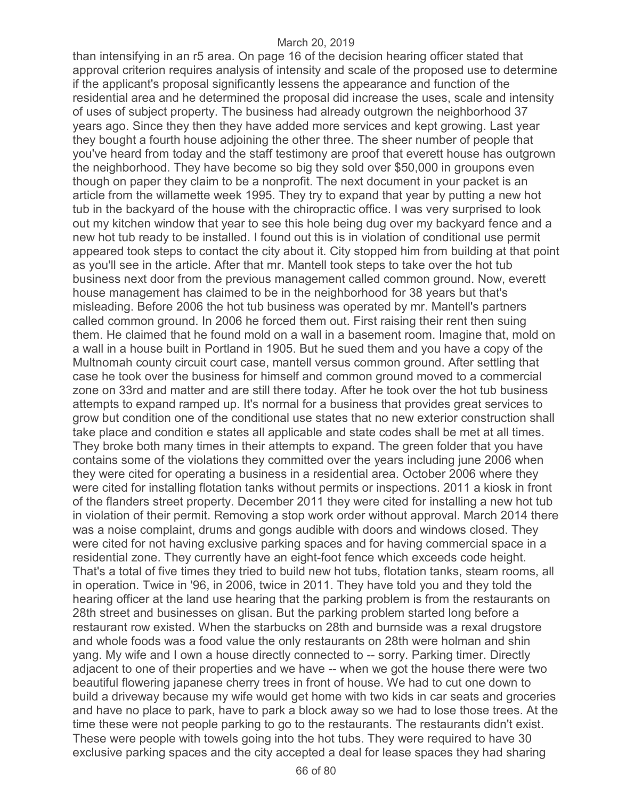than intensifying in an r5 area. On page 16 of the decision hearing officer stated that approval criterion requires analysis of intensity and scale of the proposed use to determine if the applicant's proposal significantly lessens the appearance and function of the residential area and he determined the proposal did increase the uses, scale and intensity of uses of subject property. The business had already outgrown the neighborhood 37 years ago. Since they then they have added more services and kept growing. Last year they bought a fourth house adjoining the other three. The sheer number of people that you've heard from today and the staff testimony are proof that everett house has outgrown the neighborhood. They have become so big they sold over \$50,000 in groupons even though on paper they claim to be a nonprofit. The next document in your packet is an article from the willamette week 1995. They try to expand that year by putting a new hot tub in the backyard of the house with the chiropractic office. I was very surprised to look out my kitchen window that year to see this hole being dug over my backyard fence and a new hot tub ready to be installed. I found out this is in violation of conditional use permit appeared took steps to contact the city about it. City stopped him from building at that point as you'll see in the article. After that mr. Mantell took steps to take over the hot tub business next door from the previous management called common ground. Now, everett house management has claimed to be in the neighborhood for 38 years but that's misleading. Before 2006 the hot tub business was operated by mr. Mantell's partners called common ground. In 2006 he forced them out. First raising their rent then suing them. He claimed that he found mold on a wall in a basement room. Imagine that, mold on a wall in a house built in Portland in 1905. But he sued them and you have a copy of the Multnomah county circuit court case, mantell versus common ground. After settling that case he took over the business for himself and common ground moved to a commercial zone on 33rd and matter and are still there today. After he took over the hot tub business attempts to expand ramped up. It's normal for a business that provides great services to grow but condition one of the conditional use states that no new exterior construction shall take place and condition e states all applicable and state codes shall be met at all times. They broke both many times in their attempts to expand. The green folder that you have contains some of the violations they committed over the years including june 2006 when they were cited for operating a business in a residential area. October 2006 where they were cited for installing flotation tanks without permits or inspections. 2011 a kiosk in front of the flanders street property. December 2011 they were cited for installing a new hot tub in violation of their permit. Removing a stop work order without approval. March 2014 there was a noise complaint, drums and gongs audible with doors and windows closed. They were cited for not having exclusive parking spaces and for having commercial space in a residential zone. They currently have an eight-foot fence which exceeds code height. That's a total of five times they tried to build new hot tubs, flotation tanks, steam rooms, all in operation. Twice in '96, in 2006, twice in 2011. They have told you and they told the hearing officer at the land use hearing that the parking problem is from the restaurants on 28th street and businesses on glisan. But the parking problem started long before a restaurant row existed. When the starbucks on 28th and burnside was a rexal drugstore and whole foods was a food value the only restaurants on 28th were holman and shin yang. My wife and I own a house directly connected to -- sorry. Parking timer. Directly adjacent to one of their properties and we have -- when we got the house there were two beautiful flowering japanese cherry trees in front of house. We had to cut one down to build a driveway because my wife would get home with two kids in car seats and groceries and have no place to park, have to park a block away so we had to lose those trees. At the time these were not people parking to go to the restaurants. The restaurants didn't exist. These were people with towels going into the hot tubs. They were required to have 30 exclusive parking spaces and the city accepted a deal for lease spaces they had sharing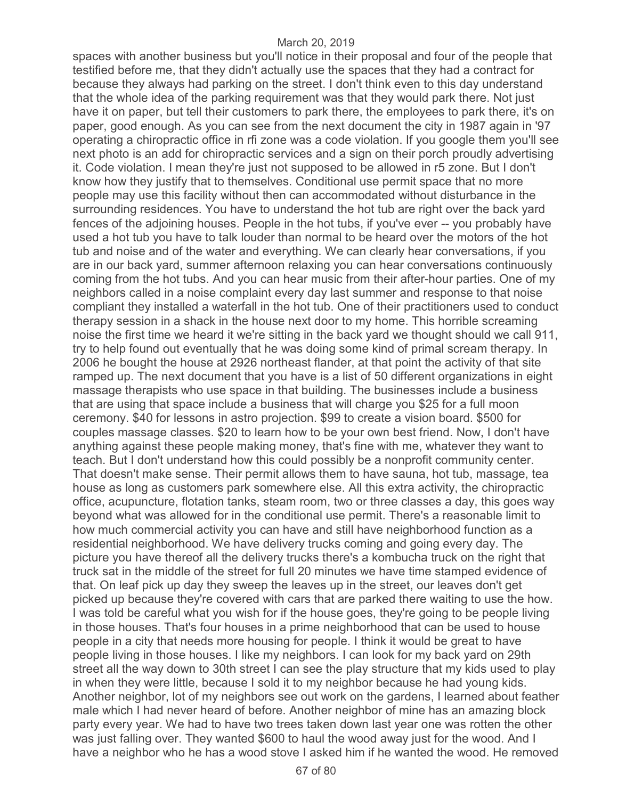spaces with another business but you'll notice in their proposal and four of the people that testified before me, that they didn't actually use the spaces that they had a contract for because they always had parking on the street. I don't think even to this day understand that the whole idea of the parking requirement was that they would park there. Not just have it on paper, but tell their customers to park there, the employees to park there, it's on paper, good enough. As you can see from the next document the city in 1987 again in '97 operating a chiropractic office in rfi zone was a code violation. If you google them you'll see next photo is an add for chiropractic services and a sign on their porch proudly advertising it. Code violation. I mean they're just not supposed to be allowed in r5 zone. But I don't know how they justify that to themselves. Conditional use permit space that no more people may use this facility without then can accommodated without disturbance in the surrounding residences. You have to understand the hot tub are right over the back yard fences of the adjoining houses. People in the hot tubs, if you've ever -- you probably have used a hot tub you have to talk louder than normal to be heard over the motors of the hot tub and noise and of the water and everything. We can clearly hear conversations, if you are in our back yard, summer afternoon relaxing you can hear conversations continuously coming from the hot tubs. And you can hear music from their after-hour parties. One of my neighbors called in a noise complaint every day last summer and response to that noise compliant they installed a waterfall in the hot tub. One of their practitioners used to conduct therapy session in a shack in the house next door to my home. This horrible screaming noise the first time we heard it we're sitting in the back yard we thought should we call 911, try to help found out eventually that he was doing some kind of primal scream therapy. In 2006 he bought the house at 2926 northeast flander, at that point the activity of that site ramped up. The next document that you have is a list of 50 different organizations in eight massage therapists who use space in that building. The businesses include a business that are using that space include a business that will charge you \$25 for a full moon ceremony. \$40 for lessons in astro projection. \$99 to create a vision board. \$500 for couples massage classes. \$20 to learn how to be your own best friend. Now, I don't have anything against these people making money, that's fine with me, whatever they want to teach. But I don't understand how this could possibly be a nonprofit community center. That doesn't make sense. Their permit allows them to have sauna, hot tub, massage, tea house as long as customers park somewhere else. All this extra activity, the chiropractic office, acupuncture, flotation tanks, steam room, two or three classes a day, this goes way beyond what was allowed for in the conditional use permit. There's a reasonable limit to how much commercial activity you can have and still have neighborhood function as a residential neighborhood. We have delivery trucks coming and going every day. The picture you have thereof all the delivery trucks there's a kombucha truck on the right that truck sat in the middle of the street for full 20 minutes we have time stamped evidence of that. On leaf pick up day they sweep the leaves up in the street, our leaves don't get picked up because they're covered with cars that are parked there waiting to use the how. I was told be careful what you wish for if the house goes, they're going to be people living in those houses. That's four houses in a prime neighborhood that can be used to house people in a city that needs more housing for people. I think it would be great to have people living in those houses. I like my neighbors. I can look for my back yard on 29th street all the way down to 30th street I can see the play structure that my kids used to play in when they were little, because I sold it to my neighbor because he had young kids. Another neighbor, lot of my neighbors see out work on the gardens, I learned about feather male which I had never heard of before. Another neighbor of mine has an amazing block party every year. We had to have two trees taken down last year one was rotten the other was just falling over. They wanted \$600 to haul the wood away just for the wood. And I have a neighbor who he has a wood stove I asked him if he wanted the wood. He removed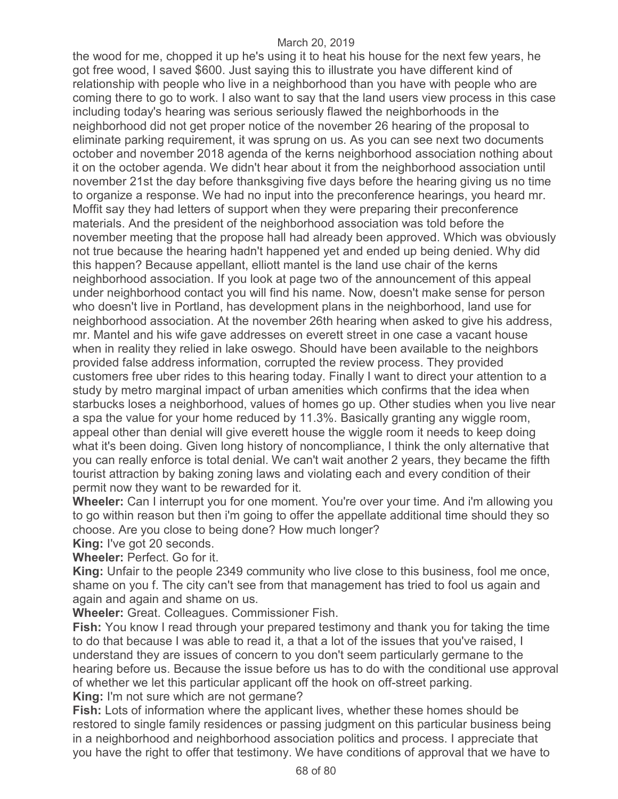the wood for me, chopped it up he's using it to heat his house for the next few years, he got free wood, I saved \$600. Just saying this to illustrate you have different kind of relationship with people who live in a neighborhood than you have with people who are coming there to go to work. I also want to say that the land users view process in this case including today's hearing was serious seriously flawed the neighborhoods in the neighborhood did not get proper notice of the november 26 hearing of the proposal to eliminate parking requirement, it was sprung on us. As you can see next two documents october and november 2018 agenda of the kerns neighborhood association nothing about it on the october agenda. We didn't hear about it from the neighborhood association until november 21st the day before thanksgiving five days before the hearing giving us no time to organize a response. We had no input into the preconference hearings, you heard mr. Moffit say they had letters of support when they were preparing their preconference materials. And the president of the neighborhood association was told before the november meeting that the propose hall had already been approved. Which was obviously not true because the hearing hadn't happened yet and ended up being denied. Why did this happen? Because appellant, elliott mantel is the land use chair of the kerns neighborhood association. If you look at page two of the announcement of this appeal under neighborhood contact you will find his name. Now, doesn't make sense for person who doesn't live in Portland, has development plans in the neighborhood, land use for neighborhood association. At the november 26th hearing when asked to give his address, mr. Mantel and his wife gave addresses on everett street in one case a vacant house when in reality they relied in lake oswego. Should have been available to the neighbors provided false address information, corrupted the review process. They provided customers free uber rides to this hearing today. Finally I want to direct your attention to a study by metro marginal impact of urban amenities which confirms that the idea when starbucks loses a neighborhood, values of homes go up. Other studies when you live near a spa the value for your home reduced by 11.3%. Basically granting any wiggle room, appeal other than denial will give everett house the wiggle room it needs to keep doing what it's been doing. Given long history of noncompliance, I think the only alternative that you can really enforce is total denial. We can't wait another 2 years, they became the fifth tourist attraction by baking zoning laws and violating each and every condition of their permit now they want to be rewarded for it.

**Wheeler:** Can I interrupt you for one moment. You're over your time. And i'm allowing you to go within reason but then i'm going to offer the appellate additional time should they so choose. Are you close to being done? How much longer?

**King:** I've got 20 seconds.

**Wheeler:** Perfect. Go for it.

**King:** Unfair to the people 2349 community who live close to this business, fool me once, shame on you f. The city can't see from that management has tried to fool us again and again and again and shame on us.

**Wheeler:** Great. Colleagues. Commissioner Fish.

**Fish:** You know I read through your prepared testimony and thank you for taking the time to do that because I was able to read it, a that a lot of the issues that you've raised, I understand they are issues of concern to you don't seem particularly germane to the hearing before us. Because the issue before us has to do with the conditional use approval of whether we let this particular applicant off the hook on off-street parking. **King:** I'm not sure which are not germane?

**Fish:** Lots of information where the applicant lives, whether these homes should be restored to single family residences or passing judgment on this particular business being in a neighborhood and neighborhood association politics and process. I appreciate that you have the right to offer that testimony. We have conditions of approval that we have to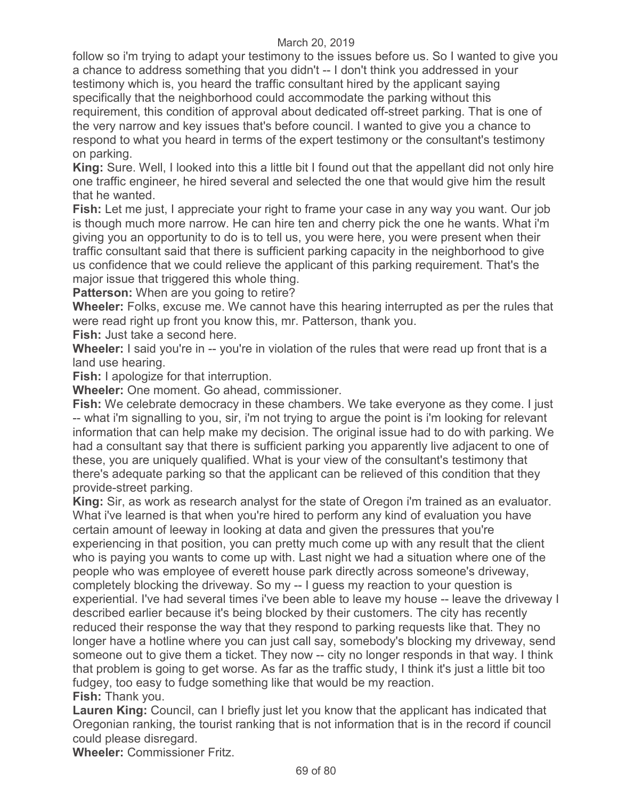follow so i'm trying to adapt your testimony to the issues before us. So I wanted to give you a chance to address something that you didn't -- I don't think you addressed in your testimony which is, you heard the traffic consultant hired by the applicant saying specifically that the neighborhood could accommodate the parking without this requirement, this condition of approval about dedicated off-street parking. That is one of the very narrow and key issues that's before council. I wanted to give you a chance to respond to what you heard in terms of the expert testimony or the consultant's testimony on parking.

**King:** Sure. Well, I looked into this a little bit I found out that the appellant did not only hire one traffic engineer, he hired several and selected the one that would give him the result that he wanted.

**Fish:** Let me just, I appreciate your right to frame your case in any way you want. Our job is though much more narrow. He can hire ten and cherry pick the one he wants. What i'm giving you an opportunity to do is to tell us, you were here, you were present when their traffic consultant said that there is sufficient parking capacity in the neighborhood to give us confidence that we could relieve the applicant of this parking requirement. That's the major issue that triggered this whole thing.

**Patterson:** When are you going to retire?

**Wheeler:** Folks, excuse me. We cannot have this hearing interrupted as per the rules that were read right up front you know this, mr. Patterson, thank you.

**Fish:** Just take a second here.

**Wheeler:** I said you're in -- you're in violation of the rules that were read up front that is a land use hearing.

**Fish:** I apologize for that interruption.

**Wheeler:** One moment. Go ahead, commissioner.

**Fish:** We celebrate democracy in these chambers. We take everyone as they come. I just -- what i'm signalling to you, sir, i'm not trying to argue the point is i'm looking for relevant information that can help make my decision. The original issue had to do with parking. We had a consultant say that there is sufficient parking you apparently live adjacent to one of these, you are uniquely qualified. What is your view of the consultant's testimony that there's adequate parking so that the applicant can be relieved of this condition that they provide-street parking.

**King:** Sir, as work as research analyst for the state of Oregon i'm trained as an evaluator. What i've learned is that when you're hired to perform any kind of evaluation you have certain amount of leeway in looking at data and given the pressures that you're experiencing in that position, you can pretty much come up with any result that the client who is paying you wants to come up with. Last night we had a situation where one of the people who was employee of everett house park directly across someone's driveway, completely blocking the driveway. So my -- I guess my reaction to your question is experiential. I've had several times i've been able to leave my house -- leave the driveway I described earlier because it's being blocked by their customers. The city has recently reduced their response the way that they respond to parking requests like that. They no longer have a hotline where you can just call say, somebody's blocking my driveway, send someone out to give them a ticket. They now -- city no longer responds in that way. I think that problem is going to get worse. As far as the traffic study, I think it's just a little bit too fudgey, too easy to fudge something like that would be my reaction. **Fish:** Thank you.

Lauren King: Council, can I briefly just let you know that the applicant has indicated that Oregonian ranking, the tourist ranking that is not information that is in the record if council could please disregard.

**Wheeler:** Commissioner Fritz.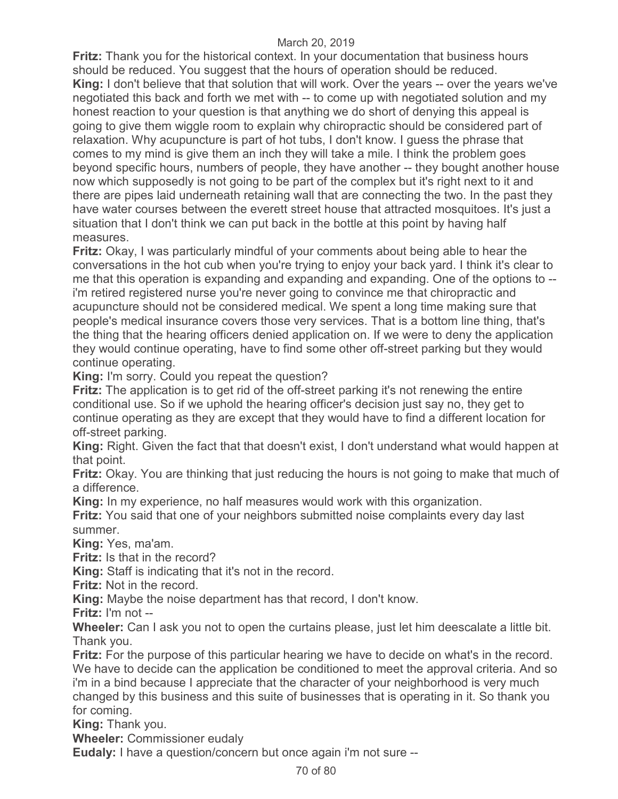**Fritz:** Thank you for the historical context. In your documentation that business hours should be reduced. You suggest that the hours of operation should be reduced. **King:** I don't believe that that solution that will work. Over the years -- over the years we've negotiated this back and forth we met with -- to come up with negotiated solution and my honest reaction to your question is that anything we do short of denying this appeal is going to give them wiggle room to explain why chiropractic should be considered part of relaxation. Why acupuncture is part of hot tubs, I don't know. I guess the phrase that comes to my mind is give them an inch they will take a mile. I think the problem goes beyond specific hours, numbers of people, they have another -- they bought another house now which supposedly is not going to be part of the complex but it's right next to it and there are pipes laid underneath retaining wall that are connecting the two. In the past they have water courses between the everett street house that attracted mosquitoes. It's just a situation that I don't think we can put back in the bottle at this point by having half measures.

**Fritz:** Okay, I was particularly mindful of your comments about being able to hear the conversations in the hot cub when you're trying to enjoy your back yard. I think it's clear to me that this operation is expanding and expanding and expanding. One of the options to - i'm retired registered nurse you're never going to convince me that chiropractic and acupuncture should not be considered medical. We spent a long time making sure that people's medical insurance covers those very services. That is a bottom line thing, that's the thing that the hearing officers denied application on. If we were to deny the application they would continue operating, have to find some other off-street parking but they would continue operating.

**King:** I'm sorry. Could you repeat the question?

**Fritz:** The application is to get rid of the off-street parking it's not renewing the entire conditional use. So if we uphold the hearing officer's decision just say no, they get to continue operating as they are except that they would have to find a different location for off-street parking.

**King:** Right. Given the fact that that doesn't exist, I don't understand what would happen at that point.

**Fritz:** Okay. You are thinking that just reducing the hours is not going to make that much of a difference.

**King:** In my experience, no half measures would work with this organization.

**Fritz:** You said that one of your neighbors submitted noise complaints every day last summer.

**King:** Yes, ma'am.

**Fritz:** Is that in the record?

**King:** Staff is indicating that it's not in the record.

**Fritz:** Not in the record.

**King:** Maybe the noise department has that record, I don't know.

**Fritz:** I'm not --

**Wheeler:** Can I ask you not to open the curtains please, just let him deescalate a little bit. Thank you.

**Fritz:** For the purpose of this particular hearing we have to decide on what's in the record. We have to decide can the application be conditioned to meet the approval criteria. And so i'm in a bind because I appreciate that the character of your neighborhood is very much changed by this business and this suite of businesses that is operating in it. So thank you for coming.

**King:** Thank you.

**Wheeler:** Commissioner eudaly

**Eudaly:** I have a question/concern but once again i'm not sure --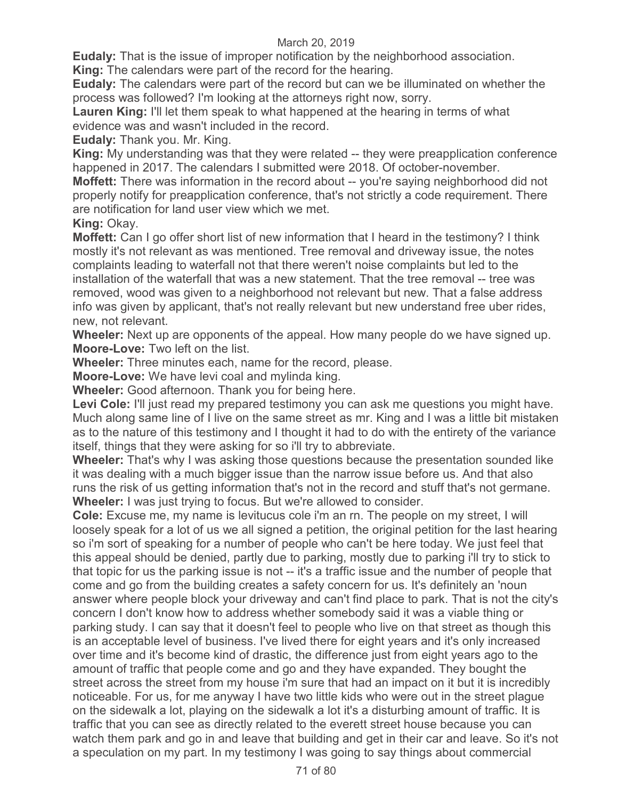**Eudaly:** That is the issue of improper notification by the neighborhood association.

**King:** The calendars were part of the record for the hearing.

**Eudaly:** The calendars were part of the record but can we be illuminated on whether the process was followed? I'm looking at the attorneys right now, sorry.

**Lauren King:** I'll let them speak to what happened at the hearing in terms of what evidence was and wasn't included in the record.

**Eudaly:** Thank you. Mr. King.

**King:** My understanding was that they were related -- they were preapplication conference happened in 2017. The calendars I submitted were 2018. Of october-november.

**Moffett:** There was information in the record about -- you're saying neighborhood did not properly notify for preapplication conference, that's not strictly a code requirement. There are notification for land user view which we met.

**King:** Okay.

**Moffett:** Can I go offer short list of new information that I heard in the testimony? I think mostly it's not relevant as was mentioned. Tree removal and driveway issue, the notes complaints leading to waterfall not that there weren't noise complaints but led to the installation of the waterfall that was a new statement. That the tree removal -- tree was removed, wood was given to a neighborhood not relevant but new. That a false address info was given by applicant, that's not really relevant but new understand free uber rides, new, not relevant.

**Wheeler:** Next up are opponents of the appeal. How many people do we have signed up. **Moore-Love:** Two left on the list.

**Wheeler:** Three minutes each, name for the record, please.

**Moore-Love:** We have levi coal and mylinda king.

**Wheeler:** Good afternoon. Thank you for being here.

Levi Cole: I'll just read my prepared testimony you can ask me questions you might have. Much along same line of I live on the same street as mr. King and I was a little bit mistaken as to the nature of this testimony and I thought it had to do with the entirety of the variance itself, things that they were asking for so i'll try to abbreviate.

**Wheeler:** That's why I was asking those questions because the presentation sounded like it was dealing with a much bigger issue than the narrow issue before us. And that also runs the risk of us getting information that's not in the record and stuff that's not germane. **Wheeler:** I was just trying to focus. But we're allowed to consider.

**Cole:** Excuse me, my name is levitucus cole i'm an rn. The people on my street, I will loosely speak for a lot of us we all signed a petition, the original petition for the last hearing so i'm sort of speaking for a number of people who can't be here today. We just feel that this appeal should be denied, partly due to parking, mostly due to parking i'll try to stick to that topic for us the parking issue is not -- it's a traffic issue and the number of people that come and go from the building creates a safety concern for us. It's definitely an 'noun answer where people block your driveway and can't find place to park. That is not the city's concern I don't know how to address whether somebody said it was a viable thing or parking study. I can say that it doesn't feel to people who live on that street as though this is an acceptable level of business. I've lived there for eight years and it's only increased over time and it's become kind of drastic, the difference just from eight years ago to the amount of traffic that people come and go and they have expanded. They bought the street across the street from my house i'm sure that had an impact on it but it is incredibly noticeable. For us, for me anyway I have two little kids who were out in the street plague on the sidewalk a lot, playing on the sidewalk a lot it's a disturbing amount of traffic. It is traffic that you can see as directly related to the everett street house because you can watch them park and go in and leave that building and get in their car and leave. So it's not a speculation on my part. In my testimony I was going to say things about commercial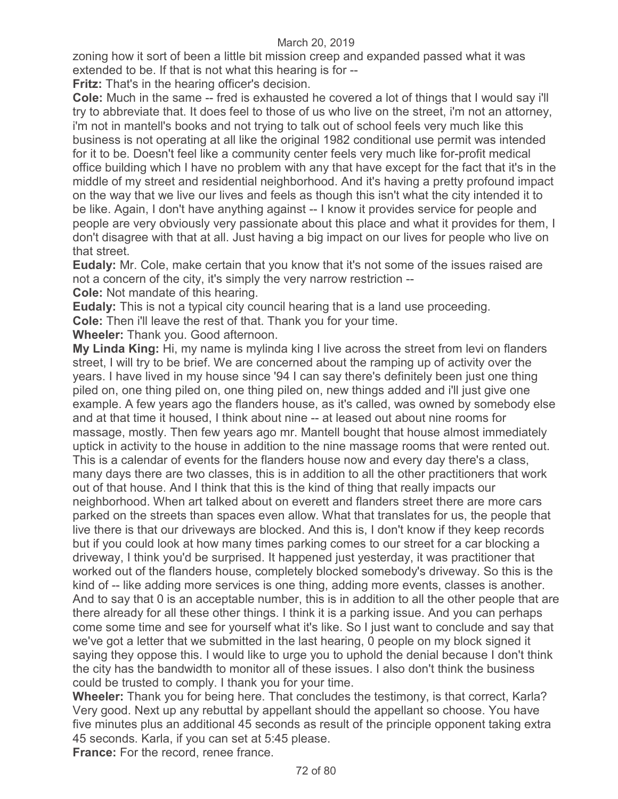zoning how it sort of been a little bit mission creep and expanded passed what it was extended to be. If that is not what this hearing is for --

**Fritz:** That's in the hearing officer's decision.

**Cole:** Much in the same -- fred is exhausted he covered a lot of things that I would say i'll try to abbreviate that. It does feel to those of us who live on the street, i'm not an attorney, i'm not in mantell's books and not trying to talk out of school feels very much like this business is not operating at all like the original 1982 conditional use permit was intended for it to be. Doesn't feel like a community center feels very much like for-profit medical office building which I have no problem with any that have except for the fact that it's in the middle of my street and residential neighborhood. And it's having a pretty profound impact on the way that we live our lives and feels as though this isn't what the city intended it to be like. Again, I don't have anything against -- I know it provides service for people and people are very obviously very passionate about this place and what it provides for them, I don't disagree with that at all. Just having a big impact on our lives for people who live on that street.

**Eudaly:** Mr. Cole, make certain that you know that it's not some of the issues raised are not a concern of the city, it's simply the very narrow restriction --

**Cole:** Not mandate of this hearing.

**Eudaly:** This is not a typical city council hearing that is a land use proceeding.

**Cole:** Then i'll leave the rest of that. Thank you for your time.

**Wheeler:** Thank you. Good afternoon.

**My Linda King:** Hi, my name is mylinda king I live across the street from levi on flanders street, I will try to be brief. We are concerned about the ramping up of activity over the years. I have lived in my house since '94 I can say there's definitely been just one thing piled on, one thing piled on, one thing piled on, new things added and i'll just give one example. A few years ago the flanders house, as it's called, was owned by somebody else and at that time it housed, I think about nine -- at leased out about nine rooms for massage, mostly. Then few years ago mr. Mantell bought that house almost immediately uptick in activity to the house in addition to the nine massage rooms that were rented out. This is a calendar of events for the flanders house now and every day there's a class, many days there are two classes, this is in addition to all the other practitioners that work out of that house. And I think that this is the kind of thing that really impacts our neighborhood. When art talked about on everett and flanders street there are more cars parked on the streets than spaces even allow. What that translates for us, the people that live there is that our driveways are blocked. And this is, I don't know if they keep records but if you could look at how many times parking comes to our street for a car blocking a driveway, I think you'd be surprised. It happened just yesterday, it was practitioner that worked out of the flanders house, completely blocked somebody's driveway. So this is the kind of -- like adding more services is one thing, adding more events, classes is another. And to say that 0 is an acceptable number, this is in addition to all the other people that are there already for all these other things. I think it is a parking issue. And you can perhaps come some time and see for yourself what it's like. So I just want to conclude and say that we've got a letter that we submitted in the last hearing, 0 people on my block signed it saying they oppose this. I would like to urge you to uphold the denial because I don't think the city has the bandwidth to monitor all of these issues. I also don't think the business could be trusted to comply. I thank you for your time.

**Wheeler:** Thank you for being here. That concludes the testimony, is that correct, Karla? Very good. Next up any rebuttal by appellant should the appellant so choose. You have five minutes plus an additional 45 seconds as result of the principle opponent taking extra 45 seconds. Karla, if you can set at 5:45 please.

**France:** For the record, renee france.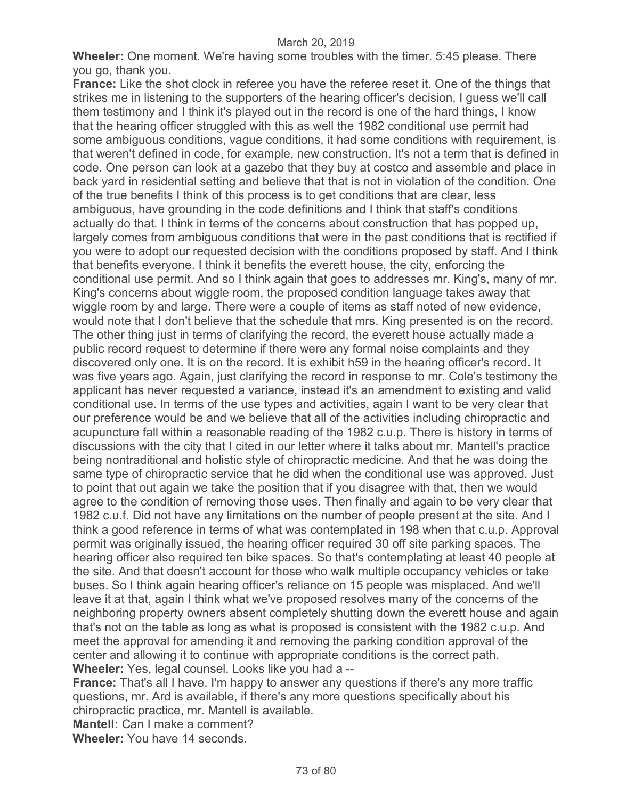**Wheeler:** One moment. We're having some troubles with the timer. 5:45 please. There you go, thank you.

**France:** Like the shot clock in referee you have the referee reset it. One of the things that strikes me in listening to the supporters of the hearing officer's decision, I guess we'll call them testimony and I think it's played out in the record is one of the hard things, I know that the hearing officer struggled with this as well the 1982 conditional use permit had some ambiguous conditions, vague conditions, it had some conditions with requirement, is that weren't defined in code, for example, new construction. It's not a term that is defined in code. One person can look at a gazebo that they buy at costco and assemble and place in back yard in residential setting and believe that that is not in violation of the condition. One of the true benefits I think of this process is to get conditions that are clear, less ambiguous, have grounding in the code definitions and I think that staff's conditions actually do that. I think in terms of the concerns about construction that has popped up, largely comes from ambiguous conditions that were in the past conditions that is rectified if you were to adopt our requested decision with the conditions proposed by staff. And I think that benefits everyone. I think it benefits the everett house, the city, enforcing the conditional use permit. And so I think again that goes to addresses mr. King's, many of mr. King's concerns about wiggle room, the proposed condition language takes away that wiggle room by and large. There were a couple of items as staff noted of new evidence, would note that I don't believe that the schedule that mrs. King presented is on the record. The other thing just in terms of clarifying the record, the everett house actually made a public record request to determine if there were any formal noise complaints and they discovered only one. It is on the record. It is exhibit h59 in the hearing officer's record. It was five years ago. Again, just clarifying the record in response to mr. Cole's testimony the applicant has never requested a variance, instead it's an amendment to existing and valid conditional use. In terms of the use types and activities, again I want to be very clear that our preference would be and we believe that all of the activities including chiropractic and acupuncture fall within a reasonable reading of the 1982 c.u.p. There is history in terms of discussions with the city that I cited in our letter where it talks about mr. Mantell's practice being nontraditional and holistic style of chiropractic medicine. And that he was doing the same type of chiropractic service that he did when the conditional use was approved. Just to point that out again we take the position that if you disagree with that, then we would agree to the condition of removing those uses. Then finally and again to be very clear that 1982 c.u.f. Did not have any limitations on the number of people present at the site. And I think a good reference in terms of what was contemplated in 198 when that c.u.p. Approval permit was originally issued, the hearing officer required 30 off site parking spaces. The hearing officer also required ten bike spaces. So that's contemplating at least 40 people at the site. And that doesn't account for those who walk multiple occupancy vehicles or take buses. So I think again hearing officer's reliance on 15 people was misplaced. And we'll leave it at that, again I think what we've proposed resolves many of the concerns of the neighboring property owners absent completely shutting down the everett house and again that's not on the table as long as what is proposed is consistent with the 1982 c.u.p. And meet the approval for amending it and removing the parking condition approval of the center and allowing it to continue with appropriate conditions is the correct path. **Wheeler:** Yes, legal counsel. Looks like you had a --

**France:** That's all I have. I'm happy to answer any questions if there's any more traffic questions, mr. Ard is available, if there's any more questions specifically about his chiropractic practice, mr. Mantell is available.

**Mantell:** Can I make a comment?

**Wheeler:** You have 14 seconds.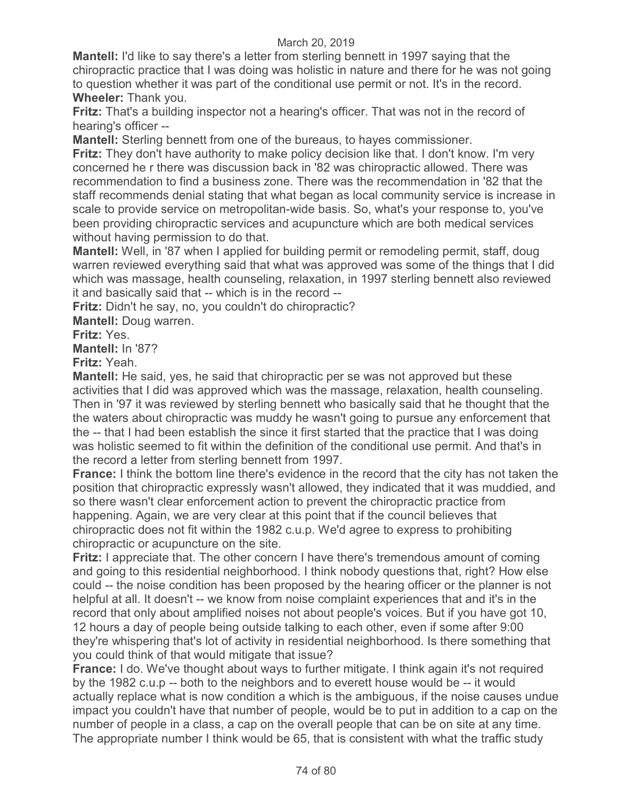**Mantell:** I'd like to say there's a letter from sterling bennett in 1997 saying that the chiropractic practice that I was doing was holistic in nature and there for he was not going to question whether it was part of the conditional use permit or not. It's in the record. **Wheeler:** Thank you.

**Fritz:** That's a building inspector not a hearing's officer. That was not in the record of hearing's officer --

**Mantell:** Sterling bennett from one of the bureaus, to hayes commissioner.

**Fritz:** They don't have authority to make policy decision like that. I don't know. I'm very concerned he r there was discussion back in '82 was chiropractic allowed. There was recommendation to find a business zone. There was the recommendation in '82 that the staff recommends denial stating that what began as local community service is increase in scale to provide service on metropolitan-wide basis. So, what's your response to, you've been providing chiropractic services and acupuncture which are both medical services without having permission to do that.

**Mantell:** Well, in '87 when I applied for building permit or remodeling permit, staff, doug warren reviewed everything said that what was approved was some of the things that I did which was massage, health counseling, relaxation, in 1997 sterling bennett also reviewed it and basically said that -- which is in the record --

**Fritz:** Didn't he say, no, you couldn't do chiropractic?

**Mantell:** Doug warren.

**Fritz:** Yes.

**Mantell:** In '87?

**Fritz:** Yeah.

**Mantell:** He said, yes, he said that chiropractic per se was not approved but these activities that I did was approved which was the massage, relaxation, health counseling. Then in '97 it was reviewed by sterling bennett who basically said that he thought that the the waters about chiropractic was muddy he wasn't going to pursue any enforcement that the -- that I had been establish the since it first started that the practice that I was doing was holistic seemed to fit within the definition of the conditional use permit. And that's in the record a letter from sterling bennett from 1997.

**France:** I think the bottom line there's evidence in the record that the city has not taken the position that chiropractic expressly wasn't allowed, they indicated that it was muddied, and so there wasn't clear enforcement action to prevent the chiropractic practice from happening. Again, we are very clear at this point that if the council believes that chiropractic does not fit within the 1982 c.u.p. We'd agree to express to prohibiting chiropractic or acupuncture on the site.

**Fritz:** I appreciate that. The other concern I have there's tremendous amount of coming and going to this residential neighborhood. I think nobody questions that, right? How else could -- the noise condition has been proposed by the hearing officer or the planner is not helpful at all. It doesn't -- we know from noise complaint experiences that and it's in the record that only about amplified noises not about people's voices. But if you have got 10, 12 hours a day of people being outside talking to each other, even if some after 9:00 they're whispering that's lot of activity in residential neighborhood. Is there something that you could think of that would mitigate that issue?

**France:** I do. We've thought about ways to further mitigate. I think again it's not required by the 1982 c.u.p -- both to the neighbors and to everett house would be -- it would actually replace what is now condition a which is the ambiguous, if the noise causes undue impact you couldn't have that number of people, would be to put in addition to a cap on the number of people in a class, a cap on the overall people that can be on site at any time. The appropriate number I think would be 65, that is consistent with what the traffic study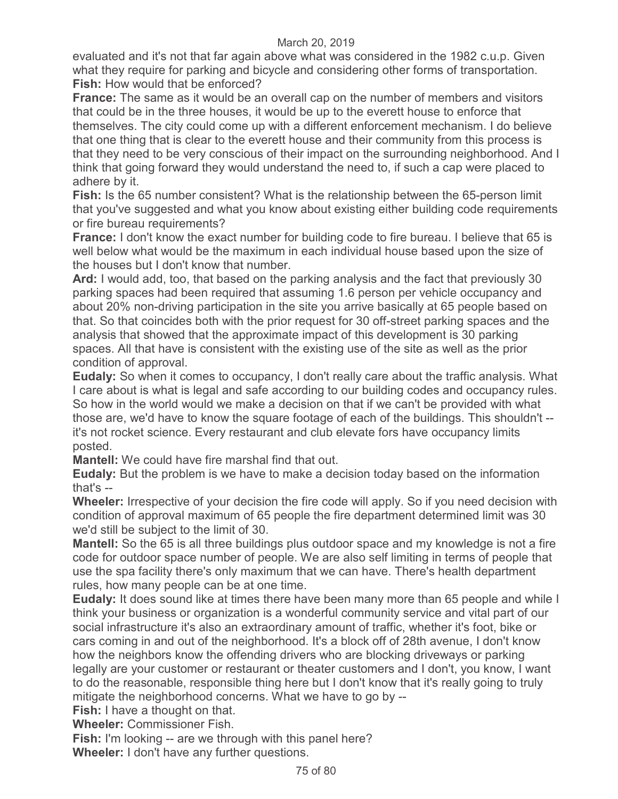evaluated and it's not that far again above what was considered in the 1982 c.u.p. Given what they require for parking and bicycle and considering other forms of transportation. **Fish:** How would that be enforced?

**France:** The same as it would be an overall cap on the number of members and visitors that could be in the three houses, it would be up to the everett house to enforce that themselves. The city could come up with a different enforcement mechanism. I do believe that one thing that is clear to the everett house and their community from this process is that they need to be very conscious of their impact on the surrounding neighborhood. And I think that going forward they would understand the need to, if such a cap were placed to adhere by it.

**Fish:** Is the 65 number consistent? What is the relationship between the 65-person limit that you've suggested and what you know about existing either building code requirements or fire bureau requirements?

**France:** I don't know the exact number for building code to fire bureau. I believe that 65 is well below what would be the maximum in each individual house based upon the size of the houses but I don't know that number.

**Ard:** I would add, too, that based on the parking analysis and the fact that previously 30 parking spaces had been required that assuming 1.6 person per vehicle occupancy and about 20% non-driving participation in the site you arrive basically at 65 people based on that. So that coincides both with the prior request for 30 off-street parking spaces and the analysis that showed that the approximate impact of this development is 30 parking spaces. All that have is consistent with the existing use of the site as well as the prior condition of approval.

**Eudaly:** So when it comes to occupancy, I don't really care about the traffic analysis. What I care about is what is legal and safe according to our building codes and occupancy rules. So how in the world would we make a decision on that if we can't be provided with what those are, we'd have to know the square footage of each of the buildings. This shouldn't - it's not rocket science. Every restaurant and club elevate fors have occupancy limits posted.

**Mantell:** We could have fire marshal find that out.

**Eudaly:** But the problem is we have to make a decision today based on the information that's --

**Wheeler:** Irrespective of your decision the fire code will apply. So if you need decision with condition of approval maximum of 65 people the fire department determined limit was 30 we'd still be subject to the limit of 30.

**Mantell:** So the 65 is all three buildings plus outdoor space and my knowledge is not a fire code for outdoor space number of people. We are also self limiting in terms of people that use the spa facility there's only maximum that we can have. There's health department rules, how many people can be at one time.

**Eudaly:** It does sound like at times there have been many more than 65 people and while I think your business or organization is a wonderful community service and vital part of our social infrastructure it's also an extraordinary amount of traffic, whether it's foot, bike or cars coming in and out of the neighborhood. It's a block off of 28th avenue, I don't know how the neighbors know the offending drivers who are blocking driveways or parking legally are your customer or restaurant or theater customers and I don't, you know, I want to do the reasonable, responsible thing here but I don't know that it's really going to truly mitigate the neighborhood concerns. What we have to go by --

**Fish:** I have a thought on that.

**Wheeler:** Commissioner Fish.

**Fish:** I'm looking -- are we through with this panel here? **Wheeler:** I don't have any further questions.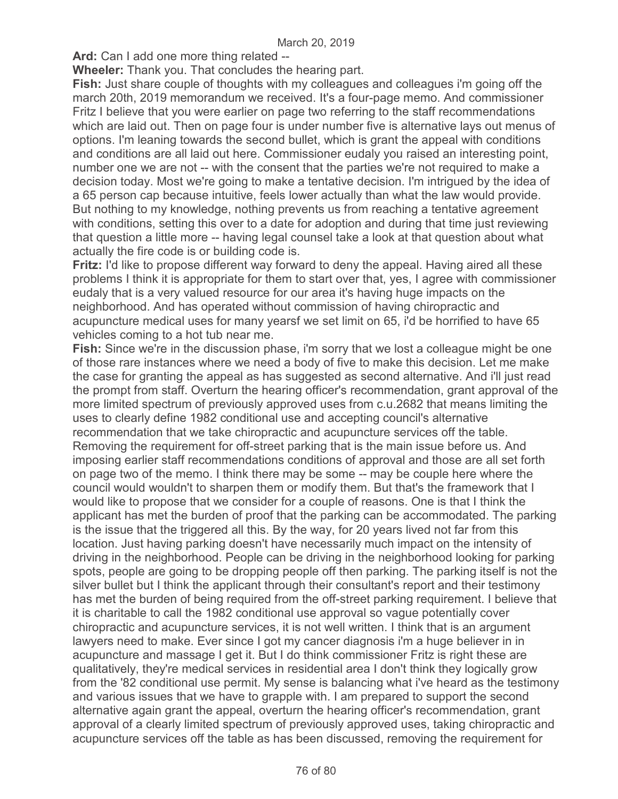**Ard:** Can I add one more thing related --

**Wheeler:** Thank you. That concludes the hearing part.

**Fish:** Just share couple of thoughts with my colleagues and colleagues i'm going off the march 20th, 2019 memorandum we received. It's a four-page memo. And commissioner Fritz I believe that you were earlier on page two referring to the staff recommendations which are laid out. Then on page four is under number five is alternative lays out menus of options. I'm leaning towards the second bullet, which is grant the appeal with conditions and conditions are all laid out here. Commissioner eudaly you raised an interesting point, number one we are not -- with the consent that the parties we're not required to make a decision today. Most we're going to make a tentative decision. I'm intrigued by the idea of a 65 person cap because intuitive, feels lower actually than what the law would provide. But nothing to my knowledge, nothing prevents us from reaching a tentative agreement with conditions, setting this over to a date for adoption and during that time just reviewing that question a little more -- having legal counsel take a look at that question about what actually the fire code is or building code is.

**Fritz:** I'd like to propose different way forward to deny the appeal. Having aired all these problems I think it is appropriate for them to start over that, yes, I agree with commissioner eudaly that is a very valued resource for our area it's having huge impacts on the neighborhood. And has operated without commission of having chiropractic and acupuncture medical uses for many yearsf we set limit on 65, i'd be horrified to have 65 vehicles coming to a hot tub near me.

**Fish:** Since we're in the discussion phase, i'm sorry that we lost a colleague might be one of those rare instances where we need a body of five to make this decision. Let me make the case for granting the appeal as has suggested as second alternative. And i'll just read the prompt from staff. Overturn the hearing officer's recommendation, grant approval of the more limited spectrum of previously approved uses from c.u.2682 that means limiting the uses to clearly define 1982 conditional use and accepting council's alternative recommendation that we take chiropractic and acupuncture services off the table. Removing the requirement for off-street parking that is the main issue before us. And imposing earlier staff recommendations conditions of approval and those are all set forth on page two of the memo. I think there may be some -- may be couple here where the council would wouldn't to sharpen them or modify them. But that's the framework that I would like to propose that we consider for a couple of reasons. One is that I think the applicant has met the burden of proof that the parking can be accommodated. The parking is the issue that the triggered all this. By the way, for 20 years lived not far from this location. Just having parking doesn't have necessarily much impact on the intensity of driving in the neighborhood. People can be driving in the neighborhood looking for parking spots, people are going to be dropping people off then parking. The parking itself is not the silver bullet but I think the applicant through their consultant's report and their testimony has met the burden of being required from the off-street parking requirement. I believe that it is charitable to call the 1982 conditional use approval so vague potentially cover chiropractic and acupuncture services, it is not well written. I think that is an argument lawyers need to make. Ever since I got my cancer diagnosis i'm a huge believer in in acupuncture and massage I get it. But I do think commissioner Fritz is right these are qualitatively, they're medical services in residential area I don't think they logically grow from the '82 conditional use permit. My sense is balancing what i've heard as the testimony and various issues that we have to grapple with. I am prepared to support the second alternative again grant the appeal, overturn the hearing officer's recommendation, grant approval of a clearly limited spectrum of previously approved uses, taking chiropractic and acupuncture services off the table as has been discussed, removing the requirement for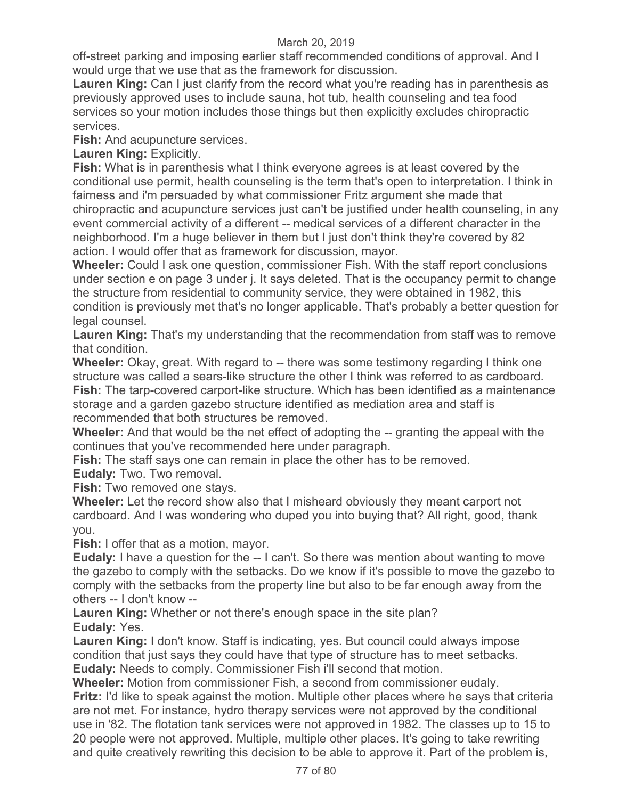off-street parking and imposing earlier staff recommended conditions of approval. And I would urge that we use that as the framework for discussion.

**Lauren King:** Can I just clarify from the record what you're reading has in parenthesis as previously approved uses to include sauna, hot tub, health counseling and tea food services so your motion includes those things but then explicitly excludes chiropractic services.

**Fish:** And acupuncture services.

**Lauren King:** Explicitly.

**Fish:** What is in parenthesis what I think everyone agrees is at least covered by the conditional use permit, health counseling is the term that's open to interpretation. I think in fairness and i'm persuaded by what commissioner Fritz argument she made that chiropractic and acupuncture services just can't be justified under health counseling, in any event commercial activity of a different -- medical services of a different character in the neighborhood. I'm a huge believer in them but I just don't think they're covered by 82 action. I would offer that as framework for discussion, mayor.

**Wheeler:** Could I ask one question, commissioner Fish. With the staff report conclusions under section e on page 3 under j. It says deleted. That is the occupancy permit to change the structure from residential to community service, they were obtained in 1982, this condition is previously met that's no longer applicable. That's probably a better question for legal counsel.

**Lauren King:** That's my understanding that the recommendation from staff was to remove that condition.

**Wheeler:** Okay, great. With regard to -- there was some testimony regarding I think one structure was called a sears-like structure the other I think was referred to as cardboard. **Fish:** The tarp-covered carport-like structure. Which has been identified as a maintenance storage and a garden gazebo structure identified as mediation area and staff is recommended that both structures be removed.

**Wheeler:** And that would be the net effect of adopting the -- granting the appeal with the continues that you've recommended here under paragraph.

**Fish:** The staff says one can remain in place the other has to be removed.

**Eudaly:** Two. Two removal.

**Fish:** Two removed one stays.

**Wheeler:** Let the record show also that I misheard obviously they meant carport not cardboard. And I was wondering who duped you into buying that? All right, good, thank you.

**Fish:** I offer that as a motion, mayor.

**Eudaly:** I have a question for the -- I can't. So there was mention about wanting to move the gazebo to comply with the setbacks. Do we know if it's possible to move the gazebo to comply with the setbacks from the property line but also to be far enough away from the others -- I don't know --

**Lauren King:** Whether or not there's enough space in the site plan? **Eudaly:** Yes.

**Lauren King:** I don't know. Staff is indicating, yes. But council could always impose condition that just says they could have that type of structure has to meet setbacks. **Eudaly:** Needs to comply. Commissioner Fish i'll second that motion.

**Wheeler:** Motion from commissioner Fish, a second from commissioner eudaly. **Fritz:** I'd like to speak against the motion. Multiple other places where he says that criteria are not met. For instance, hydro therapy services were not approved by the conditional use in '82. The flotation tank services were not approved in 1982. The classes up to 15 to 20 people were not approved. Multiple, multiple other places. It's going to take rewriting and quite creatively rewriting this decision to be able to approve it. Part of the problem is,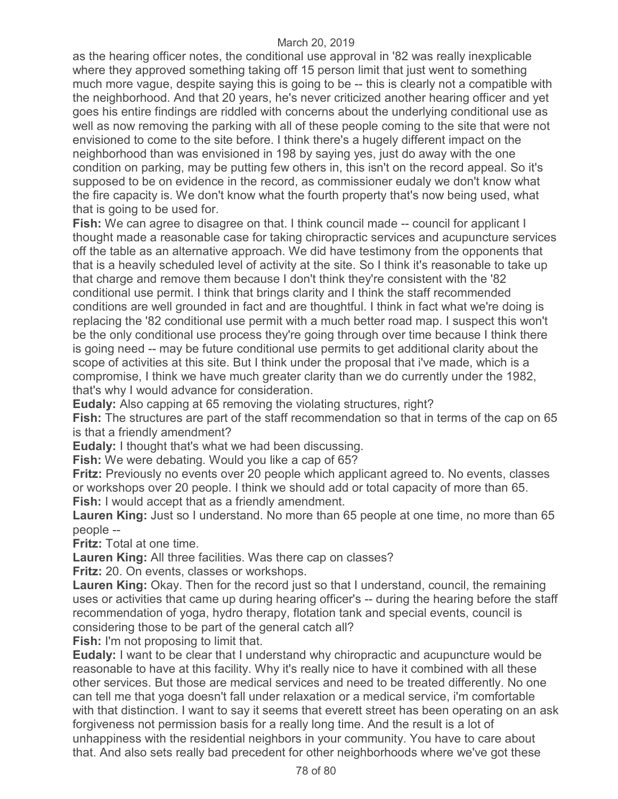as the hearing officer notes, the conditional use approval in '82 was really inexplicable where they approved something taking off 15 person limit that just went to something much more vague, despite saying this is going to be -- this is clearly not a compatible with the neighborhood. And that 20 years, he's never criticized another hearing officer and yet goes his entire findings are riddled with concerns about the underlying conditional use as well as now removing the parking with all of these people coming to the site that were not envisioned to come to the site before. I think there's a hugely different impact on the neighborhood than was envisioned in 198 by saying yes, just do away with the one condition on parking, may be putting few others in, this isn't on the record appeal. So it's supposed to be on evidence in the record, as commissioner eudaly we don't know what the fire capacity is. We don't know what the fourth property that's now being used, what that is going to be used for.

**Fish:** We can agree to disagree on that. I think council made -- council for applicant I thought made a reasonable case for taking chiropractic services and acupuncture services off the table as an alternative approach. We did have testimony from the opponents that that is a heavily scheduled level of activity at the site. So I think it's reasonable to take up that charge and remove them because I don't think they're consistent with the '82 conditional use permit. I think that brings clarity and I think the staff recommended conditions are well grounded in fact and are thoughtful. I think in fact what we're doing is replacing the '82 conditional use permit with a much better road map. I suspect this won't be the only conditional use process they're going through over time because I think there is going need -- may be future conditional use permits to get additional clarity about the scope of activities at this site. But I think under the proposal that i've made, which is a compromise, I think we have much greater clarity than we do currently under the 1982, that's why I would advance for consideration.

**Eudaly:** Also capping at 65 removing the violating structures, right?

**Fish:** The structures are part of the staff recommendation so that in terms of the cap on 65 is that a friendly amendment?

**Eudaly:** I thought that's what we had been discussing.

**Fish:** We were debating. Would you like a cap of 65?

**Fritz:** Previously no events over 20 people which applicant agreed to. No events, classes or workshops over 20 people. I think we should add or total capacity of more than 65. **Fish:** I would accept that as a friendly amendment.

**Lauren King:** Just so I understand. No more than 65 people at one time, no more than 65 people --

**Fritz:** Total at one time.

**Lauren King:** All three facilities. Was there cap on classes?

**Fritz:** 20. On events, classes or workshops.

**Lauren King:** Okay. Then for the record just so that I understand, council, the remaining uses or activities that came up during hearing officer's -- during the hearing before the staff recommendation of yoga, hydro therapy, flotation tank and special events, council is considering those to be part of the general catch all?

**Fish:** I'm not proposing to limit that.

**Eudaly:** I want to be clear that I understand why chiropractic and acupuncture would be reasonable to have at this facility. Why it's really nice to have it combined with all these other services. But those are medical services and need to be treated differently. No one can tell me that yoga doesn't fall under relaxation or a medical service, i'm comfortable with that distinction. I want to say it seems that everett street has been operating on an ask forgiveness not permission basis for a really long time. And the result is a lot of unhappiness with the residential neighbors in your community. You have to care about that. And also sets really bad precedent for other neighborhoods where we've got these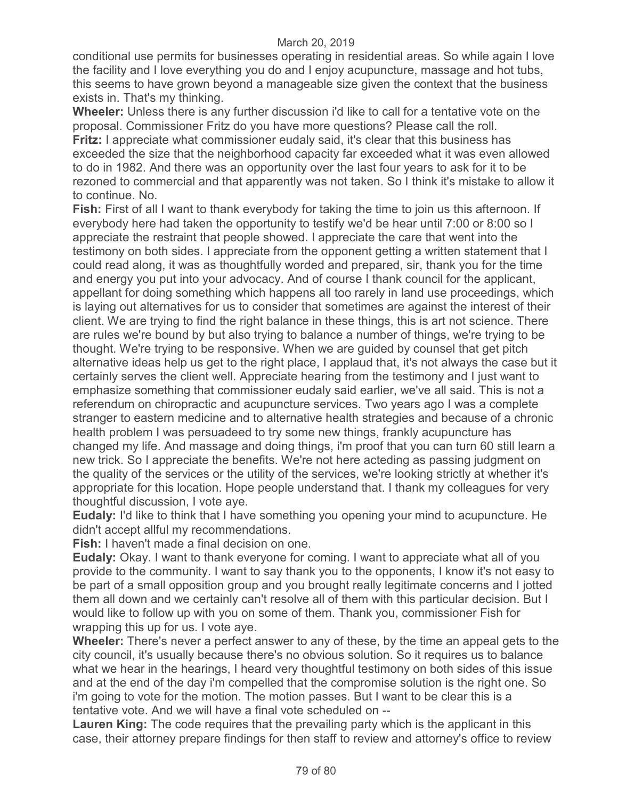conditional use permits for businesses operating in residential areas. So while again I love the facility and I love everything you do and I enjoy acupuncture, massage and hot tubs, this seems to have grown beyond a manageable size given the context that the business exists in. That's my thinking.

**Wheeler:** Unless there is any further discussion i'd like to call for a tentative vote on the proposal. Commissioner Fritz do you have more questions? Please call the roll. **Fritz:** I appreciate what commissioner eudaly said, it's clear that this business has exceeded the size that the neighborhood capacity far exceeded what it was even allowed to do in 1982. And there was an opportunity over the last four years to ask for it to be rezoned to commercial and that apparently was not taken. So I think it's mistake to allow it to continue. No.

**Fish:** First of all I want to thank everybody for taking the time to join us this afternoon. If everybody here had taken the opportunity to testify we'd be hear until 7:00 or 8:00 so I appreciate the restraint that people showed. I appreciate the care that went into the testimony on both sides. I appreciate from the opponent getting a written statement that I could read along, it was as thoughtfully worded and prepared, sir, thank you for the time and energy you put into your advocacy. And of course I thank council for the applicant, appellant for doing something which happens all too rarely in land use proceedings, which is laying out alternatives for us to consider that sometimes are against the interest of their client. We are trying to find the right balance in these things, this is art not science. There are rules we're bound by but also trying to balance a number of things, we're trying to be thought. We're trying to be responsive. When we are guided by counsel that get pitch alternative ideas help us get to the right place, I applaud that, it's not always the case but it certainly serves the client well. Appreciate hearing from the testimony and I just want to emphasize something that commissioner eudaly said earlier, we've all said. This is not a referendum on chiropractic and acupuncture services. Two years ago I was a complete stranger to eastern medicine and to alternative health strategies and because of a chronic health problem I was persuadeed to try some new things, frankly acupuncture has changed my life. And massage and doing things, i'm proof that you can turn 60 still learn a new trick. So I appreciate the benefits. We're not here acteding as passing judgment on the quality of the services or the utility of the services, we're looking strictly at whether it's appropriate for this location. Hope people understand that. I thank my colleagues for very thoughtful discussion, I vote aye.

**Eudaly:** I'd like to think that I have something you opening your mind to acupuncture. He didn't accept allful my recommendations.

**Fish:** I haven't made a final decision on one.

**Eudaly:** Okay. I want to thank everyone for coming. I want to appreciate what all of you provide to the community. I want to say thank you to the opponents, I know it's not easy to be part of a small opposition group and you brought really legitimate concerns and I jotted them all down and we certainly can't resolve all of them with this particular decision. But I would like to follow up with you on some of them. Thank you, commissioner Fish for wrapping this up for us. I vote aye.

**Wheeler:** There's never a perfect answer to any of these, by the time an appeal gets to the city council, it's usually because there's no obvious solution. So it requires us to balance what we hear in the hearings, I heard very thoughtful testimony on both sides of this issue and at the end of the day i'm compelled that the compromise solution is the right one. So i'm going to vote for the motion. The motion passes. But I want to be clear this is a tentative vote. And we will have a final vote scheduled on --

**Lauren King:** The code requires that the prevailing party which is the applicant in this case, their attorney prepare findings for then staff to review and attorney's office to review